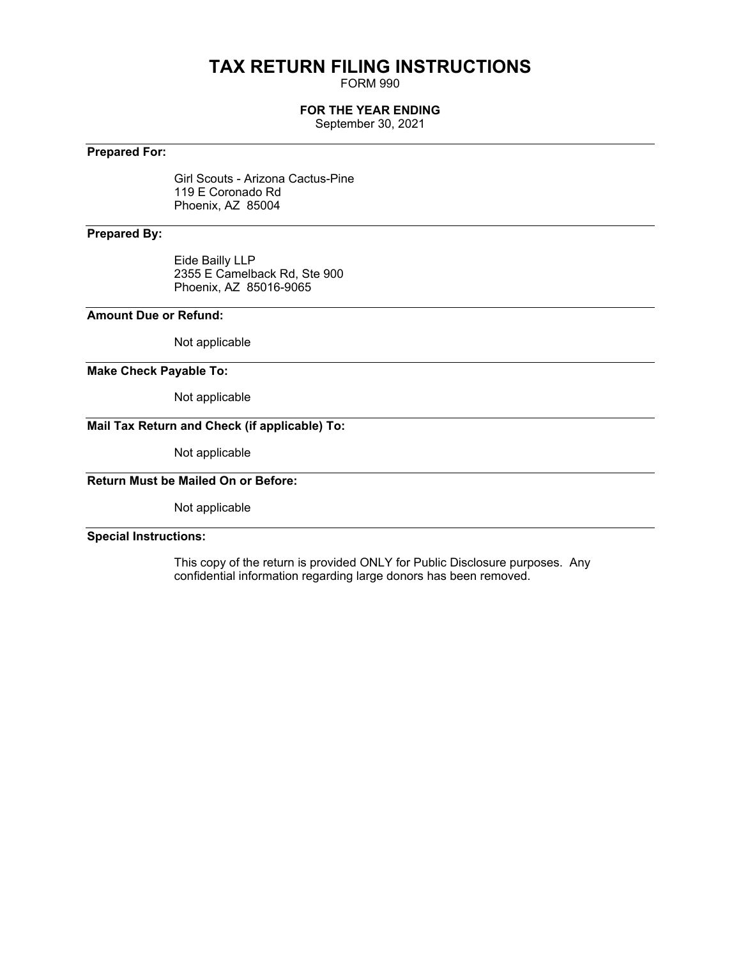# **TAX RETURN FILING INSTRUCTIONS**

FORM 990

#### **FOR THE YEAR ENDING**

September 30, 2021

#### **Prepared For:**

Girl Scouts - Arizona Cactus-Pine 119 E Coronado Rd Phoenix, AZ 85004

#### **Prepared By:**

Eide Bailly LLP 2355 E Camelback Rd, Ste 900 Phoenix, AZ 85016-9065

#### **Amount Due or Refund:**

Not applicable

#### **Make Check Payable To:**

Not applicable

## **Mail Tax Return and Check (if applicable) To:**

Not applicable

## **Return Must be Mailed On or Before:**

Not applicable

#### **Special Instructions:**

This copy of the return is provided ONLY for Public Disclosure purposes. Any confidential information regarding large donors has been removed.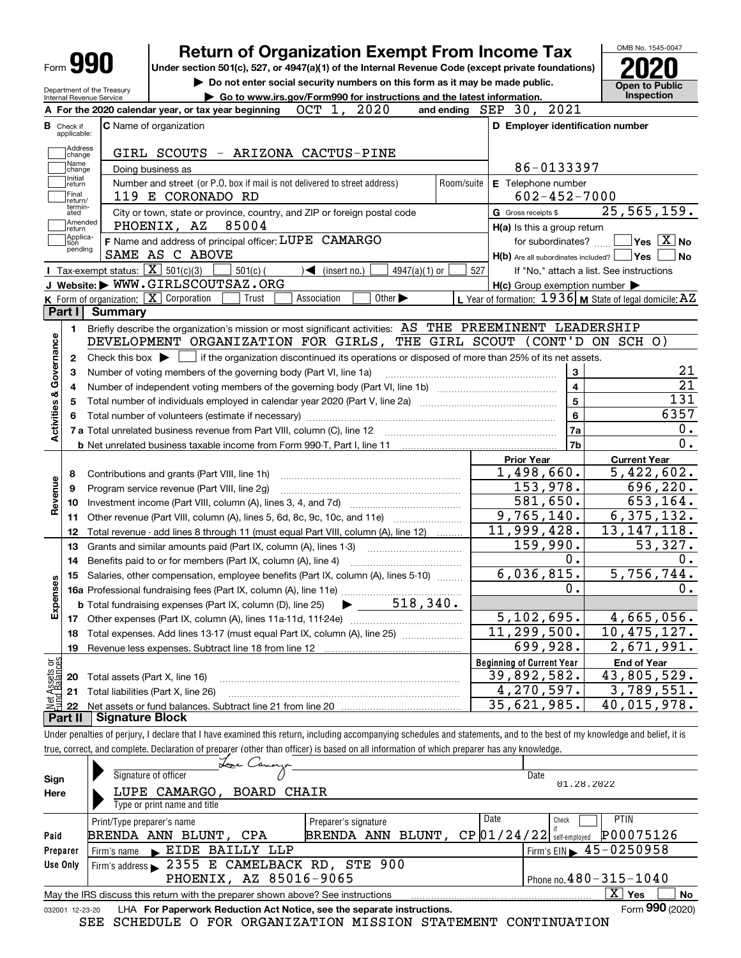|                                | Form <b>YYU</b>                                        |                        | <b>Return of Organization Exempt From Income Tax</b><br>Under section 501(c), 527, or 4947(a)(1) of the Internal Revenue Code (except private foundations)                 |                                                                                                                | OMB No. 1545-0047                        |
|--------------------------------|--------------------------------------------------------|------------------------|----------------------------------------------------------------------------------------------------------------------------------------------------------------------------|----------------------------------------------------------------------------------------------------------------|------------------------------------------|
|                                |                                                        |                        | Do not enter social security numbers on this form as it may be made public.                                                                                                |                                                                                                                |                                          |
|                                | Department of the Treasury<br>Internal Revenue Service |                        | Go to www.irs.gov/Form990 for instructions and the latest information.                                                                                                     |                                                                                                                | <b>Open to Public</b><br>Inspection      |
|                                |                                                        |                        | OCT 1,<br>2020<br>A For the 2020 calendar year, or tax year beginning                                                                                                      | and ending SEP 30, 2021                                                                                        |                                          |
|                                | <b>B</b> Check if<br>applicable:                       |                        | <b>C</b> Name of organization                                                                                                                                              | D Employer identification number                                                                               |                                          |
|                                | Address<br>change                                      |                        | GIRL SCOUTS - ARIZONA CACTUS-PINE                                                                                                                                          |                                                                                                                |                                          |
|                                | Name<br>change                                         |                        | Doing business as                                                                                                                                                          | 86-0133397                                                                                                     |                                          |
|                                | Initial<br>return<br>Final<br>return/                  |                        | Number and street (or P.O. box if mail is not delivered to street address)<br>Room/suite<br>119 E CORONADO RD                                                              | E Telephone number<br>$602 - 452 - 7000$                                                                       |                                          |
|                                | termin-<br>ated                                        |                        | City or town, state or province, country, and ZIP or foreign postal code                                                                                                   | G Gross receipts \$                                                                                            | 25, 565, 159.                            |
|                                | Amended<br> return                                     |                        | 85004<br>PHOENIX, AZ                                                                                                                                                       | H(a) Is this a group return                                                                                    |                                          |
|                                | Applica-<br>Ition<br>pending                           |                        | F Name and address of principal officer: LUPE CAMARGO                                                                                                                      | for subordinates?                                                                                              | $\sqrt{}$ Yes $\sqrt{}$ X $\sqrt{}$ No   |
|                                |                                                        |                        | SAME AS C ABOVE                                                                                                                                                            | $H(b)$ Are all subordinates included? $\Box$ Yes                                                               | No                                       |
|                                |                                                        |                        | Tax-exempt status: $\boxed{\mathbf{X}}$ 501(c)(3)<br>$501(c)$ (<br>$\blacktriangleleft$ (insert no.)<br>$4947(a)(1)$ or<br>J Website: WWW.GIRLSCOUTSAZ.ORG                 | 527                                                                                                            | If "No," attach a list. See instructions |
|                                |                                                        |                        | <b>K</b> Form of organization: $\boxed{\mathbf{X}}$ Corporation<br>Association<br>Other $\blacktriangleright$<br>Trust                                                     | $H(c)$ Group exemption number $\blacktriangleright$<br>L Year of formation: 1936 M State of legal domicile: AZ |                                          |
|                                | Part II                                                | <b>Summary</b>         |                                                                                                                                                                            |                                                                                                                |                                          |
|                                |                                                        |                        | Briefly describe the organization's mission or most significant activities: AS THE PREEMINENT LEADERSHIP                                                                   |                                                                                                                |                                          |
|                                | 1.                                                     |                        | DEVELOPMENT ORGANIZATION FOR GIRLS, THE GIRL SCOUT (CONT'D ON SCH O)                                                                                                       |                                                                                                                |                                          |
| Activities & Governance        |                                                        |                        |                                                                                                                                                                            |                                                                                                                |                                          |
|                                | 2                                                      |                        | Check this box $\blacktriangleright$ $\Box$ if the organization discontinued its operations or disposed of more than 25% of its net assets.                                |                                                                                                                | 21                                       |
|                                | З                                                      |                        | Number of voting members of the governing body (Part VI, line 1a)                                                                                                          | 3<br>$\overline{\mathbf{4}}$                                                                                   | $\overline{21}$                          |
|                                | 4                                                      |                        |                                                                                                                                                                            |                                                                                                                | 131                                      |
|                                | 5                                                      |                        |                                                                                                                                                                            | 5                                                                                                              | 6357                                     |
|                                | 6                                                      |                        |                                                                                                                                                                            | 6                                                                                                              |                                          |
|                                |                                                        |                        | 7 a Total unrelated business revenue from Part VIII, column (C), line 12                                                                                                   | 7a                                                                                                             | 0.                                       |
|                                |                                                        |                        |                                                                                                                                                                            | 7b                                                                                                             | 0.                                       |
|                                |                                                        |                        |                                                                                                                                                                            | <b>Prior Year</b>                                                                                              | <b>Current Year</b>                      |
|                                | 8                                                      |                        | Contributions and grants (Part VIII, line 1h)                                                                                                                              | 1,498,660.                                                                                                     | 5,422,602.                               |
|                                | 9                                                      |                        | Program service revenue (Part VIII, line 2g)                                                                                                                               | 153,978.                                                                                                       | 696,220.                                 |
| Revenue                        | 10                                                     |                        |                                                                                                                                                                            | 581,650.                                                                                                       | 653,164.                                 |
|                                | 11                                                     |                        | Other revenue (Part VIII, column (A), lines 5, 6d, 8c, 9c, 10c, and 11e)                                                                                                   | 9,765,140.                                                                                                     | 6, 375, 132.                             |
|                                | 12                                                     |                        | Total revenue - add lines 8 through 11 (must equal Part VIII, column (A), line 12)                                                                                         | 11,999,428.                                                                                                    | 13, 147, 118.                            |
|                                | 13                                                     |                        | Grants and similar amounts paid (Part IX, column (A), lines 1-3)<br><u> 1986 - Jan Start Barbar, mars ar st</u>                                                            | 159,990.                                                                                                       | 53,327.                                  |
|                                | 14                                                     |                        | Benefits paid to or for members (Part IX, column (A), line 4)                                                                                                              | 0.                                                                                                             | 0.                                       |
| w                              |                                                        |                        | 15 Salaries, other compensation, employee benefits (Part IX, column (A), lines 5-10)                                                                                       | 6,036,815.                                                                                                     | 5,756,744.                               |
|                                |                                                        |                        |                                                                                                                                                                            | 0.                                                                                                             | 0.                                       |
| Expense                        |                                                        |                        | 518,340.<br><b>b</b> Total fundraising expenses (Part IX, column (D), line 25)                                                                                             |                                                                                                                |                                          |
|                                | 17                                                     |                        |                                                                                                                                                                            | 5,102,695.                                                                                                     | 4,665,056.                               |
|                                | 18                                                     |                        | Total expenses. Add lines 13-17 (must equal Part IX, column (A), line 25) [                                                                                                | 11, 299, 500.                                                                                                  | 10,475,127.                              |
|                                | 19                                                     |                        | Revenue less expenses. Subtract line 18 from line 12                                                                                                                       | 699,928.                                                                                                       | 2,671,991.                               |
|                                |                                                        |                        |                                                                                                                                                                            | <b>Beginning of Current Year</b>                                                                               | <b>End of Year</b>                       |
|                                | 20                                                     |                        | Total assets (Part X, line 16)                                                                                                                                             | 39,892,582.                                                                                                    | 43,805,529.                              |
|                                | 21                                                     |                        | Total liabilities (Part X, line 26)                                                                                                                                        | 4,270,597.                                                                                                     | 3,789,551.                               |
| Net Assets or<br>Eund Balances | 22                                                     |                        |                                                                                                                                                                            | 35,621,985.                                                                                                    | 40,015,978.                              |
|                                | Part II                                                | <b>Signature Block</b> |                                                                                                                                                                            |                                                                                                                |                                          |
|                                |                                                        |                        | Under penalties of perjury, I declare that I have examined this return, including accompanying schedules and statements, and to the best of my knowledge and belief, it is |                                                                                                                |                                          |
|                                |                                                        |                        | true, correct, and complete. Declaration of preparer (other than officer) is based on all information of which preparer has any knowledge.                                 |                                                                                                                |                                          |
|                                |                                                        |                        | Lope Camorgo                                                                                                                                                               |                                                                                                                |                                          |
| Sign                           |                                                        |                        | Signature of officer                                                                                                                                                       | Date<br>01.28.2022                                                                                             |                                          |
| Here                           |                                                        |                        | LUPE CAMARGO, BOARD CHAIR                                                                                                                                                  |                                                                                                                |                                          |
|                                |                                                        |                        | Type or print name and title                                                                                                                                               |                                                                                                                |                                          |

|                 | $. 7.000$ or $. 0.1111$ . The state of the state of $. 0.000$                   |                      |      |                                                                         |
|-----------------|---------------------------------------------------------------------------------|----------------------|------|-------------------------------------------------------------------------|
|                 | Print/Type preparer's name                                                      | Preparer's signature | Date | <b>PTIN</b><br>Check                                                    |
| Paid            | BRENDA ANN BLUNT, CPA                                                           | BRENDA ANN BLUNT,    |      | P00075126<br>$CP$ $01/24/22$ $\frac{1}{8}$ self-employed                |
| Preparer        | L EIDE BAILLY LLP<br>Firm's name                                                |                      |      | $!\mathsf{Firm}\mathsf{S}\mathsf{EIN} \blacktriangleright 45 - 0250958$ |
| Use Only        | Firm's address 2355 E CAMELBACK RD, STE 900                                     |                      |      |                                                                         |
|                 | PHOENIX, AZ 85016-9065                                                          |                      |      | Phone no. $480 - 315 - 1040$                                            |
|                 | May the IRS discuss this return with the preparer shown above? See instructions |                      |      | ΧI<br>Yes<br>No                                                         |
| 032001 12-23-20 | LHA For Paperwork Reduction Act Notice, see the separate instructions.          |                      |      | Form 990 (2020)                                                         |

SEE SCHEDULE O FOR ORGANIZATION MISSION STATEMENT CONTINUATION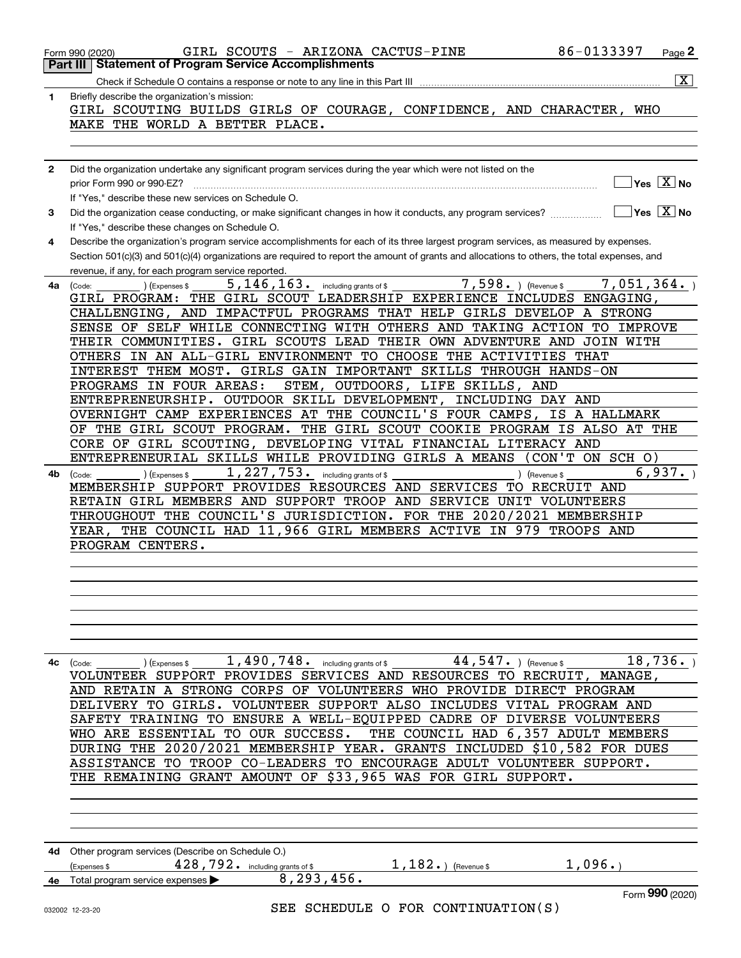|              | GIRL SCOUTS - ARIZONA CACTUS-PINE<br>86-0133397<br>Page 2<br>Form 990 (2020)                                                                           |
|--------------|--------------------------------------------------------------------------------------------------------------------------------------------------------|
|              | <b>Part III   Statement of Program Service Accomplishments</b>                                                                                         |
|              | $\boxed{\textbf{X}}$                                                                                                                                   |
| 1            | Briefly describe the organization's mission:                                                                                                           |
|              | GIRL SCOUTING BUILDS GIRLS OF COURAGE, CONFIDENCE, AND CHARACTER, WHO                                                                                  |
|              | MAKE THE WORLD A BETTER PLACE.                                                                                                                         |
|              |                                                                                                                                                        |
|              |                                                                                                                                                        |
|              |                                                                                                                                                        |
| $\mathbf{2}$ | Did the organization undertake any significant program services during the year which were not listed on the                                           |
|              | $Yes \ \boxed{X}$ No<br>prior Form 990 or 990-EZ?                                                                                                      |
|              | If "Yes," describe these new services on Schedule O.                                                                                                   |
| 3            | $\sqrt{}$ Yes $\sqrt{}$ X $\sqrt{}$ No<br>Did the organization cease conducting, or make significant changes in how it conducts, any program services? |
|              |                                                                                                                                                        |
|              | If "Yes," describe these changes on Schedule O.                                                                                                        |
| 4            | Describe the organization's program service accomplishments for each of its three largest program services, as measured by expenses.                   |
|              | Section 501(c)(3) and 501(c)(4) organizations are required to report the amount of grants and allocations to others, the total expenses, and           |
|              | revenue, if any, for each program service reported.                                                                                                    |
| 4a           | 5, 146, 163.<br>$7,598.$ (Revenue \$<br>7,051,364.<br>including grants of \$<br>(Code:<br>(Expenses \$                                                 |
|              | GIRL PROGRAM: THE GIRL SCOUT LEADERSHIP EXPERIENCE INCLUDES ENGAGING,                                                                                  |
|              | CHALLENGING, AND IMPACTFUL PROGRAMS THAT HELP GIRLS DEVELOP A STRONG                                                                                   |
|              | SENSE OF SELF WHILE CONNECTING WITH OTHERS AND TAKING ACTION TO IMPROVE                                                                                |
|              | THEIR COMMUNITIES. GIRL SCOUTS LEAD THEIR OWN ADVENTURE AND JOIN WITH                                                                                  |
|              |                                                                                                                                                        |
|              | OTHERS IN AN ALL-GIRL ENVIRONMENT TO CHOOSE THE ACTIVITIES THAT                                                                                        |
|              | INTEREST THEM MOST. GIRLS GAIN IMPORTANT SKILLS THROUGH HANDS-ON                                                                                       |
|              | STEM, OUTDOORS, LIFE SKILLS, AND<br>PROGRAMS IN FOUR AREAS:                                                                                            |
|              | ENTREPRENEURSHIP. OUTDOOR SKILL DEVELOPMENT, INCLUDING DAY AND                                                                                         |
|              | OVERNIGHT CAMP EXPERIENCES AT THE COUNCIL'S FOUR CAMPS,<br>IS A HALLMARK                                                                               |
|              | OF THE GIRL SCOUT PROGRAM.<br>THE GIRL SCOUT COOKIE PROGRAM IS ALSO AT THE                                                                             |
|              | CORE OF GIRL SCOUTING, DEVELOPING VITAL FINANCIAL LITERACY AND                                                                                         |
|              | ENTREPRENEURIAL SKILLS WHILE PROVIDING GIRLS A MEANS (CON'T ON SCH O)                                                                                  |
|              |                                                                                                                                                        |
| 4b           | 6,937.<br>1, 227, 753. including grants of \$<br>) (Revenue \$<br>(Code:<br>(Expenses \$                                                               |
|              | MEMBERSHIP SUPPORT PROVIDES RESOURCES AND SERVICES TO RECRUIT AND                                                                                      |
|              | RETAIN GIRL MEMBERS AND SUPPORT TROOP AND SERVICE UNIT VOLUNTEERS                                                                                      |
|              | THROUGHOUT THE COUNCIL'S JURISDICTION. FOR THE 2020/2021 MEMBERSHIP                                                                                    |
|              | YEAR, THE COUNCIL HAD 11,966 GIRL MEMBERS ACTIVE IN 979 TROOPS AND                                                                                     |
|              | PROGRAM CENTERS.                                                                                                                                       |
|              |                                                                                                                                                        |
|              |                                                                                                                                                        |
|              |                                                                                                                                                        |
|              |                                                                                                                                                        |
|              |                                                                                                                                                        |
|              |                                                                                                                                                        |
|              |                                                                                                                                                        |
|              |                                                                                                                                                        |
| 4с           | $\overline{18,736}$ .<br>1,490,748. including grants of \$<br>44, 547. $($ Revenue \$<br>(Expenses \$<br>(Code:                                        |
|              | VOLUNTEER SUPPORT PROVIDES SERVICES AND RESOURCES TO RECRUIT, MANAGE,                                                                                  |
|              | AND RETAIN A STRONG CORPS OF VOLUNTEERS WHO PROVIDE DIRECT PROGRAM                                                                                     |
|              | DELIVERY TO GIRLS. VOLUNTEER SUPPORT ALSO INCLUDES VITAL PROGRAM AND                                                                                   |
|              | SAFETY TRAINING TO ENSURE A WELL-EQUIPPED CADRE OF DIVERSE VOLUNTEERS                                                                                  |
|              |                                                                                                                                                        |
|              | THE COUNCIL HAD 6,357 ADULT MEMBERS<br>WHO ARE ESSENTIAL TO OUR SUCCESS.                                                                               |
|              | 2020/2021 MEMBERSHIP YEAR. GRANTS INCLUDED \$10,582 FOR DUES<br>DURING THE                                                                             |
|              | TO TROOP CO-LEADERS TO ENCOURAGE ADULT VOLUNTEER SUPPORT.<br>ASSISTANCE                                                                                |
|              | THE REMAINING GRANT AMOUNT OF \$33,965 WAS FOR GIRL SUPPORT.                                                                                           |
|              |                                                                                                                                                        |
|              |                                                                                                                                                        |
|              |                                                                                                                                                        |
|              |                                                                                                                                                        |
|              |                                                                                                                                                        |
| 4d.          | Other program services (Describe on Schedule O.)                                                                                                       |
|              | 1,096.<br>428, 792. including grants of \$<br>$1,182.$ (Revenue \$<br>(Expenses \$                                                                     |
| 4е           | 8,293,456.<br>Total program service expenses                                                                                                           |
|              | Form 990 (2020)                                                                                                                                        |
|              | SEE SCHEDULE O FOR CONTINUATION(S)<br>032002 12-23-20                                                                                                  |
|              |                                                                                                                                                        |
|              |                                                                                                                                                        |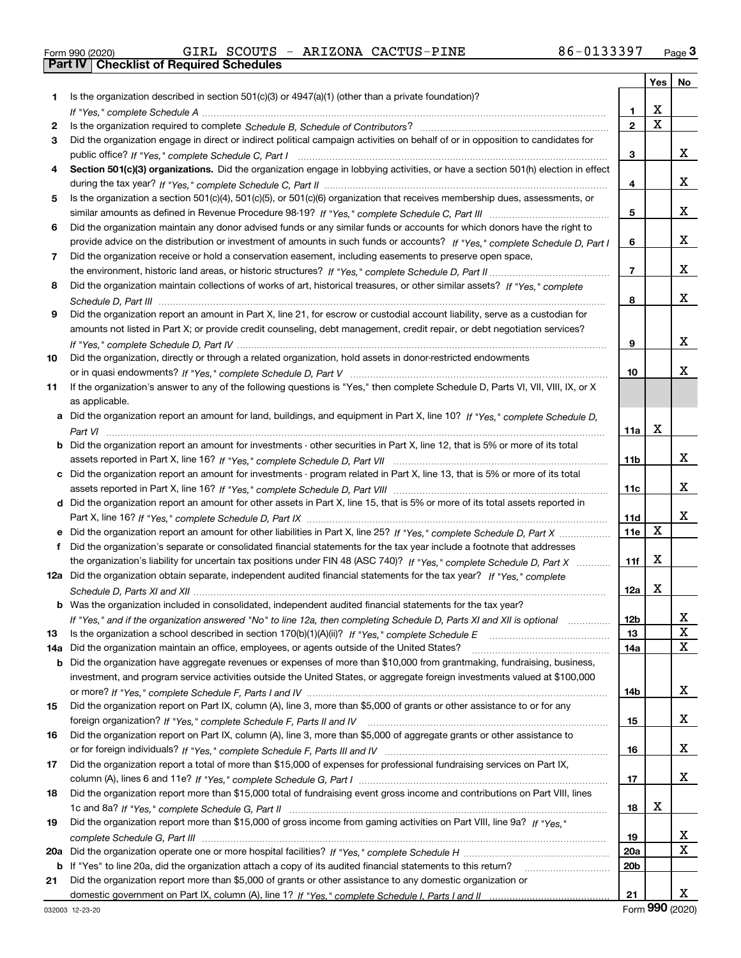|  | Form 990 (2020) |
|--|-----------------|

Form 990 (2020) GIRL SCOUTS **- ARIZONA** CACTUS-PINE 86-0133397 <sub>Page</sub> 3<br>**Part IV | Checklist of Required Schedules** 

|     |                                                                                                                                                                                                                                                   |                 | Yes   No                |   |
|-----|---------------------------------------------------------------------------------------------------------------------------------------------------------------------------------------------------------------------------------------------------|-----------------|-------------------------|---|
| 1   | Is the organization described in section $501(c)(3)$ or $4947(a)(1)$ (other than a private foundation)?                                                                                                                                           |                 |                         |   |
|     | If "Yes," complete Schedule A measured and the complete schedule A measured and the Schedule A measured and the                                                                                                                                   | 1               | X                       |   |
| 2   |                                                                                                                                                                                                                                                   | $\overline{2}$  | $\overline{\mathtt{x}}$ |   |
| З   | Did the organization engage in direct or indirect political campaign activities on behalf of or in opposition to candidates for                                                                                                                   |                 |                         |   |
|     |                                                                                                                                                                                                                                                   | 3               |                         | x |
| 4   | Section 501(c)(3) organizations. Did the organization engage in lobbying activities, or have a section 501(h) election in effect                                                                                                                  |                 |                         |   |
|     |                                                                                                                                                                                                                                                   | 4               |                         | X |
| 5   | Is the organization a section 501(c)(4), 501(c)(5), or 501(c)(6) organization that receives membership dues, assessments, or                                                                                                                      |                 |                         |   |
|     |                                                                                                                                                                                                                                                   | 5               |                         | X |
| 6   | Did the organization maintain any donor advised funds or any similar funds or accounts for which donors have the right to                                                                                                                         |                 |                         |   |
|     | provide advice on the distribution or investment of amounts in such funds or accounts? If "Yes," complete Schedule D, Part I                                                                                                                      | 6               |                         | x |
| 7   | Did the organization receive or hold a conservation easement, including easements to preserve open space,                                                                                                                                         |                 |                         |   |
|     |                                                                                                                                                                                                                                                   | 7               |                         | x |
| 8   | Did the organization maintain collections of works of art, historical treasures, or other similar assets? If "Yes," complete                                                                                                                      |                 |                         |   |
|     |                                                                                                                                                                                                                                                   | 8               |                         | x |
| 9   | Did the organization report an amount in Part X, line 21, for escrow or custodial account liability, serve as a custodian for                                                                                                                     |                 |                         |   |
|     | amounts not listed in Part X; or provide credit counseling, debt management, credit repair, or debt negotiation services?                                                                                                                         |                 |                         |   |
|     |                                                                                                                                                                                                                                                   | 9               |                         | x |
| 10  | Did the organization, directly or through a related organization, hold assets in donor-restricted endowments                                                                                                                                      |                 |                         |   |
|     |                                                                                                                                                                                                                                                   | 10              |                         | х |
| 11  | If the organization's answer to any of the following questions is "Yes," then complete Schedule D, Parts VI, VIII, VIII, IX, or X                                                                                                                 |                 |                         |   |
|     | as applicable.                                                                                                                                                                                                                                    |                 |                         |   |
|     | a Did the organization report an amount for land, buildings, and equipment in Part X, line 10? If "Yes," complete Schedule D,                                                                                                                     |                 |                         |   |
|     |                                                                                                                                                                                                                                                   | 11a             | Х                       |   |
|     | <b>b</b> Did the organization report an amount for investments - other securities in Part X, line 12, that is 5% or more of its total                                                                                                             |                 |                         |   |
|     |                                                                                                                                                                                                                                                   | 11b             |                         | x |
|     | c Did the organization report an amount for investments - program related in Part X, line 13, that is 5% or more of its total                                                                                                                     |                 |                         |   |
|     |                                                                                                                                                                                                                                                   | 11c             |                         | x |
|     | d Did the organization report an amount for other assets in Part X, line 15, that is 5% or more of its total assets reported in                                                                                                                   |                 |                         | х |
|     |                                                                                                                                                                                                                                                   | 11d             | X                       |   |
| е   | Did the organization report an amount for other liabilities in Part X, line 25? If "Yes," complete Schedule D, Part X                                                                                                                             | 11e             |                         |   |
| f   | Did the organization's separate or consolidated financial statements for the tax year include a footnote that addresses                                                                                                                           |                 | X                       |   |
|     | the organization's liability for uncertain tax positions under FIN 48 (ASC 740)? If "Yes," complete Schedule D, Part X<br>12a Did the organization obtain separate, independent audited financial statements for the tax year? If "Yes," complete | 11f             |                         |   |
|     |                                                                                                                                                                                                                                                   |                 | X                       |   |
|     | <b>b</b> Was the organization included in consolidated, independent audited financial statements for the tax year?                                                                                                                                | 12a             |                         |   |
|     |                                                                                                                                                                                                                                                   | 12 <sub>b</sub> |                         | х |
|     | If "Yes," and if the organization answered "No" to line 12a, then completing Schedule D, Parts XI and XII is optional                                                                                                                             |                 |                         | X |
| 13  |                                                                                                                                                                                                                                                   | 13              |                         | X |
| 14a | Did the organization maintain an office, employees, or agents outside of the United States?<br><b>b</b> Did the organization have aggregate revenues or expenses of more than \$10,000 from grantmaking, fundraising, business,                   | 14a             |                         |   |
|     | investment, and program service activities outside the United States, or aggregate foreign investments valued at \$100,000                                                                                                                        |                 |                         |   |
|     |                                                                                                                                                                                                                                                   | 14b             |                         | X |
| 15  | Did the organization report on Part IX, column (A), line 3, more than \$5,000 of grants or other assistance to or for any                                                                                                                         |                 |                         |   |
|     |                                                                                                                                                                                                                                                   | 15              |                         | x |
| 16  | Did the organization report on Part IX, column (A), line 3, more than \$5,000 of aggregate grants or other assistance to                                                                                                                          |                 |                         |   |
|     |                                                                                                                                                                                                                                                   | 16              |                         | x |
| 17  | Did the organization report a total of more than \$15,000 of expenses for professional fundraising services on Part IX,                                                                                                                           |                 |                         |   |
|     |                                                                                                                                                                                                                                                   | 17              |                         | X |
| 18  | Did the organization report more than \$15,000 total of fundraising event gross income and contributions on Part VIII, lines                                                                                                                      |                 |                         |   |
|     |                                                                                                                                                                                                                                                   | 18              | X                       |   |
| 19  | Did the organization report more than \$15,000 of gross income from gaming activities on Part VIII, line 9a? If "Yes."                                                                                                                            |                 |                         |   |
|     |                                                                                                                                                                                                                                                   | 19              |                         | х |
| 20a |                                                                                                                                                                                                                                                   | 20a             |                         | X |
| b   | If "Yes" to line 20a, did the organization attach a copy of its audited financial statements to this return?                                                                                                                                      | 20b             |                         |   |
| 21  | Did the organization report more than \$5,000 of grants or other assistance to any domestic organization or                                                                                                                                       |                 |                         |   |
|     |                                                                                                                                                                                                                                                   | 21              |                         | X |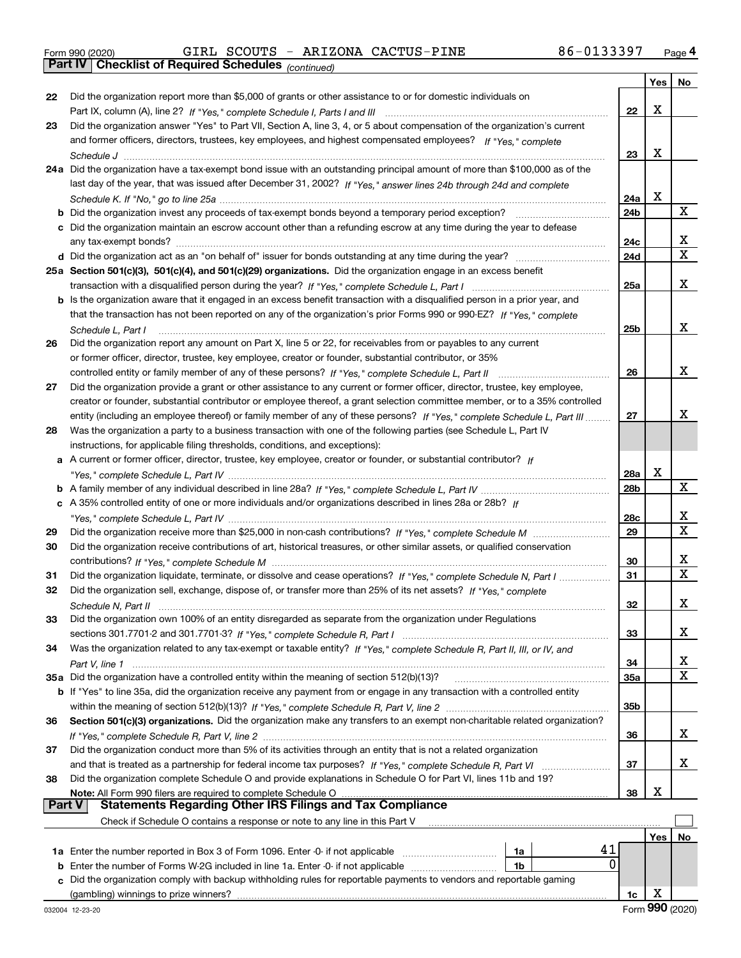Form 990 (2020) GIRL SCOUTS ARIZONA CACTUS-PINE 86-0133397 <sub>Page</sub> 4<br>**Part IV | Checklist of Required Schedules** <sub>(continued)</sub>

*(continued)*

|               |                                                                                                                                                                                                                                                       |     | Yes | No               |
|---------------|-------------------------------------------------------------------------------------------------------------------------------------------------------------------------------------------------------------------------------------------------------|-----|-----|------------------|
| 22            | Did the organization report more than \$5,000 of grants or other assistance to or for domestic individuals on                                                                                                                                         |     |     |                  |
|               |                                                                                                                                                                                                                                                       | 22  | х   |                  |
| 23            | Did the organization answer "Yes" to Part VII, Section A, line 3, 4, or 5 about compensation of the organization's current                                                                                                                            |     |     |                  |
|               | and former officers, directors, trustees, key employees, and highest compensated employees? If "Yes," complete                                                                                                                                        |     |     |                  |
|               |                                                                                                                                                                                                                                                       | 23  | Х   |                  |
|               | 24a Did the organization have a tax-exempt bond issue with an outstanding principal amount of more than \$100,000 as of the                                                                                                                           |     |     |                  |
|               | last day of the year, that was issued after December 31, 2002? If "Yes," answer lines 24b through 24d and complete                                                                                                                                    |     |     |                  |
|               |                                                                                                                                                                                                                                                       | 24a | Х   | X                |
|               | <b>b</b> Did the organization invest any proceeds of tax-exempt bonds beyond a temporary period exception?                                                                                                                                            | 24b |     |                  |
|               | c Did the organization maintain an escrow account other than a refunding escrow at any time during the year to defease                                                                                                                                |     |     |                  |
|               |                                                                                                                                                                                                                                                       | 24c |     | x<br>$\mathbf X$ |
|               |                                                                                                                                                                                                                                                       | 24d |     |                  |
|               | 25a Section 501(c)(3), 501(c)(4), and 501(c)(29) organizations. Did the organization engage in an excess benefit                                                                                                                                      |     |     | х                |
|               |                                                                                                                                                                                                                                                       | 25a |     |                  |
|               | b Is the organization aware that it engaged in an excess benefit transaction with a disqualified person in a prior year, and<br>that the transaction has not been reported on any of the organization's prior Forms 990 or 990-EZ? If "Yes," complete |     |     |                  |
|               |                                                                                                                                                                                                                                                       | 25b |     | х                |
| 26            | Schedule L. Part I<br>Did the organization report any amount on Part X, line 5 or 22, for receivables from or payables to any current                                                                                                                 |     |     |                  |
|               | or former officer, director, trustee, key employee, creator or founder, substantial contributor, or 35%                                                                                                                                               |     |     |                  |
|               |                                                                                                                                                                                                                                                       | 26  |     | х                |
| 27            | Did the organization provide a grant or other assistance to any current or former officer, director, trustee, key employee,                                                                                                                           |     |     |                  |
|               | creator or founder, substantial contributor or employee thereof, a grant selection committee member, or to a 35% controlled                                                                                                                           |     |     |                  |
|               | entity (including an employee thereof) or family member of any of these persons? If "Yes," complete Schedule L, Part III                                                                                                                              | 27  |     | х                |
| 28            | Was the organization a party to a business transaction with one of the following parties (see Schedule L, Part IV                                                                                                                                     |     |     |                  |
|               | instructions, for applicable filing thresholds, conditions, and exceptions):                                                                                                                                                                          |     |     |                  |
|               | a A current or former officer, director, trustee, key employee, creator or founder, or substantial contributor? If                                                                                                                                    |     |     |                  |
|               |                                                                                                                                                                                                                                                       | 28a | Х   |                  |
|               |                                                                                                                                                                                                                                                       | 28b |     | X                |
|               | c A 35% controlled entity of one or more individuals and/or organizations described in lines 28a or 28b? If                                                                                                                                           |     |     |                  |
|               |                                                                                                                                                                                                                                                       | 28c |     | x                |
| 29            |                                                                                                                                                                                                                                                       | 29  |     | $\mathbf X$      |
| 30            | Did the organization receive contributions of art, historical treasures, or other similar assets, or qualified conservation                                                                                                                           |     |     |                  |
|               |                                                                                                                                                                                                                                                       | 30  |     | x                |
| 31            | Did the organization liquidate, terminate, or dissolve and cease operations? If "Yes," complete Schedule N, Part I                                                                                                                                    | 31  |     | $\mathbf X$      |
| 32            | Did the organization sell, exchange, dispose of, or transfer more than 25% of its net assets? If "Yes," complete                                                                                                                                      |     |     |                  |
|               |                                                                                                                                                                                                                                                       | 32  |     | x                |
| 33            | Did the organization own 100% of an entity disregarded as separate from the organization under Regulations                                                                                                                                            |     |     |                  |
|               |                                                                                                                                                                                                                                                       | 33  |     | х                |
| 34            | Was the organization related to any tax-exempt or taxable entity? If "Yes," complete Schedule R, Part II, III, or IV, and                                                                                                                             |     |     |                  |
|               |                                                                                                                                                                                                                                                       | 34  |     | X                |
|               | 35a Did the organization have a controlled entity within the meaning of section 512(b)(13)?                                                                                                                                                           | 35a |     | $\mathbf X$      |
|               | <b>b</b> If "Yes" to line 35a, did the organization receive any payment from or engage in any transaction with a controlled entity                                                                                                                    |     |     |                  |
|               |                                                                                                                                                                                                                                                       | 35b |     |                  |
| 36            | Section 501(c)(3) organizations. Did the organization make any transfers to an exempt non-charitable related organization?                                                                                                                            |     |     |                  |
|               |                                                                                                                                                                                                                                                       | 36  |     | x                |
| 37            | Did the organization conduct more than 5% of its activities through an entity that is not a related organization                                                                                                                                      |     |     | x                |
|               | and that is treated as a partnership for federal income tax purposes? If "Yes," complete Schedule R, Part VI<br>Did the organization complete Schedule O and provide explanations in Schedule O for Part VI, lines 11b and 19?                        | 37  |     |                  |
| 38            | Note: All Form 990 filers are required to complete Schedule O                                                                                                                                                                                         | 38  | х   |                  |
| <b>Part V</b> | <b>Statements Regarding Other IRS Filings and Tax Compliance</b>                                                                                                                                                                                      |     |     |                  |
|               | Check if Schedule O contains a response or note to any line in this Part V                                                                                                                                                                            |     |     |                  |
|               |                                                                                                                                                                                                                                                       |     | Yes | No               |
|               | 41<br>1a Enter the number reported in Box 3 of Form 1096. Enter -0- if not applicable<br>1a                                                                                                                                                           |     |     |                  |
| b             | 0<br>Enter the number of Forms W-2G included in line 1a. Enter -0- if not applicable<br>1b                                                                                                                                                            |     |     |                  |
| c             | Did the organization comply with backup withholding rules for reportable payments to vendors and reportable gaming                                                                                                                                    |     |     |                  |
|               | (gambling) winnings to prize winners?                                                                                                                                                                                                                 | 1c  | х   |                  |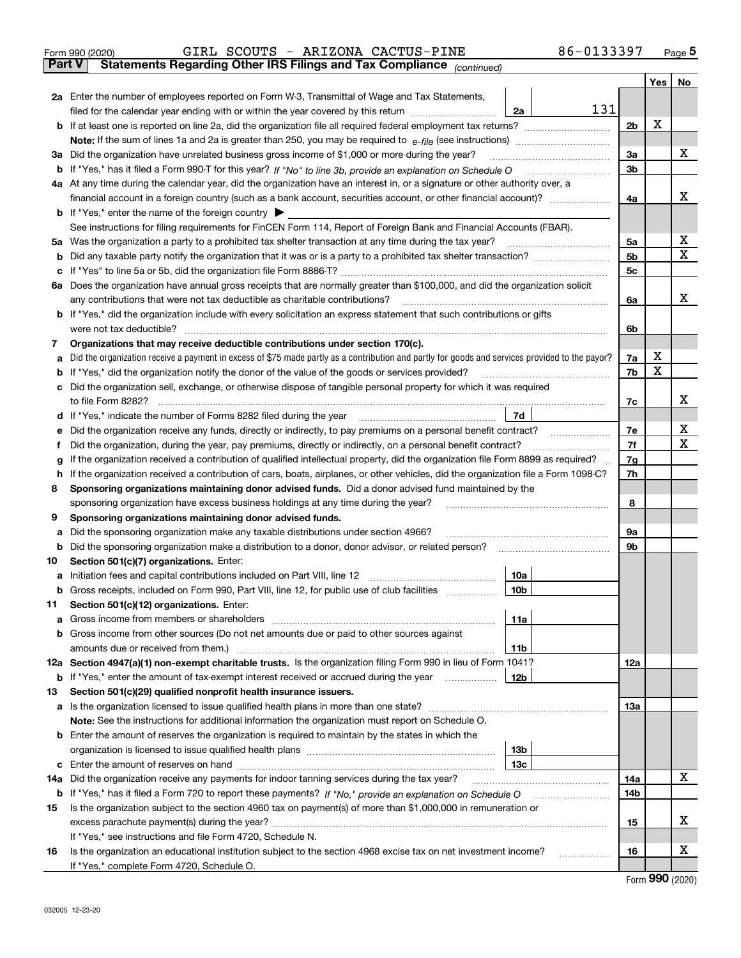|     |                                                                                                                                                              |                | Yes∣ | No |  |  |  |  |  |  |
|-----|--------------------------------------------------------------------------------------------------------------------------------------------------------------|----------------|------|----|--|--|--|--|--|--|
|     | <b>2a</b> Enter the number of employees reported on Form W-3, Transmittal of Wage and Tax Statements,                                                        |                |      |    |  |  |  |  |  |  |
|     | 131<br>2a<br>filed for the calendar year ending with or within the year covered by this return <i>manumumumum</i>                                            |                |      |    |  |  |  |  |  |  |
|     |                                                                                                                                                              | 2 <sub>b</sub> | х    |    |  |  |  |  |  |  |
|     |                                                                                                                                                              |                |      |    |  |  |  |  |  |  |
|     | 3a Did the organization have unrelated business gross income of \$1,000 or more during the year?                                                             |                |      |    |  |  |  |  |  |  |
|     |                                                                                                                                                              | 3 <sub>b</sub> |      |    |  |  |  |  |  |  |
|     | 4a At any time during the calendar year, did the organization have an interest in, or a signature or other authority over, a                                 |                |      | х  |  |  |  |  |  |  |
|     |                                                                                                                                                              | 4a             |      |    |  |  |  |  |  |  |
|     | <b>b</b> If "Yes," enter the name of the foreign country                                                                                                     |                |      |    |  |  |  |  |  |  |
|     | See instructions for filing requirements for FinCEN Form 114, Report of Foreign Bank and Financial Accounts (FBAR).                                          | 5a             |      | х  |  |  |  |  |  |  |
| b   | 5a Was the organization a party to a prohibited tax shelter transaction at any time during the tax year? <i>marrouummanner</i>                               | 5 <sub>b</sub> |      | х  |  |  |  |  |  |  |
| c   |                                                                                                                                                              | 5 <sub>c</sub> |      |    |  |  |  |  |  |  |
|     | 6a Does the organization have annual gross receipts that are normally greater than \$100,000, and did the organization solicit                               |                |      |    |  |  |  |  |  |  |
|     | any contributions that were not tax deductible as charitable contributions?                                                                                  | 6a             |      | x  |  |  |  |  |  |  |
|     | <b>b</b> If "Yes," did the organization include with every solicitation an express statement that such contributions or gifts                                |                |      |    |  |  |  |  |  |  |
|     | were not tax deductible?                                                                                                                                     | 6b             |      |    |  |  |  |  |  |  |
| 7   | Organizations that may receive deductible contributions under section 170(c).                                                                                |                |      |    |  |  |  |  |  |  |
| а   | Did the organization receive a payment in excess of \$75 made partly as a contribution and partly for goods and services provided to the payor?              | 7a             | х    |    |  |  |  |  |  |  |
|     | <b>b</b> If "Yes," did the organization notify the donor of the value of the goods or services provided?                                                     | 7b             | X    |    |  |  |  |  |  |  |
| c   | Did the organization sell, exchange, or otherwise dispose of tangible personal property for which it was required                                            |                |      |    |  |  |  |  |  |  |
|     | to file Form 8282?                                                                                                                                           | 7c             |      | х  |  |  |  |  |  |  |
|     | 7d<br>d If "Yes," indicate the number of Forms 8282 filed during the year                                                                                    |                |      |    |  |  |  |  |  |  |
| е   | 7e<br>Did the organization receive any funds, directly or indirectly, to pay premiums on a personal benefit contract?                                        |                |      |    |  |  |  |  |  |  |
| f   | Did the organization, during the year, pay premiums, directly or indirectly, on a personal benefit contract?                                                 |                |      |    |  |  |  |  |  |  |
| g   | If the organization received a contribution of qualified intellectual property, did the organization file Form 8899 as required?                             |                |      |    |  |  |  |  |  |  |
|     | h If the organization received a contribution of cars, boats, airplanes, or other vehicles, did the organization file a Form 1098-C?                         |                |      |    |  |  |  |  |  |  |
| 8   | Sponsoring organizations maintaining donor advised funds. Did a donor advised fund maintained by the                                                         |                |      |    |  |  |  |  |  |  |
|     | sponsoring organization have excess business holdings at any time during the year?                                                                           | 8              |      |    |  |  |  |  |  |  |
| 9   | Sponsoring organizations maintaining donor advised funds.                                                                                                    |                |      |    |  |  |  |  |  |  |
| а   | Did the sponsoring organization make any taxable distributions under section 4966?                                                                           | 9a             |      |    |  |  |  |  |  |  |
| b   | Did the sponsoring organization make a distribution to a donor, donor advisor, or related person?                                                            | 9b             |      |    |  |  |  |  |  |  |
| 10  | Section 501(c)(7) organizations. Enter:                                                                                                                      |                |      |    |  |  |  |  |  |  |
| а   | 10a<br>Initiation fees and capital contributions included on Part VIII, line 12 <i>manuarrouus</i> manuations of the lates                                   |                |      |    |  |  |  |  |  |  |
|     | 10 <sub>b</sub><br><b>b</b> Gross receipts, included on Form 990, Part VIII, line 12, for public use of club facilities <i>manumum</i>                       |                |      |    |  |  |  |  |  |  |
| 11  | Section 501(c)(12) organizations. Enter:                                                                                                                     |                |      |    |  |  |  |  |  |  |
| а   | 11a<br>Gross income from members or shareholders                                                                                                             |                |      |    |  |  |  |  |  |  |
|     | <b>b</b> Gross income from other sources (Do not net amounts due or paid to other sources against                                                            |                |      |    |  |  |  |  |  |  |
|     | amounts due or received from them.)<br>11b<br>12a Section 4947(a)(1) non-exempt charitable trusts. Is the organization filing Form 990 in lieu of Form 1041? | 12a            |      |    |  |  |  |  |  |  |
|     | 12b<br><b>b</b> If "Yes," enter the amount of tax-exempt interest received or accrued during the year <i>manument</i>                                        |                |      |    |  |  |  |  |  |  |
| 13  | Section 501(c)(29) qualified nonprofit health insurance issuers.                                                                                             |                |      |    |  |  |  |  |  |  |
|     | <b>a</b> Is the organization licensed to issue qualified health plans in more than one state?                                                                | 13а            |      |    |  |  |  |  |  |  |
|     | Note: See the instructions for additional information the organization must report on Schedule O.                                                            |                |      |    |  |  |  |  |  |  |
|     | <b>b</b> Enter the amount of reserves the organization is required to maintain by the states in which the                                                    |                |      |    |  |  |  |  |  |  |
|     | 13 <sub>b</sub>                                                                                                                                              |                |      |    |  |  |  |  |  |  |
|     | 13с                                                                                                                                                          |                |      |    |  |  |  |  |  |  |
| 14a |                                                                                                                                                              | 14a            |      | х  |  |  |  |  |  |  |
|     |                                                                                                                                                              | 14b            |      |    |  |  |  |  |  |  |
| 15  | Is the organization subject to the section 4960 tax on payment(s) of more than \$1,000,000 in remuneration or                                                |                |      |    |  |  |  |  |  |  |
|     |                                                                                                                                                              | 15             |      | x  |  |  |  |  |  |  |
|     | If "Yes," see instructions and file Form 4720, Schedule N.                                                                                                   |                |      |    |  |  |  |  |  |  |
| 16  | Is the organization an educational institution subject to the section 4968 excise tax on net investment income?                                              | 16             |      | x  |  |  |  |  |  |  |
|     | If "Yes," complete Form 4720, Schedule O.                                                                                                                    |                |      |    |  |  |  |  |  |  |

Form 990 (2020) GIRL SCOUTS - ARIZONA CACTUS-PINE 86-0133397 <sub>Page</sub> 5<br>**Part V** | Statements Regarding Other IRS Filings and Tax Compliance *<sub>continued*)</sub>

*(continued)*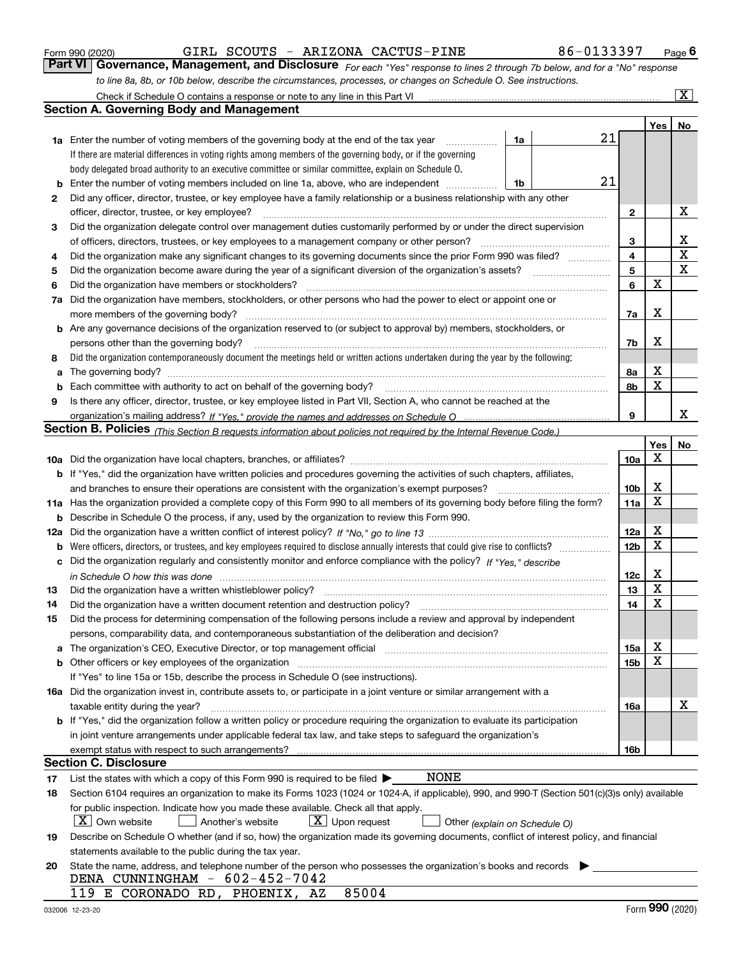|  | Form 990 (2020) |
|--|-----------------|
|  |                 |

GIRL SCOUTS - ARIZONA CACTUS-PINE 86-0133397

*For each "Yes" response to lines 2 through 7b below, and for a "No" response to line 8a, 8b, or 10b below, describe the circumstances, processes, or changes on Schedule O. See instructions.* Form 990 (2020) **CIRL SCOUTS - ARIZONA CACTUS-PINE** 86-0133397 Page 6<br>**Part VI Governance, Management, and Disclosure** *For each "Yes" response to lines 2 through 7b below, and for a "No" response* Check if Schedule O contains a response or note to any line in this Part VI

|     | Check if Schedule O contains a response or note to any line in this Part VI                                                                                           |                               |    |                 |     | $\mathbf{X}$ |  |  |  |  |  |
|-----|-----------------------------------------------------------------------------------------------------------------------------------------------------------------------|-------------------------------|----|-----------------|-----|--------------|--|--|--|--|--|
|     | Section A. Governing Body and Management                                                                                                                              |                               |    |                 |     |              |  |  |  |  |  |
|     |                                                                                                                                                                       |                               |    |                 | Yes | No           |  |  |  |  |  |
|     | <b>1a</b> Enter the number of voting members of the governing body at the end of the tax year                                                                         | 1a                            | 21 |                 |     |              |  |  |  |  |  |
|     | If there are material differences in voting rights among members of the governing body, or if the governing                                                           |                               |    |                 |     |              |  |  |  |  |  |
|     | body delegated broad authority to an executive committee or similar committee, explain on Schedule O.                                                                 |                               |    |                 |     |              |  |  |  |  |  |
| b   | 21<br>Enter the number of voting members included on line 1a, above, who are independent<br>1b                                                                        |                               |    |                 |     |              |  |  |  |  |  |
| 2   | Did any officer, director, trustee, or key employee have a family relationship or a business relationship with any other                                              |                               |    |                 |     |              |  |  |  |  |  |
|     | officer, director, trustee, or key employee?                                                                                                                          |                               |    | 2               |     | х            |  |  |  |  |  |
| 3   | Did the organization delegate control over management duties customarily performed by or under the direct supervision                                                 |                               |    |                 |     |              |  |  |  |  |  |
|     | of officers, directors, trustees, or key employees to a management company or other person?                                                                           |                               |    | 3               |     | х            |  |  |  |  |  |
| 4   | Did the organization make any significant changes to its governing documents since the prior Form 990 was filed?                                                      |                               |    | 4               |     | $\mathbf X$  |  |  |  |  |  |
| 5   |                                                                                                                                                                       |                               |    | 5               |     | х            |  |  |  |  |  |
| 6   | Did the organization have members or stockholders?                                                                                                                    |                               |    | 6               | X   |              |  |  |  |  |  |
| 7a  | Did the organization have members, stockholders, or other persons who had the power to elect or appoint one or                                                        |                               |    |                 |     |              |  |  |  |  |  |
|     | more members of the governing body?                                                                                                                                   |                               |    | 7a              | х   |              |  |  |  |  |  |
|     | <b>b</b> Are any governance decisions of the organization reserved to (or subject to approval by) members, stockholders, or                                           |                               |    |                 |     |              |  |  |  |  |  |
|     | persons other than the governing body?                                                                                                                                |                               |    | 7b              | х   |              |  |  |  |  |  |
| 8   | Did the organization contemporaneously document the meetings held or written actions undertaken during the year by the following:                                     |                               |    |                 |     |              |  |  |  |  |  |
| a   |                                                                                                                                                                       |                               |    | 8а              | X   |              |  |  |  |  |  |
| b   |                                                                                                                                                                       |                               |    | 8b              | X   |              |  |  |  |  |  |
| 9   | Is there any officer, director, trustee, or key employee listed in Part VII, Section A, who cannot be reached at the                                                  |                               |    |                 |     |              |  |  |  |  |  |
|     |                                                                                                                                                                       |                               |    | 9               |     | x            |  |  |  |  |  |
|     | <b>Section B. Policies</b> (This Section B requests information about policies not required by the Internal Revenue Code.)                                            |                               |    |                 |     |              |  |  |  |  |  |
|     |                                                                                                                                                                       |                               |    |                 | Yes | No           |  |  |  |  |  |
|     |                                                                                                                                                                       |                               |    | 10a             | X   |              |  |  |  |  |  |
|     | <b>b</b> If "Yes," did the organization have written policies and procedures governing the activities of such chapters, affiliates,                                   |                               |    |                 |     |              |  |  |  |  |  |
|     | and branches to ensure their operations are consistent with the organization's exempt purposes?                                                                       |                               |    | 10 <sub>b</sub> | X   |              |  |  |  |  |  |
|     | 11a Has the organization provided a complete copy of this Form 990 to all members of its governing body before filing the form?                                       |                               |    | 11a             | x   |              |  |  |  |  |  |
| b   | Describe in Schedule O the process, if any, used by the organization to review this Form 990.                                                                         |                               |    |                 |     |              |  |  |  |  |  |
| 12a |                                                                                                                                                                       |                               |    | 12a             | X   |              |  |  |  |  |  |
| b   |                                                                                                                                                                       |                               |    | 12 <sub>b</sub> | x   |              |  |  |  |  |  |
|     | c Did the organization regularly and consistently monitor and enforce compliance with the policy? If "Yes." describe                                                  |                               |    |                 |     |              |  |  |  |  |  |
|     | in Schedule O how this was done www.communication.com/www.communications.com/www.communications.com/                                                                  |                               |    | 12c             | X   |              |  |  |  |  |  |
| 13  | Did the organization have a written whistleblower policy?                                                                                                             |                               |    | 13              | X   |              |  |  |  |  |  |
| 14  | Did the organization have a written document retention and destruction policy?                                                                                        |                               |    | 14              | X   |              |  |  |  |  |  |
| 15  | Did the process for determining compensation of the following persons include a review and approval by independent                                                    |                               |    |                 |     |              |  |  |  |  |  |
|     | persons, comparability data, and contemporaneous substantiation of the deliberation and decision?                                                                     |                               |    |                 |     |              |  |  |  |  |  |
| a   | The organization's CEO, Executive Director, or top management official manufactured content of the organization's CEO, Executive Director, or top management official |                               |    | 15a             | х   |              |  |  |  |  |  |
|     | <b>b</b> Other officers or key employees of the organization                                                                                                          |                               |    | 15 <sub>b</sub> | х   |              |  |  |  |  |  |
|     | If "Yes" to line 15a or 15b, describe the process in Schedule O (see instructions).                                                                                   |                               |    |                 |     |              |  |  |  |  |  |
|     | 16a Did the organization invest in, contribute assets to, or participate in a joint venture or similar arrangement with a                                             |                               |    |                 |     |              |  |  |  |  |  |
|     | taxable entity during the year?                                                                                                                                       |                               |    | 16a             |     | х            |  |  |  |  |  |
|     | b If "Yes," did the organization follow a written policy or procedure requiring the organization to evaluate its participation                                        |                               |    |                 |     |              |  |  |  |  |  |
|     | in joint venture arrangements under applicable federal tax law, and take steps to safeguard the organization's                                                        |                               |    |                 |     |              |  |  |  |  |  |
|     | exempt status with respect to such arrangements?                                                                                                                      |                               |    | 16b             |     |              |  |  |  |  |  |
|     | Section C. Disclosure                                                                                                                                                 |                               |    |                 |     |              |  |  |  |  |  |
| 17  | NONE<br>List the states with which a copy of this Form 990 is required to be filed $\blacktriangleright$                                                              |                               |    |                 |     |              |  |  |  |  |  |
| 18  | Section 6104 requires an organization to make its Forms 1023 (1024 or 1024-A, if applicable), 990, and 990-T (Section 501(c)(3)s only) available                      |                               |    |                 |     |              |  |  |  |  |  |
|     | for public inspection. Indicate how you made these available. Check all that apply.                                                                                   |                               |    |                 |     |              |  |  |  |  |  |
|     | $X$ Own website<br>$\lfloor x \rfloor$ Upon request<br>Another's website                                                                                              | Other (explain on Schedule O) |    |                 |     |              |  |  |  |  |  |
| 19  | Describe on Schedule O whether (and if so, how) the organization made its governing documents, conflict of interest policy, and financial                             |                               |    |                 |     |              |  |  |  |  |  |
|     | statements available to the public during the tax year.                                                                                                               |                               |    |                 |     |              |  |  |  |  |  |
| 20  | State the name, address, and telephone number of the person who possesses the organization's books and records                                                        |                               |    |                 |     |              |  |  |  |  |  |
|     | DENA CUNNINGHAM - 602-452-7042                                                                                                                                        |                               |    |                 |     |              |  |  |  |  |  |
|     | 85004<br>119 E CORONADO RD, PHOENIX, AZ                                                                                                                               |                               |    |                 |     |              |  |  |  |  |  |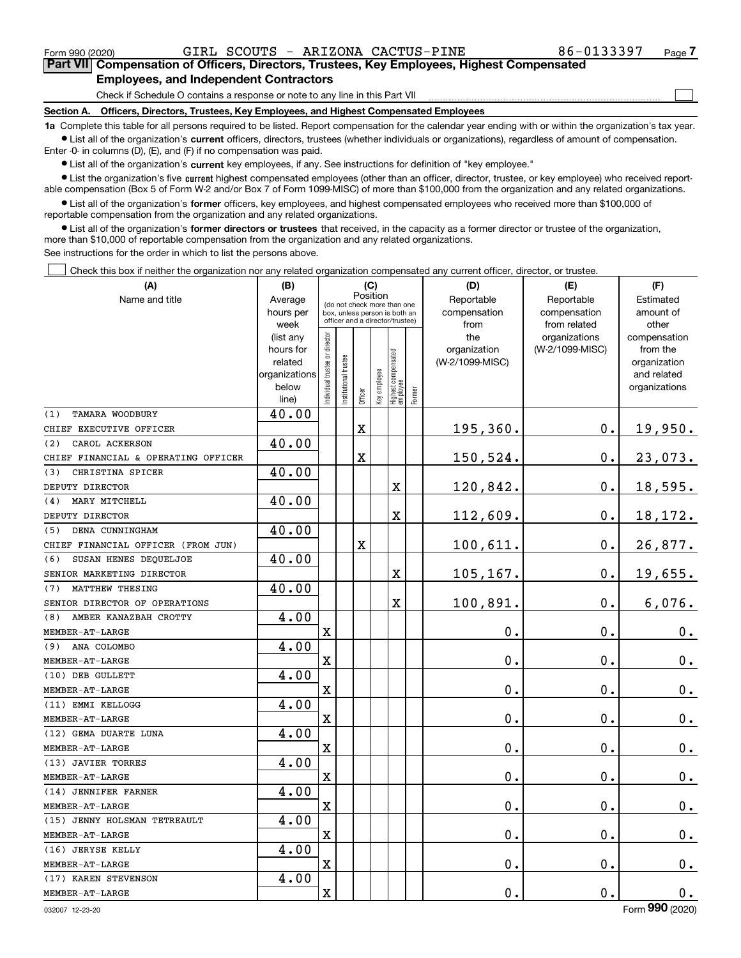Form 990 (2020) GIRL SCOUTS - ARIZONA CACTUS-PINE 86-0133397 Page

 $\mathcal{L}^{\text{max}}$ 

## **7Part VII Compensation of Officers, Directors, Trustees, Key Employees, Highest Compensated Employees, and Independent Contractors**

Check if Schedule O contains a response or note to any line in this Part VII

**Section A. Officers, Directors, Trustees, Key Employees, and Highest Compensated Employees**

**1a**  Complete this table for all persons required to be listed. Report compensation for the calendar year ending with or within the organization's tax year. **•** List all of the organization's current officers, directors, trustees (whether individuals or organizations), regardless of amount of compensation.

Enter -0- in columns (D), (E), and (F) if no compensation was paid.

 $\bullet$  List all of the organization's  $\,$ current key employees, if any. See instructions for definition of "key employee."

**•** List the organization's five current highest compensated employees (other than an officer, director, trustee, or key employee) who received reportable compensation (Box 5 of Form W-2 and/or Box 7 of Form 1099-MISC) of more than \$100,000 from the organization and any related organizations.

**•** List all of the organization's former officers, key employees, and highest compensated employees who received more than \$100,000 of reportable compensation from the organization and any related organizations.

**former directors or trustees**  ¥ List all of the organization's that received, in the capacity as a former director or trustee of the organization, more than \$10,000 of reportable compensation from the organization and any related organizations.

See instructions for the order in which to list the persons above.

Check this box if neither the organization nor any related organization compensated any current officer, director, or trustee.  $\mathcal{L}^{\text{max}}$ 

| (A)                                 | (B)               | (C)<br>Position               |                                                                  |         |              |                                   |        | (D)             | (E)                           | (F)                   |
|-------------------------------------|-------------------|-------------------------------|------------------------------------------------------------------|---------|--------------|-----------------------------------|--------|-----------------|-------------------------------|-----------------------|
| Name and title                      | Average           |                               |                                                                  |         |              | (do not check more than one       |        | Reportable      | Reportable                    | Estimated             |
|                                     | hours per         |                               | box, unless person is both an<br>officer and a director/trustee) |         |              |                                   |        | compensation    | compensation                  | amount of             |
|                                     | week<br>(list any |                               |                                                                  |         |              |                                   |        | from<br>the     | from related<br>organizations | other<br>compensation |
|                                     | hours for         |                               |                                                                  |         |              |                                   |        | organization    | (W-2/1099-MISC)               | from the              |
|                                     | related           |                               |                                                                  |         |              |                                   |        | (W-2/1099-MISC) |                               | organization          |
|                                     | organizations     |                               |                                                                  |         |              |                                   |        |                 |                               | and related           |
|                                     | below             | ndividual trustee or director | nstitutional trustee                                             |         | key employee | Highest compensated<br>  employee | Former |                 |                               | organizations         |
|                                     | line)             |                               |                                                                  | Officer |              |                                   |        |                 |                               |                       |
| TAMARA WOODBURY<br>(1)              | 40.00             |                               |                                                                  |         |              |                                   |        |                 |                               |                       |
| CHIEF EXECUTIVE OFFICER             |                   |                               |                                                                  | X       |              |                                   |        | 195,360.        | 0.                            | 19,950.               |
| CAROL ACKERSON<br>(2)               | 40.00             |                               |                                                                  |         |              |                                   |        |                 |                               |                       |
| CHIEF FINANCIAL & OPERATING OFFICER |                   |                               |                                                                  | X       |              |                                   |        | 150,524.        | 0.                            | 23,073.               |
| CHRISTINA SPICER<br>(3)             | 40.00             |                               |                                                                  |         |              |                                   |        |                 |                               |                       |
| DEPUTY DIRECTOR                     |                   |                               |                                                                  |         |              | X                                 |        | 120,842.        | 0.                            | 18,595.               |
| MARY MITCHELL<br>(4)                | 40.00             |                               |                                                                  |         |              |                                   |        |                 |                               |                       |
| DEPUTY DIRECTOR                     |                   |                               |                                                                  |         |              | $\overline{\mathbf{X}}$           |        | 112,609.        | 0.                            | 18,172.               |
| DENA CUNNINGHAM<br>(5)              | 40.00             |                               |                                                                  |         |              |                                   |        |                 |                               |                       |
| CHIEF FINANCIAL OFFICER (FROM JUN)  |                   |                               |                                                                  | X       |              |                                   |        | 100,611.        | 0.                            | 26,877.               |
| (6)<br>SUSAN HENES DEQUELJOE        | 40.00             |                               |                                                                  |         |              |                                   |        |                 |                               |                       |
| SENIOR MARKETING DIRECTOR           |                   |                               |                                                                  |         |              | $\overline{\text{X}}$             |        | 105,167.        | 0.                            | 19,655.               |
| MATTHEW THESING<br>(7)              | 40.00             |                               |                                                                  |         |              |                                   |        |                 |                               |                       |
| SENIOR DIRECTOR OF OPERATIONS       |                   |                               |                                                                  |         |              | $\overline{\textbf{X}}$           |        | 100,891.        | 0.                            | 6,076.                |
| AMBER KANAZBAH CROTTY<br>(8)        | 4.00              |                               |                                                                  |         |              |                                   |        |                 |                               |                       |
| $\texttt{MEMBER-AT-LARGE}$          |                   | $\overline{\textbf{X}}$       |                                                                  |         |              |                                   |        | $\mathbf 0$ .   | 0.                            | $\mathbf 0$ .         |
| ANA COLOMBO<br>(9)                  | 4.00              |                               |                                                                  |         |              |                                   |        |                 |                               |                       |
| MEMBER-AT-LARGE                     |                   | $\mathbf X$                   |                                                                  |         |              |                                   |        | $\mathbf 0$ .   | 0.                            | $\mathbf 0$ .         |
| (10) DEB GULLETT                    | 4.00              |                               |                                                                  |         |              |                                   |        |                 |                               |                       |
| MEMBER-AT-LARGE                     |                   | $\mathbf X$                   |                                                                  |         |              |                                   |        | $\mathbf 0$ .   | 0.                            | $\mathbf 0$ .         |
| (11) EMMI KELLOGG                   | 4.00              |                               |                                                                  |         |              |                                   |        |                 |                               |                       |
| MEMBER-AT-LARGE                     |                   | $\mathbf X$                   |                                                                  |         |              |                                   |        | $\mathbf 0$ .   | 0.                            | $\mathbf 0$ .         |
| (12) GEMA DUARTE LUNA               | 4.00              |                               |                                                                  |         |              |                                   |        |                 |                               |                       |
| MEMBER-AT-LARGE                     |                   | $\mathbf X$                   |                                                                  |         |              |                                   |        | 0.              | 0.                            | 0.                    |
| (13) JAVIER TORRES                  | 4.00              |                               |                                                                  |         |              |                                   |        |                 |                               |                       |
| MEMBER-AT-LARGE                     |                   | $\mathbf X$                   |                                                                  |         |              |                                   |        | 0.              | 0.                            | $\mathbf 0$ .         |
| (14) JENNIFER FARNER                | 4.00              |                               |                                                                  |         |              |                                   |        |                 |                               |                       |
| MEMBER-AT-LARGE                     |                   | $\mathbf X$                   |                                                                  |         |              |                                   |        | $\mathbf 0$ .   | 0.                            | $\mathbf 0$ .         |
| (15) JENNY HOLSMAN TETREAULT        | 4.00              |                               |                                                                  |         |              |                                   |        |                 |                               |                       |
| MEMBER-AT-LARGE                     |                   | $\mathbf X$                   |                                                                  |         |              |                                   |        | $\mathbf 0$ .   | 0.                            | $\mathbf 0$ .         |
| (16) JERYSE KELLY                   | 4.00              |                               |                                                                  |         |              |                                   |        |                 |                               |                       |
| MEMBER-AT-LARGE                     |                   | $\mathbf X$                   |                                                                  |         |              |                                   |        | 0.              | 0.                            | 0.                    |
| (17) KAREN STEVENSON                | 4.00              |                               |                                                                  |         |              |                                   |        |                 |                               |                       |
| MEMBER-AT-LARGE                     |                   | $\mathbf X$                   |                                                                  |         |              |                                   |        | 0.              | 0.                            | 0.                    |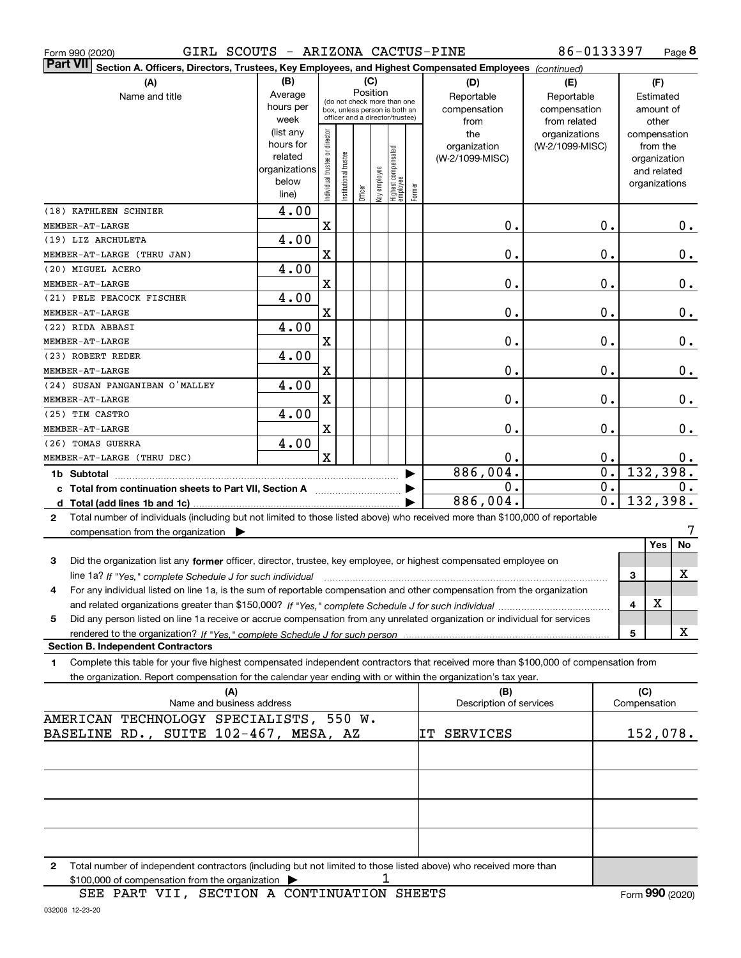Form 990 (2020) GIRL SCOUTS - ARIZONA CACTUS-PINE 86-0133397 Page

**8** 86-0133397

| Part VII Sect <u>ion A. Officers, Directors, Trustees, Key Employees, and Highest Compensated Employees <i>(continued)</i></u>                                                                                                                                          |                          |                                |                                                              |         |              |                                  |        |                         |                 |                  |               |              |
|-------------------------------------------------------------------------------------------------------------------------------------------------------------------------------------------------------------------------------------------------------------------------|--------------------------|--------------------------------|--------------------------------------------------------------|---------|--------------|----------------------------------|--------|-------------------------|-----------------|------------------|---------------|--------------|
| (A)                                                                                                                                                                                                                                                                     | (B)                      |                                |                                                              |         | (C)          |                                  |        | (D)                     | (E)             |                  | (F)           |              |
| Name and title                                                                                                                                                                                                                                                          | Average                  |                                |                                                              |         | Position     |                                  |        | Reportable              | Reportable      |                  | Estimated     |              |
|                                                                                                                                                                                                                                                                         | hours per                |                                | (do not check more than one<br>box, unless person is both an |         |              |                                  |        | compensation            | compensation    |                  | amount of     |              |
|                                                                                                                                                                                                                                                                         | week                     |                                | officer and a director/trustee)                              |         |              |                                  |        | from                    | from related    |                  |               | other        |
|                                                                                                                                                                                                                                                                         | (list any                |                                |                                                              |         |              |                                  |        | the                     | organizations   |                  |               | compensation |
|                                                                                                                                                                                                                                                                         | hours for                |                                |                                                              |         |              |                                  |        | organization            | (W-2/1099-MISC) |                  | from the      |              |
|                                                                                                                                                                                                                                                                         | related<br>organizations |                                |                                                              |         |              |                                  |        | (W-2/1099-MISC)         |                 |                  | organization  |              |
|                                                                                                                                                                                                                                                                         | below                    |                                |                                                              |         |              |                                  |        |                         |                 |                  |               | and related  |
|                                                                                                                                                                                                                                                                         | line)                    | Individual trustee or director | Institutional trustee                                        | Officer | Key employee | Highest compensated<br> employee | Former |                         |                 |                  | organizations |              |
| (18) KATHLEEN SCHNIER                                                                                                                                                                                                                                                   | 4.00                     |                                |                                                              |         |              |                                  |        |                         |                 |                  |               |              |
| MEMBER-AT-LARGE                                                                                                                                                                                                                                                         |                          | X                              |                                                              |         |              |                                  |        | 0.                      |                 | 0.               |               | 0.           |
| (19) LIZ ARCHULETA                                                                                                                                                                                                                                                      | 4.00                     |                                |                                                              |         |              |                                  |        |                         |                 |                  |               |              |
| MEMBER-AT-LARGE (THRU JAN)                                                                                                                                                                                                                                              |                          | X                              |                                                              |         |              |                                  |        | 0.                      |                 | 0.               |               | 0.           |
| (20) MIGUEL ACERO                                                                                                                                                                                                                                                       | 4.00                     |                                |                                                              |         |              |                                  |        |                         |                 |                  |               |              |
| MEMBER-AT-LARGE                                                                                                                                                                                                                                                         |                          | Χ                              |                                                              |         |              |                                  |        | $\mathbf 0$ .           |                 | 0.               |               | 0.           |
| (21) PELE PEACOCK FISCHER                                                                                                                                                                                                                                               | 4.00                     |                                |                                                              |         |              |                                  |        |                         |                 |                  |               |              |
| MEMBER-AT-LARGE                                                                                                                                                                                                                                                         |                          | Χ                              |                                                              |         |              |                                  |        | $\mathbf 0$ .           |                 | 0.               |               | 0.           |
| (22) RIDA ABBASI                                                                                                                                                                                                                                                        | 4.00                     |                                |                                                              |         |              |                                  |        |                         |                 |                  |               |              |
| MEMBER-AT-LARGE                                                                                                                                                                                                                                                         |                          | Χ                              |                                                              |         |              |                                  |        | $\mathbf 0$ .           |                 | 0.               |               | 0.           |
| (23) ROBERT REDER                                                                                                                                                                                                                                                       | 4.00                     |                                |                                                              |         |              |                                  |        |                         |                 |                  |               |              |
| MEMBER-AT-LARGE                                                                                                                                                                                                                                                         |                          | Χ                              |                                                              |         |              |                                  |        | $\mathbf 0$ .           |                 | 0.               |               | 0.           |
| (24) SUSAN PANGANIBAN O'MALLEY                                                                                                                                                                                                                                          | 4.00                     |                                |                                                              |         |              |                                  |        |                         |                 |                  |               |              |
| MEMBER-AT-LARGE                                                                                                                                                                                                                                                         |                          | Χ                              |                                                              |         |              |                                  |        | 0.                      |                 | 0.               |               | 0.           |
| (25) TIM CASTRO                                                                                                                                                                                                                                                         | 4.00                     |                                |                                                              |         |              |                                  |        |                         |                 |                  |               |              |
| MEMBER-AT-LARGE                                                                                                                                                                                                                                                         |                          | X                              |                                                              |         |              |                                  |        | 0.                      |                 | 0.               |               | 0.           |
| (26) TOMAS GUERRA                                                                                                                                                                                                                                                       | 4.00                     |                                |                                                              |         |              |                                  |        |                         |                 |                  |               |              |
| MEMBER-AT-LARGE (THRU DEC)                                                                                                                                                                                                                                              |                          | $\mathbf x$                    |                                                              |         |              |                                  |        | 0.                      |                 | 0.               |               | 0.           |
| 1b Subtotal                                                                                                                                                                                                                                                             |                          |                                |                                                              |         |              |                                  |        | 886,004.                |                 | $\overline{0}$ . |               | 132,398.     |
| c Total from continuation sheets to Part VII, Section A [11] [12] Total from continuation sheets to Part VII, Section A                                                                                                                                                 |                          |                                |                                                              |         |              |                                  |        | О.                      |                 | $\overline{0}$ . |               | 0.           |
|                                                                                                                                                                                                                                                                         |                          |                                |                                                              |         |              |                                  |        | 886,004.                |                 | $\overline{0}$ . |               | 132,398.     |
| Total number of individuals (including but not limited to those listed above) who received more than \$100,000 of reportable<br>$\mathbf{2}$                                                                                                                            |                          |                                |                                                              |         |              |                                  |        |                         |                 |                  |               |              |
| compensation from the organization $\blacktriangleright$                                                                                                                                                                                                                |                          |                                |                                                              |         |              |                                  |        |                         |                 |                  |               |              |
|                                                                                                                                                                                                                                                                         |                          |                                |                                                              |         |              |                                  |        |                         |                 |                  |               | Yes<br>No    |
| Did the organization list any former officer, director, trustee, key employee, or highest compensated employee on<br>3                                                                                                                                                  |                          |                                |                                                              |         |              |                                  |        |                         |                 |                  |               |              |
|                                                                                                                                                                                                                                                                         |                          |                                |                                                              |         |              |                                  |        |                         |                 |                  | 3             | X            |
| line 1a? If "Yes," complete Schedule J for such individual manufactured contains and the Yes," complete Schedule J for such individual<br>For any individual listed on line 1a, is the sum of reportable compensation and other compensation from the organization<br>4 |                          |                                |                                                              |         |              |                                  |        |                         |                 |                  |               |              |
|                                                                                                                                                                                                                                                                         |                          |                                |                                                              |         |              |                                  |        |                         |                 |                  | X<br>4        |              |
| Did any person listed on line 1a receive or accrue compensation from any unrelated organization or individual for services<br>5                                                                                                                                         |                          |                                |                                                              |         |              |                                  |        |                         |                 |                  |               |              |
| rendered to the organization? If "Yes." complete Schedule J for such person                                                                                                                                                                                             |                          |                                |                                                              |         |              |                                  |        |                         |                 |                  | 5             | X            |
| <b>Section B. Independent Contractors</b>                                                                                                                                                                                                                               |                          |                                |                                                              |         |              |                                  |        |                         |                 |                  |               |              |
| Complete this table for your five highest compensated independent contractors that received more than \$100,000 of compensation from<br>1                                                                                                                               |                          |                                |                                                              |         |              |                                  |        |                         |                 |                  |               |              |
| the organization. Report compensation for the calendar year ending with or within the organization's tax year.                                                                                                                                                          |                          |                                |                                                              |         |              |                                  |        |                         |                 |                  |               |              |
| (A)                                                                                                                                                                                                                                                                     |                          |                                |                                                              |         |              |                                  |        | (B)                     |                 |                  | (C)           |              |
| Name and business address                                                                                                                                                                                                                                               |                          |                                |                                                              |         |              |                                  |        | Description of services |                 |                  | Compensation  |              |
| AMERICAN TECHNOLOGY SPECIALISTS, 550 W.                                                                                                                                                                                                                                 |                          |                                |                                                              |         |              |                                  |        |                         |                 |                  |               |              |
| BASELINE RD., SUITE 102-467, MESA, AZ                                                                                                                                                                                                                                   |                          |                                |                                                              |         |              |                                  |        | IT SERVICES             |                 |                  |               | 152,078.     |
|                                                                                                                                                                                                                                                                         |                          |                                |                                                              |         |              |                                  |        |                         |                 |                  |               |              |
|                                                                                                                                                                                                                                                                         |                          |                                |                                                              |         |              |                                  |        |                         |                 |                  |               |              |
|                                                                                                                                                                                                                                                                         |                          |                                |                                                              |         |              |                                  |        |                         |                 |                  |               |              |
|                                                                                                                                                                                                                                                                         |                          |                                |                                                              |         |              |                                  |        |                         |                 |                  |               |              |
|                                                                                                                                                                                                                                                                         |                          |                                |                                                              |         |              |                                  |        |                         |                 |                  |               |              |
|                                                                                                                                                                                                                                                                         |                          |                                |                                                              |         |              |                                  |        |                         |                 |                  |               |              |
|                                                                                                                                                                                                                                                                         |                          |                                |                                                              |         |              |                                  |        |                         |                 |                  |               |              |
|                                                                                                                                                                                                                                                                         |                          |                                |                                                              |         |              |                                  |        |                         |                 |                  |               |              |
| 2 Total number of independent contractors (including but not limited to those listed above) who received more than                                                                                                                                                      |                          |                                |                                                              |         |              |                                  |        |                         |                 |                  |               |              |

1

\$100,000 of compensation from the organization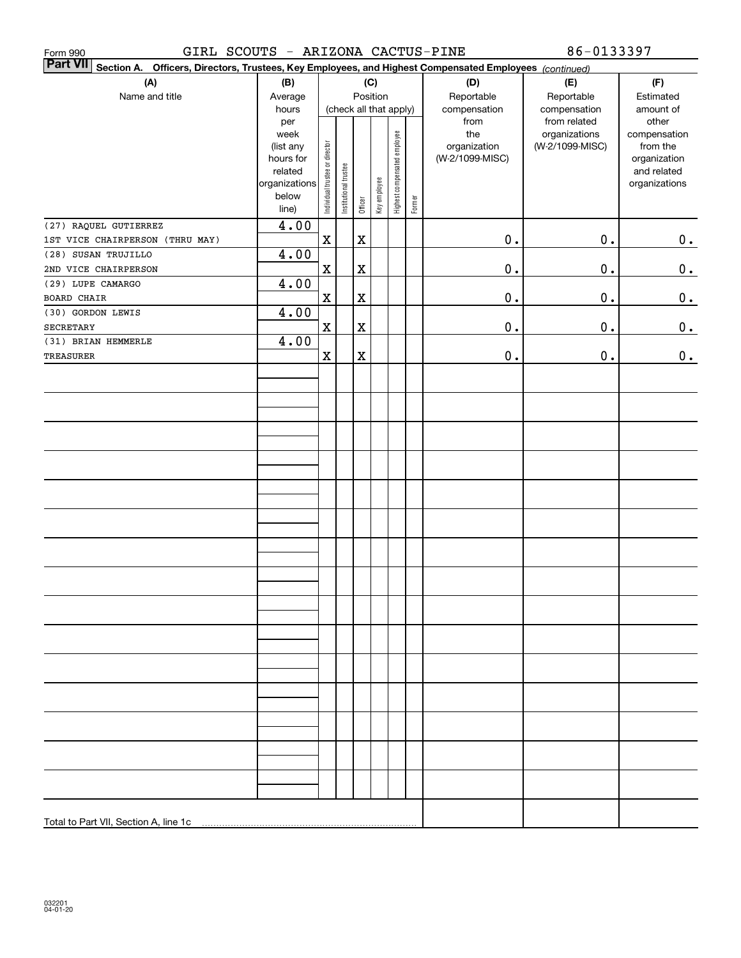| GIRL SCOUTS - ARIZONA CACTUS-PINE<br>Form 990                                                                             |                |                                |                        |             |              |                              |        |                 | 86-0133397                    |                       |
|---------------------------------------------------------------------------------------------------------------------------|----------------|--------------------------------|------------------------|-------------|--------------|------------------------------|--------|-----------------|-------------------------------|-----------------------|
| <b>Part VII</b><br>Section A. Officers, Directors, Trustees, Key Employees, and Highest Compensated Employees (continued) |                |                                |                        |             |              |                              |        |                 |                               |                       |
| (A)                                                                                                                       | (B)            |                                |                        |             | (C)          |                              |        | (D)             | (E)                           | (F)                   |
| Name and title                                                                                                            | Average        |                                |                        |             | Position     |                              |        | Reportable      | Reportable                    | Estimated             |
|                                                                                                                           | hours          |                                | (check all that apply) |             |              |                              |        | compensation    | compensation                  | amount of             |
|                                                                                                                           | per<br>week    |                                |                        |             |              |                              |        | from<br>the     | from related<br>organizations | other<br>compensation |
|                                                                                                                           | (list any      |                                |                        |             |              |                              |        | organization    | (W-2/1099-MISC)               | from the              |
|                                                                                                                           | hours for      |                                |                        |             |              |                              |        | (W-2/1099-MISC) |                               | organization          |
|                                                                                                                           | related        |                                |                        |             |              |                              |        |                 |                               | and related           |
|                                                                                                                           | organizations  |                                |                        |             |              |                              |        |                 |                               | organizations         |
|                                                                                                                           | below<br>line) | Individual trustee or director | Institutional trustee  | Officer     | Key employee | Highest compensated employee | Former |                 |                               |                       |
|                                                                                                                           |                |                                |                        |             |              |                              |        |                 |                               |                       |
| (27) RAQUEL GUTIERREZ<br>1ST VICE CHAIRPERSON (THRU MAY)                                                                  | 4.00           | $\mathbf x$                    |                        | $\mathbf X$ |              |                              |        | $\mathbf 0$ .   | $\mathbf 0$ .                 |                       |
| (28) SUSAN TRUJILLO                                                                                                       | 4.00           |                                |                        |             |              |                              |        |                 |                               | 0.                    |
| 2ND VICE CHAIRPERSON                                                                                                      |                | $\mathbf x$                    |                        | $\mathbf X$ |              |                              |        | $\mathbf 0$ .   | $\mathbf 0$ .                 | $\mathbf 0$ .         |
| (29) LUPE CAMARGO                                                                                                         | 4.00           |                                |                        |             |              |                              |        |                 |                               |                       |
| <b>BOARD CHAIR</b>                                                                                                        |                | $\mathbf x$                    |                        | $\mathbf X$ |              |                              |        | $\mathbf 0$ .   | $\mathbf 0$ .                 | 0.                    |
| (30) GORDON LEWIS                                                                                                         | 4.00           |                                |                        |             |              |                              |        |                 |                               |                       |
| <b>SECRETARY</b>                                                                                                          |                | $\mathbf X$                    |                        | $\mathbf X$ |              |                              |        | $\mathbf 0$ .   | $\mathbf 0$ .                 | 0.                    |
| (31) BRIAN HEMMERLE                                                                                                       | 4.00           |                                |                        |             |              |                              |        |                 |                               |                       |
| <b>TREASURER</b>                                                                                                          |                | $\mathbf x$                    |                        | $\mathbf X$ |              |                              |        | 0.              | $\mathbf 0$ .                 | $\mathbf 0$ .         |
|                                                                                                                           |                |                                |                        |             |              |                              |        |                 |                               |                       |
|                                                                                                                           |                |                                |                        |             |              |                              |        |                 |                               |                       |
|                                                                                                                           |                |                                |                        |             |              |                              |        |                 |                               |                       |
|                                                                                                                           |                |                                |                        |             |              |                              |        |                 |                               |                       |
|                                                                                                                           |                |                                |                        |             |              |                              |        |                 |                               |                       |
|                                                                                                                           |                |                                |                        |             |              |                              |        |                 |                               |                       |
|                                                                                                                           |                |                                |                        |             |              |                              |        |                 |                               |                       |
|                                                                                                                           |                |                                |                        |             |              |                              |        |                 |                               |                       |
|                                                                                                                           |                |                                |                        |             |              |                              |        |                 |                               |                       |
|                                                                                                                           |                |                                |                        |             |              |                              |        |                 |                               |                       |
|                                                                                                                           |                |                                |                        |             |              |                              |        |                 |                               |                       |
|                                                                                                                           |                |                                |                        |             |              |                              |        |                 |                               |                       |
|                                                                                                                           |                |                                |                        |             |              |                              |        |                 |                               |                       |
|                                                                                                                           |                |                                |                        |             |              |                              |        |                 |                               |                       |
|                                                                                                                           |                |                                |                        |             |              |                              |        |                 |                               |                       |
|                                                                                                                           |                |                                |                        |             |              |                              |        |                 |                               |                       |
|                                                                                                                           |                |                                |                        |             |              |                              |        |                 |                               |                       |
|                                                                                                                           |                |                                |                        |             |              |                              |        |                 |                               |                       |
|                                                                                                                           |                |                                |                        |             |              |                              |        |                 |                               |                       |
|                                                                                                                           |                |                                |                        |             |              |                              |        |                 |                               |                       |
|                                                                                                                           |                |                                |                        |             |              |                              |        |                 |                               |                       |
|                                                                                                                           |                |                                |                        |             |              |                              |        |                 |                               |                       |
|                                                                                                                           |                |                                |                        |             |              |                              |        |                 |                               |                       |
|                                                                                                                           |                |                                |                        |             |              |                              |        |                 |                               |                       |
|                                                                                                                           |                |                                |                        |             |              |                              |        |                 |                               |                       |
|                                                                                                                           |                |                                |                        |             |              |                              |        |                 |                               |                       |
|                                                                                                                           |                |                                |                        |             |              |                              |        |                 |                               |                       |
|                                                                                                                           |                |                                |                        |             |              |                              |        |                 |                               |                       |
|                                                                                                                           |                |                                |                        |             |              |                              |        |                 |                               |                       |
| Total to Part VII, Section A, line 1c                                                                                     |                |                                |                        |             |              |                              |        |                 |                               |                       |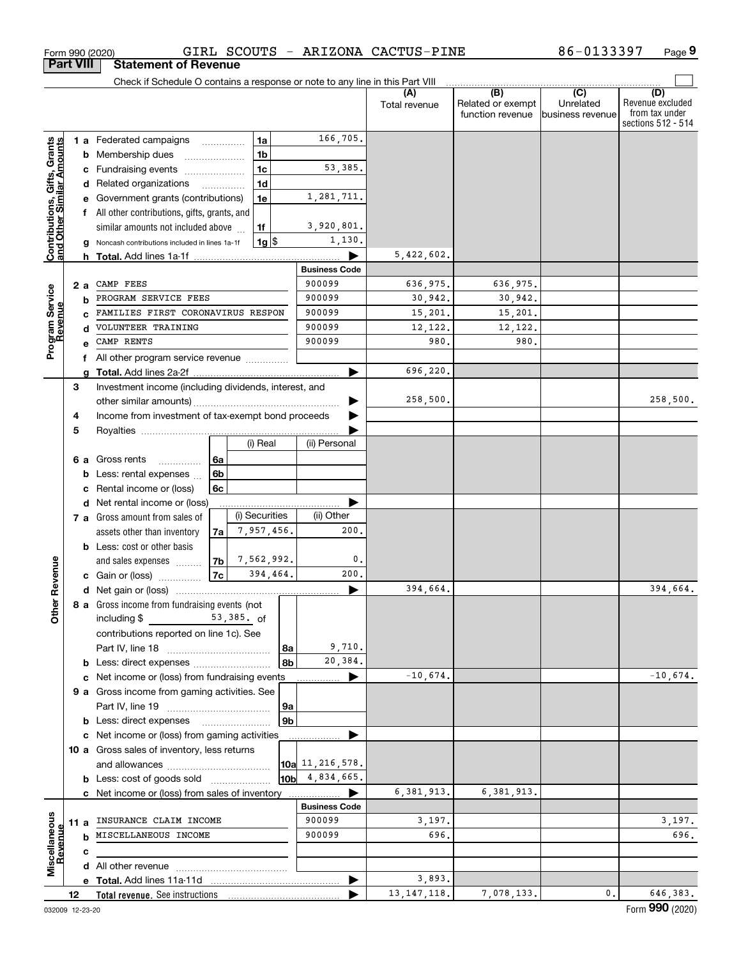|                                                           |    |      | Check if Schedule O contains a response or note to any line in this Part VIII |                |                |                |                      |                      |                                              |                                      |                                                                 |
|-----------------------------------------------------------|----|------|-------------------------------------------------------------------------------|----------------|----------------|----------------|----------------------|----------------------|----------------------------------------------|--------------------------------------|-----------------------------------------------------------------|
|                                                           |    |      |                                                                               |                |                |                |                      | (A)<br>Total revenue | (B)<br>Related or exempt<br>function revenue | (C)<br>Unrelated<br>business revenue | (D)<br>Revenue excluded<br>from tax under<br>sections 512 - 514 |
|                                                           |    |      | <b>1 a</b> Federated campaigns <b>contains</b>                                |                | 1a             |                | 166,705.             |                      |                                              |                                      |                                                                 |
|                                                           |    |      | <b>b</b> Membership dues                                                      |                | 1 <sub>b</sub> |                |                      |                      |                                              |                                      |                                                                 |
|                                                           |    |      | c Fundraising events                                                          |                | 1 <sub>c</sub> |                | 53,385.              |                      |                                              |                                      |                                                                 |
|                                                           |    |      | d Related organizations                                                       |                | 1 <sub>d</sub> |                |                      |                      |                                              |                                      |                                                                 |
|                                                           |    |      | e Government grants (contributions)                                           |                | 1e             |                | 1,281,711.           |                      |                                              |                                      |                                                                 |
|                                                           |    |      | f All other contributions, gifts, grants, and                                 |                |                |                |                      |                      |                                              |                                      |                                                                 |
|                                                           |    |      | similar amounts not included above                                            |                | 1f             |                | 3,920,801.           |                      |                                              |                                      |                                                                 |
|                                                           |    | g    | Noncash contributions included in lines 1a-1f                                 |                | 1g             |                | 1,130.               |                      |                                              |                                      |                                                                 |
| Contributions, Gifts, Grants<br>and Other Similar Amounts |    |      |                                                                               |                |                |                |                      | 5,422,602.           |                                              |                                      |                                                                 |
|                                                           |    |      |                                                                               |                |                |                | <b>Business Code</b> |                      |                                              |                                      |                                                                 |
|                                                           |    | 2 a  | CAMP FEES                                                                     |                |                |                | 900099               | 636,975.             | 636,975.                                     |                                      |                                                                 |
|                                                           |    |      | PROGRAM SERVICE FEES                                                          |                |                |                | 900099               | 30,942.              | 30,942.                                      |                                      |                                                                 |
|                                                           |    |      | FAMILIES FIRST CORONAVIRUS RESPON                                             |                |                |                | 900099               | 15,201.              | 15,201.                                      |                                      |                                                                 |
| Program Service<br>Revenue                                |    |      | VOLUNTEER TRAINING                                                            |                |                |                | 900099               | 12,122.              | 12,122.                                      |                                      |                                                                 |
|                                                           |    |      | CAMP RENTS                                                                    |                |                |                | 900099               | 980.                 | 980.                                         |                                      |                                                                 |
|                                                           |    |      | All other program service revenue                                             |                |                |                |                      |                      |                                              |                                      |                                                                 |
|                                                           |    | a    |                                                                               |                |                |                |                      | 696,220.             |                                              |                                      |                                                                 |
|                                                           | 3  |      | Investment income (including dividends, interest, and                         |                |                |                |                      |                      |                                              |                                      |                                                                 |
|                                                           |    |      |                                                                               |                |                |                |                      | 258,500.             |                                              |                                      | 258,500.                                                        |
|                                                           | 4  |      | Income from investment of tax-exempt bond proceeds                            |                |                |                |                      |                      |                                              |                                      |                                                                 |
|                                                           | 5  |      |                                                                               |                |                |                |                      |                      |                                              |                                      |                                                                 |
|                                                           |    |      |                                                                               |                | (i) Real       |                | (ii) Personal        |                      |                                              |                                      |                                                                 |
|                                                           |    |      | <b>6 a</b> Gross rents<br>$\overline{\phantom{a}}$                            | 6a             |                |                |                      |                      |                                              |                                      |                                                                 |
|                                                           |    |      | <b>b</b> Less: rental expenses                                                | 6b             |                |                |                      |                      |                                              |                                      |                                                                 |
|                                                           |    | c    | Rental income or (loss)                                                       | 6с             |                |                |                      |                      |                                              |                                      |                                                                 |
|                                                           |    |      | d Net rental income or (loss)                                                 |                |                |                |                      |                      |                                              |                                      |                                                                 |
|                                                           |    |      | 7 a Gross amount from sales of                                                |                | (i) Securities |                | (ii) Other           |                      |                                              |                                      |                                                                 |
|                                                           |    |      | assets other than inventory                                                   | 7a l           | 7,957,456.     |                | 200.                 |                      |                                              |                                      |                                                                 |
|                                                           |    |      | <b>b</b> Less: cost or other basis                                            |                |                |                |                      |                      |                                              |                                      |                                                                 |
|                                                           |    |      | and sales expenses                                                            | 7 <sub>b</sub> | 7,562,992.     |                | 0.                   |                      |                                              |                                      |                                                                 |
| Other Revenue                                             |    |      | c Gain or (loss)                                                              | 7c             | 394,464.       |                | 200.                 |                      |                                              |                                      |                                                                 |
|                                                           |    |      |                                                                               |                |                |                |                      | 394,664.             |                                              |                                      | 394,664.                                                        |
|                                                           |    |      | 8 a Gross income from fundraising events (not<br>including \$                 |                | 53,385. of     |                |                      |                      |                                              |                                      |                                                                 |
|                                                           |    |      |                                                                               |                |                |                |                      |                      |                                              |                                      |                                                                 |
|                                                           |    |      | contributions reported on line 1c). See                                       |                |                | 8a             | 9,710.               |                      |                                              |                                      |                                                                 |
|                                                           |    |      |                                                                               |                |                | 8b             | 20,384.              |                      |                                              |                                      |                                                                 |
|                                                           |    |      | c Net income or (loss) from fundraising events                                |                |                |                |                      | $-10,674.$           |                                              |                                      | $-10,674.$                                                      |
|                                                           |    |      | 9 a Gross income from gaming activities. See                                  |                |                |                |                      |                      |                                              |                                      |                                                                 |
|                                                           |    |      |                                                                               |                |                | <b>9a</b>      |                      |                      |                                              |                                      |                                                                 |
|                                                           |    |      |                                                                               |                |                | 9 <sub>b</sub> |                      |                      |                                              |                                      |                                                                 |
|                                                           |    |      | c Net income or (loss) from gaming activities                                 |                |                |                |                      |                      |                                              |                                      |                                                                 |
|                                                           |    |      | 10 a Gross sales of inventory, less returns                                   |                |                |                |                      |                      |                                              |                                      |                                                                 |
|                                                           |    |      |                                                                               |                |                |                | 10a 11, 216, 578.    |                      |                                              |                                      |                                                                 |
|                                                           |    |      | <b>b</b> Less: cost of goods sold                                             |                |                | 10bl           | 4,834,665.           |                      |                                              |                                      |                                                                 |
|                                                           |    |      | c Net income or (loss) from sales of inventory                                |                |                |                |                      | 6,381,913.           | 6,381,913.                                   |                                      |                                                                 |
|                                                           |    |      |                                                                               |                |                |                | <b>Business Code</b> |                      |                                              |                                      |                                                                 |
|                                                           |    | 11 a | INSURANCE CLAIM INCOME                                                        |                |                |                | 900099               | 3,197.               |                                              |                                      | 3,197.                                                          |
| Revenue                                                   |    |      | MISCELLANEOUS INCOME                                                          |                |                |                | 900099               | 696.                 |                                              |                                      | 696.                                                            |
|                                                           |    | с    |                                                                               |                |                |                |                      |                      |                                              |                                      |                                                                 |
| Miscellaneous                                             |    |      |                                                                               |                |                |                |                      |                      |                                              |                                      |                                                                 |
|                                                           |    |      | e Total. Add lines 11a-11d                                                    |                |                |                |                      | 3,893.               |                                              |                                      |                                                                 |
|                                                           | 12 |      | Total revenue. See instructions                                               |                |                |                |                      | 13, 147, 118.        | 7,078,133.                                   | 0.                                   | 646,383.                                                        |

Form 990 (2020) GIRL SCOUTS ARIZONA CACTUS-PINE 86-0I33397 Page

GIRL SCOUTS - ARIZONA CACTUS-PINE

**Part VIII Statement of Revenue**

**9**

 $\overline{\phantom{0}}$ 

86-0133397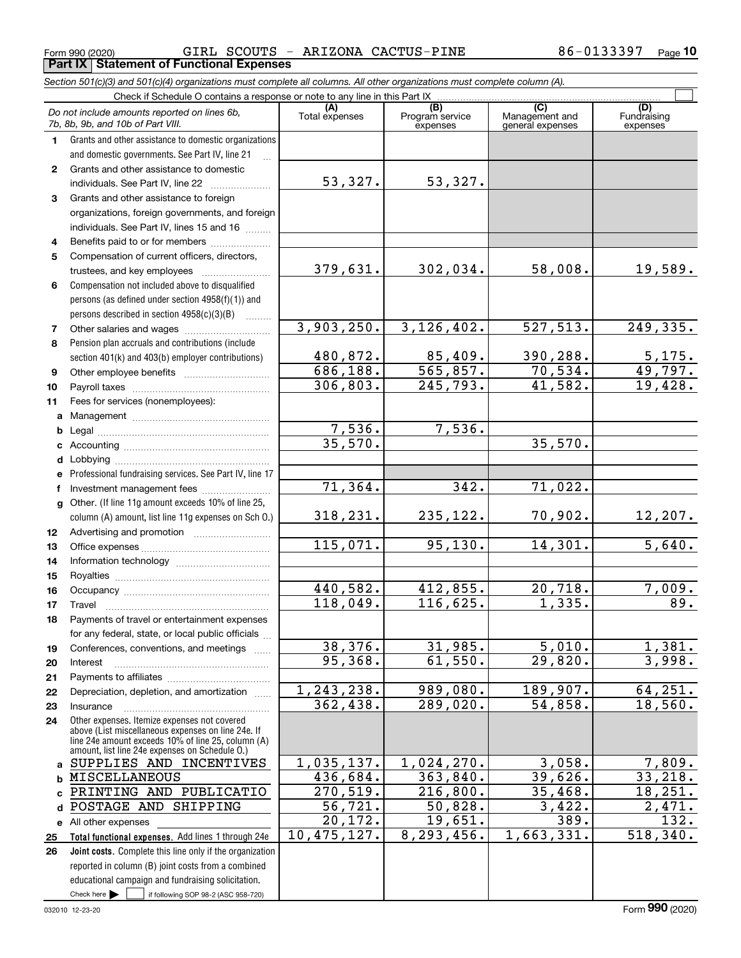Form 990 (2020) GIRL SCOUTS - ARIZONA CACTUS-PINE 86-0133397 Page **Part IX Statement of Functional Expenses**

**10**

|              | Section 501(c)(3) and 501(c)(4) organizations must complete all columns. All other organizations must complete column (A).                                                                                                                                          |                       |                                    |                                           |                                |
|--------------|---------------------------------------------------------------------------------------------------------------------------------------------------------------------------------------------------------------------------------------------------------------------|-----------------------|------------------------------------|-------------------------------------------|--------------------------------|
|              | Check if Schedule O contains a response or note to any line in this Part IX                                                                                                                                                                                         |                       |                                    |                                           |                                |
|              | Do not include amounts reported on lines 6b,<br>7b, 8b, 9b, and 10b of Part VIII.                                                                                                                                                                                   | (A)<br>Total expenses | (B)<br>Program service<br>expenses | (C)<br>Management and<br>general expenses | (D)<br>Fundraising<br>expenses |
| 1.           | Grants and other assistance to domestic organizations                                                                                                                                                                                                               |                       |                                    |                                           |                                |
|              | and domestic governments. See Part IV, line 21                                                                                                                                                                                                                      |                       |                                    |                                           |                                |
| $\mathbf{2}$ | Grants and other assistance to domestic                                                                                                                                                                                                                             |                       |                                    |                                           |                                |
|              | individuals. See Part IV, line 22<br>and a complete the complete state of the state of the state of the state of the state of the state of the state of the state of the state of the state of the state of the state of the state of the state of the state of the | 53,327.               | 53,327.                            |                                           |                                |
| 3            | Grants and other assistance to foreign                                                                                                                                                                                                                              |                       |                                    |                                           |                                |
|              | organizations, foreign governments, and foreign                                                                                                                                                                                                                     |                       |                                    |                                           |                                |
|              | individuals. See Part IV, lines 15 and 16                                                                                                                                                                                                                           |                       |                                    |                                           |                                |
| 4            | Benefits paid to or for members                                                                                                                                                                                                                                     |                       |                                    |                                           |                                |
| 5            | Compensation of current officers, directors,                                                                                                                                                                                                                        |                       |                                    |                                           |                                |
|              |                                                                                                                                                                                                                                                                     | 379,631.              | 302,034.                           | 58,008.                                   | 19,589.                        |
| 6            | Compensation not included above to disqualified                                                                                                                                                                                                                     |                       |                                    |                                           |                                |
|              | persons (as defined under section 4958(f)(1)) and                                                                                                                                                                                                                   |                       |                                    |                                           |                                |
|              | persons described in section 4958(c)(3)(B)<br>.                                                                                                                                                                                                                     |                       |                                    |                                           |                                |
| 7            |                                                                                                                                                                                                                                                                     | 3,903,250.            | 3, 126, 402.                       | 527, 513.                                 | 249,335.                       |
| 8            | Pension plan accruals and contributions (include                                                                                                                                                                                                                    |                       |                                    |                                           |                                |
|              | section 401(k) and 403(b) employer contributions)                                                                                                                                                                                                                   | 480,872.              | 85,409.                            | 390,288.                                  | 5,175.                         |
| 9            |                                                                                                                                                                                                                                                                     | 686, 188.             | 565, 857.                          | 70,534.                                   | 49,797.                        |
| 10           |                                                                                                                                                                                                                                                                     | 306, 803.             | 245,793.                           | 41,582.                                   | 19,428.                        |
| 11           | Fees for services (nonemployees):                                                                                                                                                                                                                                   |                       |                                    |                                           |                                |
| a            |                                                                                                                                                                                                                                                                     |                       |                                    |                                           |                                |
| b            |                                                                                                                                                                                                                                                                     | 7,536.<br>35,570.     | 7,536.                             |                                           |                                |
|              |                                                                                                                                                                                                                                                                     |                       |                                    | 35,570.                                   |                                |
| d            |                                                                                                                                                                                                                                                                     |                       |                                    |                                           |                                |
|              | Professional fundraising services. See Part IV, line 17                                                                                                                                                                                                             | 71,364.               | 342.                               | 71,022.                                   |                                |
|              | Investment management fees                                                                                                                                                                                                                                          |                       |                                    |                                           |                                |
|              | g Other. (If line 11g amount exceeds 10% of line 25,                                                                                                                                                                                                                | 318,231.              | 235,122.                           | 70,902.                                   |                                |
|              | column (A) amount, list line 11g expenses on Sch O.)                                                                                                                                                                                                                |                       |                                    |                                           | 12, 207.                       |
| 12           |                                                                                                                                                                                                                                                                     | 115,071.              | 95,130.                            | 14,301.                                   | 5,640.                         |
| 13           |                                                                                                                                                                                                                                                                     |                       |                                    |                                           |                                |
| 14           |                                                                                                                                                                                                                                                                     |                       |                                    |                                           |                                |
| 15<br>16     |                                                                                                                                                                                                                                                                     | 440,582.              | 412,855.                           | 20,718.                                   | 7,009.                         |
| 17           |                                                                                                                                                                                                                                                                     | 118,049.              | 116,625.                           | 1,335.                                    | 89.                            |
| 18           | Payments of travel or entertainment expenses                                                                                                                                                                                                                        |                       |                                    |                                           |                                |
|              | for any federal, state, or local public officials                                                                                                                                                                                                                   |                       |                                    |                                           |                                |
| 19           | Conferences, conventions, and meetings                                                                                                                                                                                                                              | 38,376.               | 31,985.                            | $\overline{5,010}$ .                      | 1,381.                         |
| 20           | Interest                                                                                                                                                                                                                                                            | 95,368.               | 61,550.                            | 29,820.                                   | 3,998.                         |
| 21           |                                                                                                                                                                                                                                                                     |                       |                                    |                                           |                                |
| 22           | Depreciation, depletion, and amortization                                                                                                                                                                                                                           | 1, 243, 238.          | 989,080.                           | 189,907.                                  | 64, 251.                       |
| 23           | Insurance                                                                                                                                                                                                                                                           | 362,438.              | 289,020.                           | 54,858.                                   | 18,560.                        |
| 24           | Other expenses. Itemize expenses not covered<br>above (List miscellaneous expenses on line 24e. If<br>line 24e amount exceeds 10% of line 25, column (A)<br>amount, list line 24e expenses on Schedule 0.)                                                          |                       |                                    |                                           |                                |
| a            | SUPPLIES AND INCENTIVES                                                                                                                                                                                                                                             | 1,035,137.            | 1,024,270.                         | 3,058.                                    | 7,809.                         |
| b            | <b>MISCELLANEOUS</b>                                                                                                                                                                                                                                                | 436,684.              | 363,840.                           | 39,626.                                   | 33, 218.                       |
|              | PRINTING AND PUBLICATIO                                                                                                                                                                                                                                             | 270, 519.             | 216,800.                           | 35,468.                                   | 18, 251.                       |
| d            | POSTAGE AND SHIPPING                                                                                                                                                                                                                                                | $\overline{56, 721.}$ | 50,828.                            | 3,422.                                    | 2,471.                         |
|              | e All other expenses                                                                                                                                                                                                                                                | $\overline{20,172}$ . | 19,651.                            | 389.                                      | 132.                           |
| 25           | Total functional expenses. Add lines 1 through 24e                                                                                                                                                                                                                  | 10,475,127.           | 8,293,456.                         | 1,663,331.                                | 518, 340.                      |
| 26           | Joint costs. Complete this line only if the organization                                                                                                                                                                                                            |                       |                                    |                                           |                                |
|              | reported in column (B) joint costs from a combined                                                                                                                                                                                                                  |                       |                                    |                                           |                                |
|              | educational campaign and fundraising solicitation.                                                                                                                                                                                                                  |                       |                                    |                                           |                                |
|              | Check here $\blacktriangleright$<br>if following SOP 98-2 (ASC 958-720)                                                                                                                                                                                             |                       |                                    |                                           |                                |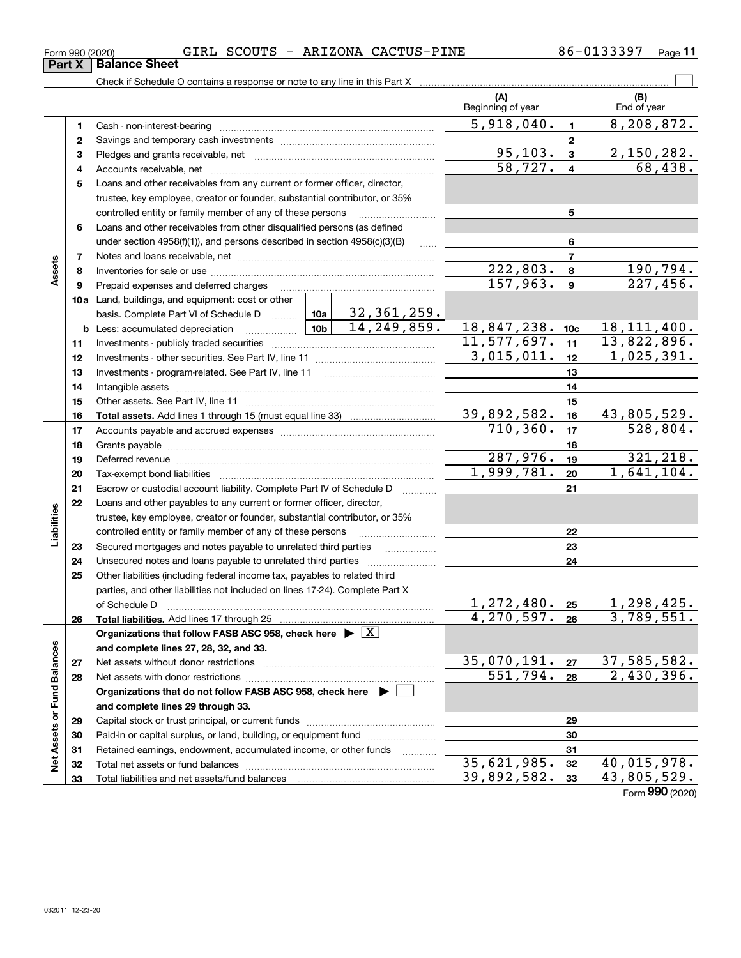| ו∪∠טו |                 | OUND DUOU |  |
|-------|-----------------|-----------|--|
|       | l Ralanoo Shoot |           |  |

|                             |    | Check if Schedule O contains a response or note to any line in this Part X         |                                                                                                                         |                          |                 |                           |
|-----------------------------|----|------------------------------------------------------------------------------------|-------------------------------------------------------------------------------------------------------------------------|--------------------------|-----------------|---------------------------|
|                             |    |                                                                                    |                                                                                                                         | (A)<br>Beginning of year |                 | (B)<br>End of year        |
|                             | 1  |                                                                                    |                                                                                                                         | 5,918,040.               | 1               | 8,208,872.                |
|                             | 2  |                                                                                    |                                                                                                                         |                          | $\mathbf{2}$    |                           |
|                             | 3  |                                                                                    |                                                                                                                         | 95, 103.                 | 3               | 2,150,282.                |
|                             | 4  |                                                                                    |                                                                                                                         | 58, 727.                 | 4               | 68,438.                   |
|                             | 5  | Loans and other receivables from any current or former officer, director,          |                                                                                                                         |                          |                 |                           |
|                             |    | trustee, key employee, creator or founder, substantial contributor, or 35%         |                                                                                                                         |                          |                 |                           |
|                             |    | controlled entity or family member of any of these persons                         |                                                                                                                         |                          | 5               |                           |
|                             | 6  | Loans and other receivables from other disqualified persons (as defined            |                                                                                                                         |                          |                 |                           |
|                             |    | under section $4958(f)(1)$ , and persons described in section $4958(c)(3)(B)$      | $\ldots$                                                                                                                |                          | 6               |                           |
|                             | 7  |                                                                                    |                                                                                                                         |                          | $\overline{7}$  |                           |
| Assets                      | 8  |                                                                                    |                                                                                                                         | 222,803.                 | 8               | 190,794.                  |
|                             | 9  | Prepaid expenses and deferred charges                                              |                                                                                                                         | 157,963.                 | 9               | 227,456.                  |
|                             |    | 10a Land, buildings, and equipment: cost or other                                  |                                                                                                                         |                          |                 |                           |
|                             |    | basis. Complete Part VI of Schedule D  10a                                         | $32,361,259$ .                                                                                                          |                          |                 |                           |
|                             |    | <u>  10b</u>  <br><b>b</b> Less: accumulated depreciation                          | 14,249,859.                                                                                                             | 18,847,238.              | 10 <sub>c</sub> | 18, 111, 400.             |
|                             | 11 |                                                                                    |                                                                                                                         | 11,577,697.              | 11              | 13,822,896.               |
|                             | 12 |                                                                                    |                                                                                                                         | 3,015,011.               | 12              | 1,025,391.                |
|                             | 13 |                                                                                    |                                                                                                                         |                          | 13              |                           |
|                             | 14 |                                                                                    |                                                                                                                         |                          | 14              |                           |
|                             | 15 |                                                                                    |                                                                                                                         |                          | 15              |                           |
|                             | 16 |                                                                                    |                                                                                                                         | 39,892,582.              | 16              | 43,805,529.               |
|                             | 17 |                                                                                    |                                                                                                                         | 710, 360.                | 17              | 528,804.                  |
|                             | 18 |                                                                                    |                                                                                                                         | 18                       |                 |                           |
|                             | 19 |                                                                                    |                                                                                                                         | 287,976.                 | 19              | 321, 218.                 |
|                             | 20 |                                                                                    |                                                                                                                         | 1,999,781.               | 20              | $\overline{1,641,104}$ .  |
|                             | 21 | Escrow or custodial account liability. Complete Part IV of Schedule D              |                                                                                                                         |                          | 21              |                           |
|                             | 22 | Loans and other payables to any current or former officer, director,               |                                                                                                                         |                          |                 |                           |
| Liabilities                 |    | trustee, key employee, creator or founder, substantial contributor, or 35%         |                                                                                                                         |                          |                 |                           |
|                             |    | controlled entity or family member of any of these persons                         | <u> 1986 - Jan Barthard Barthard Barthard Barthard Barthard Barthard Barthard Barthard Barthard Barthard Barthard B</u> |                          | 22              |                           |
|                             | 23 | Secured mortgages and notes payable to unrelated third parties                     |                                                                                                                         |                          | 23              |                           |
|                             | 24 | Unsecured notes and loans payable to unrelated third parties                       |                                                                                                                         |                          | 24              |                           |
|                             | 25 | Other liabilities (including federal income tax, payables to related third         |                                                                                                                         |                          |                 |                           |
|                             |    | parties, and other liabilities not included on lines 17-24). Complete Part X       |                                                                                                                         |                          |                 |                           |
|                             |    | of Schedule D                                                                      |                                                                                                                         | $1,272,480$ . 25         |                 | 1,298,425.                |
|                             | 26 | Total liabilities. Add lines 17 through 25                                         |                                                                                                                         | 4, 270, 597.             | 26              | 3,789,551.                |
|                             |    | Organizations that follow FASB ASC 958, check here $\blacktriangleright \boxed{X}$ |                                                                                                                         |                          |                 |                           |
|                             |    | and complete lines 27, 28, 32, and 33.                                             |                                                                                                                         |                          |                 |                           |
|                             | 27 | Net assets without donor restrictions                                              |                                                                                                                         | 35,070,191.              | 27              | 37,585,582.               |
|                             | 28 | Net assets with donor restrictions                                                 |                                                                                                                         | 551,794.                 | 28              | 2,430,396.                |
|                             |    | Organizations that do not follow FASB ASC 958, check here ▶ U                      |                                                                                                                         |                          |                 |                           |
| Net Assets or Fund Balances |    | and complete lines 29 through 33.                                                  |                                                                                                                         |                          |                 |                           |
|                             | 29 |                                                                                    |                                                                                                                         |                          | 29              |                           |
|                             | 30 | Paid-in or capital surplus, or land, building, or equipment fund                   |                                                                                                                         |                          | 30              |                           |
|                             | 31 | Retained earnings, endowment, accumulated income, or other funds                   |                                                                                                                         |                          | 31              |                           |
|                             | 32 |                                                                                    |                                                                                                                         | 35,621,985.              | 32              | 40,015,978.               |
|                             | 33 |                                                                                    |                                                                                                                         | 39,892,582.              | 33              | $\overline{43,805,529}$ . |

Form (2020) **990**

# **Part X Balance Sheet**<br>**Part X Balance Sheet**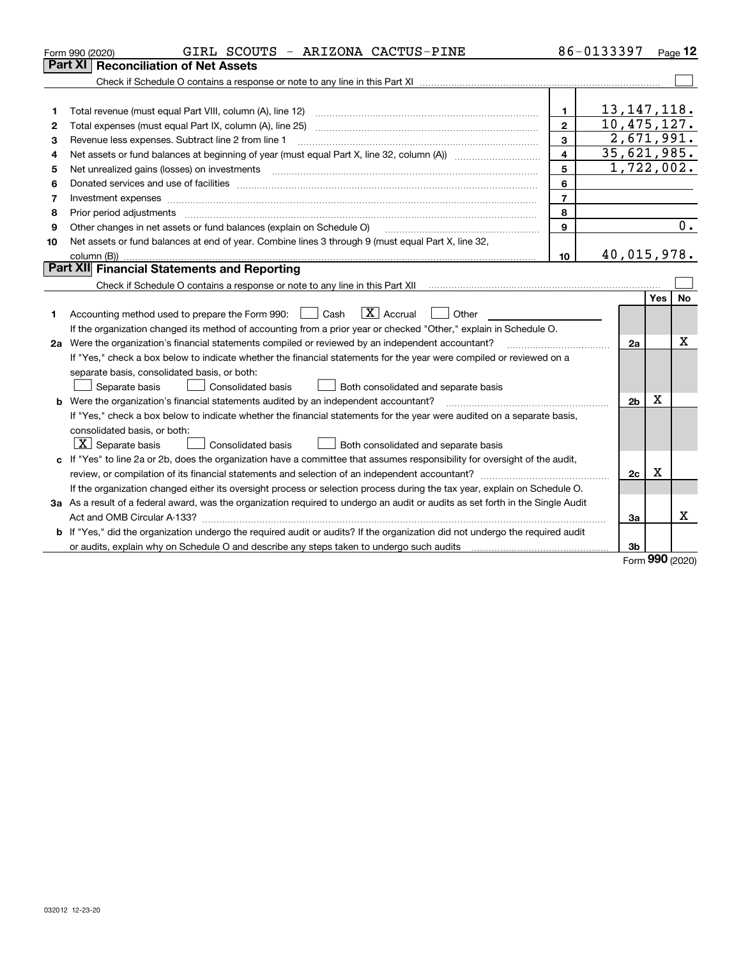|         | GIRL SCOUTS - ARIZONA CACTUS-PINE<br>Form 990 (2020)                                                                            |                         | 86-0133397     |            | Page 12          |
|---------|---------------------------------------------------------------------------------------------------------------------------------|-------------------------|----------------|------------|------------------|
| Part XI | <b>Reconciliation of Net Assets</b>                                                                                             |                         |                |            |                  |
|         |                                                                                                                                 |                         |                |            |                  |
|         |                                                                                                                                 |                         |                |            |                  |
| 1       | Total revenue (must equal Part VIII, column (A), line 12)                                                                       | $\mathbf{1}$            | 13, 147, 118.  |            |                  |
| 2       |                                                                                                                                 | $\mathbf{2}$            | 10, 475, 127.  |            |                  |
| з       | Revenue less expenses. Subtract line 2 from line 1                                                                              | $\mathbf{3}$            | 2,671,991.     |            |                  |
| 4       |                                                                                                                                 | $\overline{\mathbf{4}}$ | 35,621,985.    |            |                  |
| 5       |                                                                                                                                 | 5                       | 1,722,002.     |            |                  |
| 6       |                                                                                                                                 | 6                       |                |            |                  |
| 7       | Investment expenses www.communication.com/www.communication.com/www.communication.com/www.communication.com/ww                  | $\overline{7}$          |                |            |                  |
| 8       | Prior period adjustments                                                                                                        | 8                       |                |            |                  |
| 9       | Other changes in net assets or fund balances (explain on Schedule O)                                                            | 9                       |                |            | $\overline{0}$ . |
| 10      | Net assets or fund balances at end of year. Combine lines 3 through 9 (must equal Part X, line 32,                              |                         |                |            |                  |
|         |                                                                                                                                 | 10                      | 40,015,978.    |            |                  |
|         | <b>Part XII</b> Financial Statements and Reporting                                                                              |                         |                |            |                  |
|         |                                                                                                                                 |                         |                |            |                  |
|         |                                                                                                                                 |                         |                | <b>Yes</b> | <b>No</b>        |
| 1       | $X$ Accrual<br>Other<br>Accounting method used to prepare the Form 990: <u>June</u> Cash                                        |                         |                |            |                  |
|         | If the organization changed its method of accounting from a prior year or checked "Other," explain in Schedule O.               |                         |                |            |                  |
|         | 2a Were the organization's financial statements compiled or reviewed by an independent accountant?                              |                         | 2a             |            | х                |
|         | If "Yes," check a box below to indicate whether the financial statements for the year were compiled or reviewed on a            |                         |                |            |                  |
|         | separate basis, consolidated basis, or both:                                                                                    |                         |                |            |                  |
|         | Separate basis<br>Consolidated basis<br>Both consolidated and separate basis                                                    |                         |                |            |                  |
| b       | Were the organization's financial statements audited by an independent accountant?                                              |                         | 2 <sub>b</sub> | x          |                  |
|         | If "Yes," check a box below to indicate whether the financial statements for the year were audited on a separate basis,         |                         |                |            |                  |
|         | consolidated basis, or both:                                                                                                    |                         |                |            |                  |
|         | $X$ Separate basis<br>Consolidated basis<br>Both consolidated and separate basis                                                |                         |                |            |                  |
|         | c If "Yes" to line 2a or 2b, does the organization have a committee that assumes responsibility for oversight of the audit,     |                         |                |            |                  |
|         |                                                                                                                                 |                         | 2c             | X          |                  |
|         | If the organization changed either its oversight process or selection process during the tax year, explain on Schedule O.       |                         |                |            |                  |
|         | 3a As a result of a federal award, was the organization required to undergo an audit or audits as set forth in the Single Audit |                         |                |            |                  |
|         |                                                                                                                                 |                         | 3a             |            | x                |
|         | b If "Yes," did the organization undergo the required audit or audits? If the organization did not undergo the required audit   |                         |                |            |                  |
|         |                                                                                                                                 |                         | 3b             | $\Omega$   |                  |

Form (2020) **990**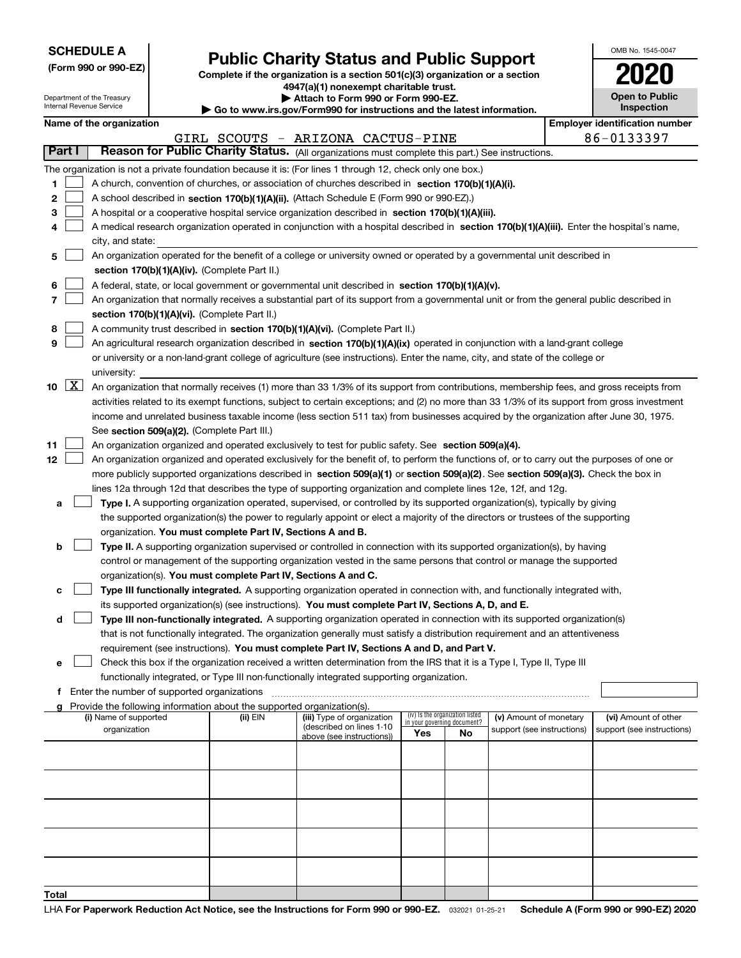| <b>SCHEDULE A</b> |  |  |  |  |  |  |
|-------------------|--|--|--|--|--|--|
|-------------------|--|--|--|--|--|--|

Department of the Treasury

**(Form 990 or 990-EZ)**

## **Public Charity Status and Public Support**

**Complete if the organization is a section 501(c)(3) organization or a section 4947(a)(1) nonexempt charitable trust. | Attach to Form 990 or Form 990-EZ.** 

|  | o www.irs.gov/Form990 for instructions and the latest information. |  |
|--|--------------------------------------------------------------------|--|

| OMB No. 1545-0047                   |
|-------------------------------------|
| 2020                                |
| <b>Open to Public</b><br>Inenaction |

٦

|       |                     | nternal Revenue Service                     |                                                                                    | Go to www.irs.gov/Form990 for instructions and the latest information.                                                                       |     |                                 |                            |  | Inspection                            |  |
|-------|---------------------|---------------------------------------------|------------------------------------------------------------------------------------|----------------------------------------------------------------------------------------------------------------------------------------------|-----|---------------------------------|----------------------------|--|---------------------------------------|--|
|       |                     | Name of the organization                    |                                                                                    |                                                                                                                                              |     |                                 |                            |  | <b>Employer identification number</b> |  |
|       |                     |                                             |                                                                                    | GIRL SCOUTS - ARIZONA CACTUS-PINE                                                                                                            |     |                                 |                            |  | 86-0133397                            |  |
|       | Part I              |                                             |                                                                                    | Reason for Public Charity Status. (All organizations must complete this part.) See instructions.                                             |     |                                 |                            |  |                                       |  |
|       |                     |                                             |                                                                                    | The organization is not a private foundation because it is: (For lines 1 through 12, check only one box.)                                    |     |                                 |                            |  |                                       |  |
| 1     |                     |                                             |                                                                                    | A church, convention of churches, or association of churches described in section $170(b)(1)(A)(i)$ .                                        |     |                                 |                            |  |                                       |  |
| 2     |                     |                                             |                                                                                    | A school described in section 170(b)(1)(A)(ii). (Attach Schedule E (Form 990 or 990-EZ).)                                                    |     |                                 |                            |  |                                       |  |
| з     |                     |                                             |                                                                                    | A hospital or a cooperative hospital service organization described in section 170(b)(1)(A)(iii).                                            |     |                                 |                            |  |                                       |  |
|       |                     |                                             |                                                                                    | A medical research organization operated in conjunction with a hospital described in section 170(b)(1)(A)(iii). Enter the hospital's name,   |     |                                 |                            |  |                                       |  |
|       |                     | city, and state:                            |                                                                                    |                                                                                                                                              |     |                                 |                            |  |                                       |  |
| 5     |                     |                                             |                                                                                    | An organization operated for the benefit of a college or university owned or operated by a governmental unit described in                    |     |                                 |                            |  |                                       |  |
|       |                     |                                             | section 170(b)(1)(A)(iv). (Complete Part II.)                                      |                                                                                                                                              |     |                                 |                            |  |                                       |  |
| 6     |                     |                                             |                                                                                    | A federal, state, or local government or governmental unit described in section 170(b)(1)(A)(v).                                             |     |                                 |                            |  |                                       |  |
|       |                     |                                             |                                                                                    | An organization that normally receives a substantial part of its support from a governmental unit or from the general public described in    |     |                                 |                            |  |                                       |  |
|       |                     |                                             | section 170(b)(1)(A)(vi). (Complete Part II.)                                      |                                                                                                                                              |     |                                 |                            |  |                                       |  |
| 8     |                     |                                             |                                                                                    | A community trust described in section 170(b)(1)(A)(vi). (Complete Part II.)                                                                 |     |                                 |                            |  |                                       |  |
| 9     |                     |                                             |                                                                                    | An agricultural research organization described in section 170(b)(1)(A)(ix) operated in conjunction with a land-grant college                |     |                                 |                            |  |                                       |  |
|       |                     |                                             |                                                                                    | or university or a non-land-grant college of agriculture (see instructions). Enter the name, city, and state of the college or               |     |                                 |                            |  |                                       |  |
|       |                     | university:                                 |                                                                                    |                                                                                                                                              |     |                                 |                            |  |                                       |  |
| 10    | $\lfloor x \rfloor$ |                                             |                                                                                    | An organization that normally receives (1) more than 33 1/3% of its support from contributions, membership fees, and gross receipts from     |     |                                 |                            |  |                                       |  |
|       |                     |                                             |                                                                                    | activities related to its exempt functions, subject to certain exceptions; and (2) no more than 33 1/3% of its support from gross investment |     |                                 |                            |  |                                       |  |
|       |                     |                                             |                                                                                    | income and unrelated business taxable income (less section 511 tax) from businesses acquired by the organization after June 30, 1975.        |     |                                 |                            |  |                                       |  |
|       |                     |                                             | See section 509(a)(2). (Complete Part III.)                                        |                                                                                                                                              |     |                                 |                            |  |                                       |  |
| 11    |                     |                                             |                                                                                    | An organization organized and operated exclusively to test for public safety. See section 509(a)(4).                                         |     |                                 |                            |  |                                       |  |
| 12    |                     |                                             |                                                                                    | An organization organized and operated exclusively for the benefit of, to perform the functions of, or to carry out the purposes of one or   |     |                                 |                            |  |                                       |  |
|       |                     |                                             |                                                                                    |                                                                                                                                              |     |                                 |                            |  |                                       |  |
|       |                     |                                             |                                                                                    | more publicly supported organizations described in section 509(a)(1) or section 509(a)(2). See section 509(a)(3). Check the box in           |     |                                 |                            |  |                                       |  |
|       |                     |                                             |                                                                                    | lines 12a through 12d that describes the type of supporting organization and complete lines 12e, 12f, and 12g.                               |     |                                 |                            |  |                                       |  |
| а     |                     |                                             |                                                                                    | Type I. A supporting organization operated, supervised, or controlled by its supported organization(s), typically by giving                  |     |                                 |                            |  |                                       |  |
|       |                     |                                             |                                                                                    | the supported organization(s) the power to regularly appoint or elect a majority of the directors or trustees of the supporting              |     |                                 |                            |  |                                       |  |
|       |                     |                                             | organization. You must complete Part IV, Sections A and B.                         |                                                                                                                                              |     |                                 |                            |  |                                       |  |
| b     |                     |                                             |                                                                                    | Type II. A supporting organization supervised or controlled in connection with its supported organization(s), by having                      |     |                                 |                            |  |                                       |  |
|       |                     |                                             |                                                                                    | control or management of the supporting organization vested in the same persons that control or manage the supported                         |     |                                 |                            |  |                                       |  |
|       |                     |                                             | organization(s). You must complete Part IV, Sections A and C.                      |                                                                                                                                              |     |                                 |                            |  |                                       |  |
| с     |                     |                                             |                                                                                    | Type III functionally integrated. A supporting organization operated in connection with, and functionally integrated with,                   |     |                                 |                            |  |                                       |  |
|       |                     |                                             |                                                                                    | its supported organization(s) (see instructions). You must complete Part IV, Sections A, D, and E.                                           |     |                                 |                            |  |                                       |  |
| d     |                     |                                             |                                                                                    | Type III non-functionally integrated. A supporting organization operated in connection with its supported organization(s)                    |     |                                 |                            |  |                                       |  |
|       |                     |                                             |                                                                                    | that is not functionally integrated. The organization generally must satisfy a distribution requirement and an attentiveness                 |     |                                 |                            |  |                                       |  |
|       |                     |                                             |                                                                                    | requirement (see instructions). You must complete Part IV, Sections A and D, and Part V.                                                     |     |                                 |                            |  |                                       |  |
| е     |                     |                                             |                                                                                    | Check this box if the organization received a written determination from the IRS that it is a Type I, Type II, Type III                      |     |                                 |                            |  |                                       |  |
|       |                     |                                             |                                                                                    | functionally integrated, or Type III non-functionally integrated supporting organization.                                                    |     |                                 |                            |  |                                       |  |
| f.    |                     | Enter the number of supported organizations |                                                                                    |                                                                                                                                              |     |                                 |                            |  |                                       |  |
|       |                     | (i) Name of supported                       | Provide the following information about the supported organization(s).<br>(ii) EIN | (iii) Type of organization                                                                                                                   |     | (iv) Is the organization listed | (v) Amount of monetary     |  | (vi) Amount of other                  |  |
|       |                     | organization                                |                                                                                    | (described on lines 1-10                                                                                                                     |     | in your governing document?     | support (see instructions) |  | support (see instructions)            |  |
|       |                     |                                             |                                                                                    | above (see instructions))                                                                                                                    | Yes | <b>No</b>                       |                            |  |                                       |  |
|       |                     |                                             |                                                                                    |                                                                                                                                              |     |                                 |                            |  |                                       |  |
|       |                     |                                             |                                                                                    |                                                                                                                                              |     |                                 |                            |  |                                       |  |
|       |                     |                                             |                                                                                    |                                                                                                                                              |     |                                 |                            |  |                                       |  |
|       |                     |                                             |                                                                                    |                                                                                                                                              |     |                                 |                            |  |                                       |  |
|       |                     |                                             |                                                                                    |                                                                                                                                              |     |                                 |                            |  |                                       |  |
|       |                     |                                             |                                                                                    |                                                                                                                                              |     |                                 |                            |  |                                       |  |
|       |                     |                                             |                                                                                    |                                                                                                                                              |     |                                 |                            |  |                                       |  |
|       |                     |                                             |                                                                                    |                                                                                                                                              |     |                                 |                            |  |                                       |  |
|       |                     |                                             |                                                                                    |                                                                                                                                              |     |                                 |                            |  |                                       |  |
|       |                     |                                             |                                                                                    |                                                                                                                                              |     |                                 |                            |  |                                       |  |
| Total |                     |                                             |                                                                                    |                                                                                                                                              |     |                                 |                            |  |                                       |  |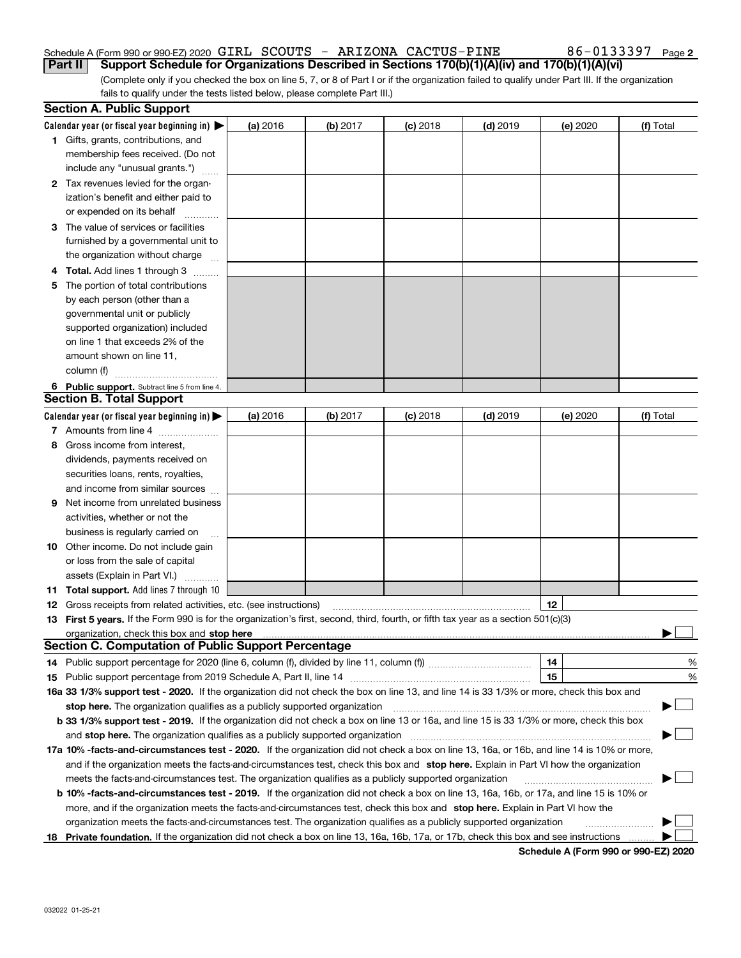#### Schedule A (Form 990 or 990-EZ) 2020 Page GIRL SCOUTS - ARIZONA CACTUS-PINE 86-0133397**Part II Support Schedule for Organizations Described in Sections 170(b)(1)(A)(iv) and 170(b)(1)(A)(vi)**

(Complete only if you checked the box on line 5, 7, or 8 of Part I or if the organization failed to qualify under Part III. If the organization fails to qualify under the tests listed below, please complete Part III.)

|     | <b>Section A. Public Support</b>                                                                                                                                                                                               |          |            |            |            |          |           |
|-----|--------------------------------------------------------------------------------------------------------------------------------------------------------------------------------------------------------------------------------|----------|------------|------------|------------|----------|-----------|
|     | Calendar year (or fiscal year beginning in) $\blacktriangleright$                                                                                                                                                              | (a) 2016 | (b) 2017   | $(c)$ 2018 | $(d)$ 2019 | (e) 2020 | (f) Total |
|     | <b>1</b> Gifts, grants, contributions, and                                                                                                                                                                                     |          |            |            |            |          |           |
|     | membership fees received. (Do not                                                                                                                                                                                              |          |            |            |            |          |           |
|     | include any "unusual grants.")                                                                                                                                                                                                 |          |            |            |            |          |           |
|     | 2 Tax revenues levied for the organ-                                                                                                                                                                                           |          |            |            |            |          |           |
|     | ization's benefit and either paid to                                                                                                                                                                                           |          |            |            |            |          |           |
|     | or expended on its behalf                                                                                                                                                                                                      |          |            |            |            |          |           |
|     | 3 The value of services or facilities                                                                                                                                                                                          |          |            |            |            |          |           |
|     | furnished by a governmental unit to                                                                                                                                                                                            |          |            |            |            |          |           |
|     | the organization without charge                                                                                                                                                                                                |          |            |            |            |          |           |
|     | 4 Total. Add lines 1 through 3                                                                                                                                                                                                 |          |            |            |            |          |           |
| 5.  | The portion of total contributions                                                                                                                                                                                             |          |            |            |            |          |           |
|     | by each person (other than a                                                                                                                                                                                                   |          |            |            |            |          |           |
|     | governmental unit or publicly                                                                                                                                                                                                  |          |            |            |            |          |           |
|     | supported organization) included                                                                                                                                                                                               |          |            |            |            |          |           |
|     | on line 1 that exceeds 2% of the                                                                                                                                                                                               |          |            |            |            |          |           |
|     | amount shown on line 11,                                                                                                                                                                                                       |          |            |            |            |          |           |
|     | column (f)                                                                                                                                                                                                                     |          |            |            |            |          |           |
|     | 6 Public support. Subtract line 5 from line 4.                                                                                                                                                                                 |          |            |            |            |          |           |
|     | <b>Section B. Total Support</b>                                                                                                                                                                                                |          |            |            |            |          |           |
|     | Calendar year (or fiscal year beginning in)                                                                                                                                                                                    | (a) 2016 | $(b)$ 2017 | $(c)$ 2018 | $(d)$ 2019 | (e) 2020 | (f) Total |
|     | 7 Amounts from line 4                                                                                                                                                                                                          |          |            |            |            |          |           |
| 8.  | Gross income from interest,                                                                                                                                                                                                    |          |            |            |            |          |           |
|     | dividends, payments received on                                                                                                                                                                                                |          |            |            |            |          |           |
|     | securities loans, rents, royalties,                                                                                                                                                                                            |          |            |            |            |          |           |
|     | and income from similar sources                                                                                                                                                                                                |          |            |            |            |          |           |
| 9   | Net income from unrelated business                                                                                                                                                                                             |          |            |            |            |          |           |
|     | activities, whether or not the                                                                                                                                                                                                 |          |            |            |            |          |           |
|     | business is regularly carried on                                                                                                                                                                                               |          |            |            |            |          |           |
|     | <b>10</b> Other income. Do not include gain                                                                                                                                                                                    |          |            |            |            |          |           |
|     | or loss from the sale of capital                                                                                                                                                                                               |          |            |            |            |          |           |
|     | assets (Explain in Part VI.)                                                                                                                                                                                                   |          |            |            |            |          |           |
|     | <b>11 Total support.</b> Add lines 7 through 10                                                                                                                                                                                |          |            |            |            |          |           |
|     | <b>12</b> Gross receipts from related activities, etc. (see instructions)                                                                                                                                                      |          |            |            |            | 12       |           |
|     | 13 First 5 years. If the Form 990 is for the organization's first, second, third, fourth, or fifth tax year as a section 501(c)(3)                                                                                             |          |            |            |            |          |           |
|     | organization, check this box and stop here manufactured and the content of the state of the content of the content of the content of the content of the content of the content of the content of the content of the content of |          |            |            |            |          |           |
|     | <b>Section C. Computation of Public Support Percentage</b>                                                                                                                                                                     |          |            |            |            |          |           |
|     | 14 Public support percentage for 2020 (line 6, column (f), divided by line 11, column (f) <i>marroummaname</i>                                                                                                                 |          |            |            |            | 14       | %         |
|     |                                                                                                                                                                                                                                |          |            |            |            | 15       | %         |
|     | 16a 33 1/3% support test - 2020. If the organization did not check the box on line 13, and line 14 is 33 1/3% or more, check this box and                                                                                      |          |            |            |            |          |           |
|     | stop here. The organization qualifies as a publicly supported organization                                                                                                                                                     |          |            |            |            |          | ▔▁」       |
|     | b 33 1/3% support test - 2019. If the organization did not check a box on line 13 or 16a, and line 15 is 33 1/3% or more, check this box                                                                                       |          |            |            |            |          |           |
|     | and stop here. The organization qualifies as a publicly supported organization                                                                                                                                                 |          |            |            |            |          |           |
|     | 17a 10% -facts-and-circumstances test - 2020. If the organization did not check a box on line 13, 16a, or 16b, and line 14 is 10% or more,                                                                                     |          |            |            |            |          |           |
|     |                                                                                                                                                                                                                                |          |            |            |            |          |           |
|     | and if the organization meets the facts-and-circumstances test, check this box and stop here. Explain in Part VI how the organization                                                                                          |          |            |            |            |          |           |
|     | meets the facts-and-circumstances test. The organization qualifies as a publicly supported organization                                                                                                                        |          |            |            |            |          |           |
|     | <b>b 10% -facts-and-circumstances test - 2019.</b> If the organization did not check a box on line 13, 16a, 16b, or 17a, and line 15 is 10% or                                                                                 |          |            |            |            |          |           |
|     | more, and if the organization meets the facts-and-circumstances test, check this box and stop here. Explain in Part VI how the                                                                                                 |          |            |            |            |          |           |
|     | organization meets the facts-and-circumstances test. The organization qualifies as a publicly supported organization                                                                                                           |          |            |            |            |          |           |
| 18. | Private foundation. If the organization did not check a box on line 13, 16a, 16b, 17a, or 17b, check this box and see instructions                                                                                             |          |            |            |            |          |           |

**Schedule A (Form 990 or 990-EZ) 2020**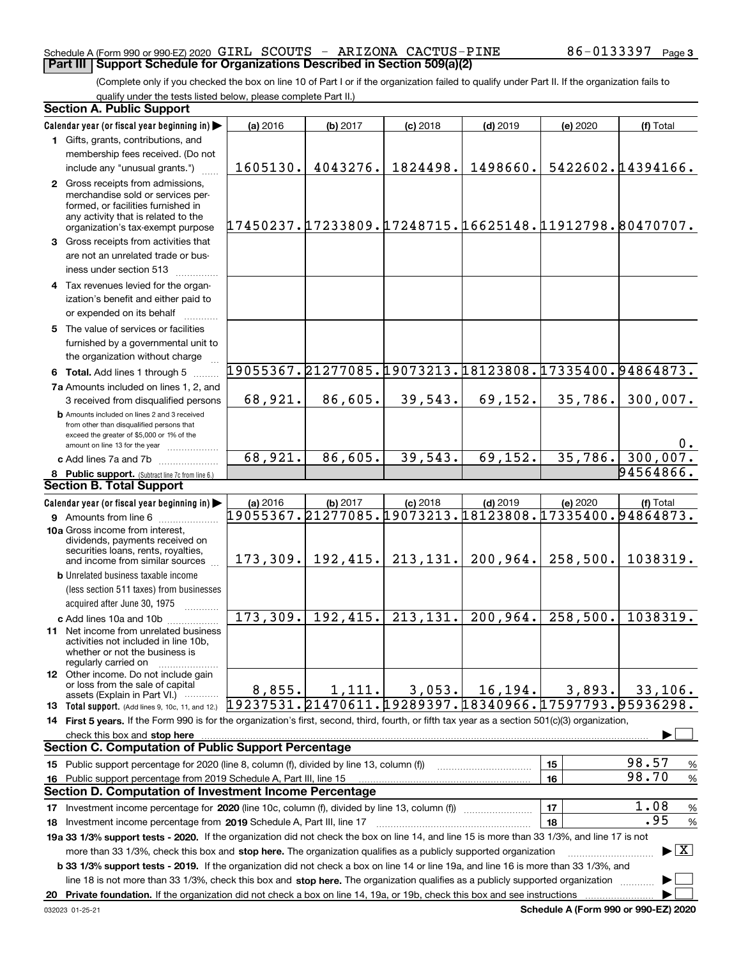#### Schedule A (Form 990 or 990-EZ) 2020 Page GIRL SCOUTS - ARIZONA CACTUS-PINE 86-0133397 **Part III Support Schedule for Organizations Described in Section 509(a)(2)**

(Complete only if you checked the box on line 10 of Part I or if the organization failed to qualify under Part II. If the organization fails to qualify under the tests listed below, please complete Part II.)

#### **8 Public support.** (Subtract line 7c from line 6.) **b** Amounts included on lines 2 and 3 received from other than disqualified persons that exceed the greater of \$5,000 or 1% of the amount on line 13 for the year  $\ldots$ ............... **13 Total support.** (Add lines 9, 10c, 11, and 12.) **Calendar year (or fiscal year beginning in) | Calendar year (or fiscal year beginning in) | (a)** 2016 **| (b)** 2017 **| (c)** 2018 **| (d)** 2019 **| (e)** 2020 **| (f) 1**Gifts, grants, contributions, and **2** Gross receipts from admissions, **3** Gross receipts from activities that **4**Tax revenues levied for the organ-**5** The value of services or facilities **6 Total.** Add lines 1 through 5  $\ldots$ ... **7a**Amounts included on lines 1, 2, and **c** Add lines 7a and 7b  $\ldots$   $\ldots$   $\ldots$  ... **(a)** 2016 **| (b)** 2017 **| (c)** 2018 **| (d)** 2019 **| (e)** 2020 **| (f) 9** Amounts from line 6  $^{10}$ **10a**Gross income from interest, **b** Unrelated business taxable income **c** Add lines 10a and 10b  $^{100}$ **11** Net income from unrelated business **12** Other income. Do not include gain **14 First 5 years.**  If the Form 990 is for the organization's first, second, third, fourth, or fifth tax year as a section 501(c)(3) organization, **stop here** check this box and | **15** Public support percentage for 2020 (line 8, column (f), divided by line 13, column (f)) **16151617** Investment income percentage for 2020 (line 10c, column (f), divided by line 13, column (f)) **18 2019** Investment income percentage from Schedule A, Part III, line 17 ~~~~~~~~~~~~~~~~~~**19a 33 1/3% support tests - 2020.** If the organization did not check the box on line 14, and line 15 is more than 33 1/3%, and line 17 is not **20Private foundation.**  If the organization did not check a box on line 14, 19a, or 19b, check this box and see instructions | **1718b33 1/3% support tests - 2019.**  If the organization did not check a box on line 14 or line 19a, and line 16 is more than 33 1/3%, and more than 33 1/3%, check this box and stop here. The organization qualifies as a publicly supported organization *manimumment* line 18 is not more than 33 1/3%, check this box and stop here. The organization qualifies as a publicly supported organization  $\Box$ (less section 511 taxes) from businesses acquired after June 30, 1975 (a) 2016 16 **| (b)** 2017 **| (c)** 2018 **| (d)** 2019 **| (e)** 2020 **| (f)** Total membership fees received. (Do not include any "unusual grants.") merchandise sold or services performed, or facilities furnished in any activity that is related to the organization's tax-exempt purpose are not an unrelated trade or business under section 513  $\quad$ ization's benefit and either paid to or expended on its behalf  $^{+}_{-}\,$   $^{+}\,$   $^{+}\,$ furnished by a governmental unit to the organization without charge 3 received from disqualified persons (a) 2016 16 **| (b)** 2017 **| (c)** 2018 **| (d)** 2019 **| (e)** 2020 **| (f)** Total dividends, payments received on securities loans, rents, royalties, and income from similar sources activities not included in line 10b, whether or not the business is regularly carried on or loss from the sale of capital assets (Explain in Part VI.) ............ Public support percentage from 2019 Schedule A, Part III, line 15 % 98.57 % 98.70 % 1.08 % .95 **Section A. Public Support Section B. Total Support Section C. Computation of Public Support Percentage Section D. Computation of Investment Income Percentage**  $\mathcal{L}^{\text{max}}$  $\boxed{\text{X}}$  $\mathcal{L}^{\text{max}}$  $\mathcal{L}^{\text{max}}$ 1605130. 4043276. 1824498. 1498660. 5422602.14394166. 17450237.17233809.17248715.16625148.11912798.80470707. 19055367.21277085.19073213.18123808.17335400.94864873. 19055367.21277085.19073213.18123808.17335400.94864873. 68,921. 86,605. 39,543. 69,152. 35,786. 300,007. 0. 68,921. 86,605. 39,543. 69,152. 35,786. 300,00 94564866. 173,309. 192,415. 213,131. 200,964. 258,500. 1038319. 173,309. 192,415. 213,131. 200,964. 258,500. 1038319.  $8,855.$  1,111. 3,053. 16,194. 3,893. 33,106. 95936298. 19237531.21470611.19289397.18340966.17597793.

**Schedule A (Form 990 or 990-EZ) 2020**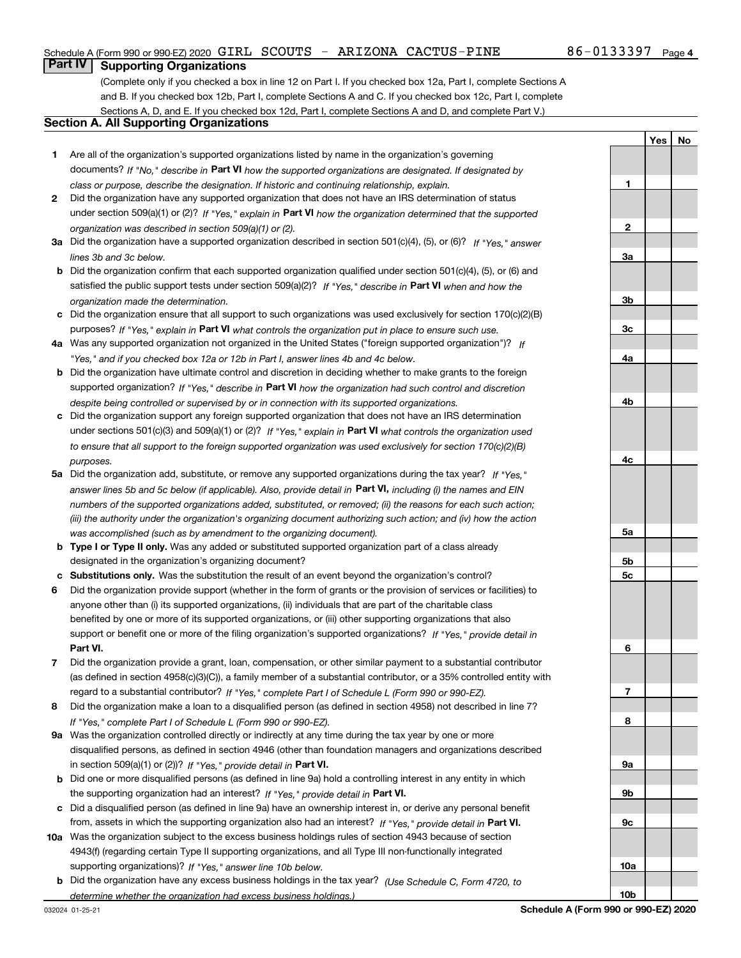**1**

**YesNo**

## **Part IV Supporting Organizations**

(Complete only if you checked a box in line 12 on Part I. If you checked box 12a, Part I, complete Sections A and B. If you checked box 12b, Part I, complete Sections A and C. If you checked box 12c, Part I, complete Sections A, D, and E. If you checked box 12d, Part I, complete Sections A and D, and complete Part V.)

#### **Section A. All Supporting Organizations**

- **1** Are all of the organization's supported organizations listed by name in the organization's governing documents? If "No," describe in **Part VI** how the supported organizations are designated. If designated by *class or purpose, describe the designation. If historic and continuing relationship, explain.*
- **2** Did the organization have any supported organization that does not have an IRS determination of status under section 509(a)(1) or (2)? If "Yes," explain in Part VI how the organization determined that the supported *organization was described in section 509(a)(1) or (2).*
- **3a** Did the organization have a supported organization described in section 501(c)(4), (5), or (6)? If "Yes," answer *lines 3b and 3c below.*
- **b** Did the organization confirm that each supported organization qualified under section 501(c)(4), (5), or (6) and satisfied the public support tests under section 509(a)(2)? If "Yes," describe in **Part VI** when and how the *organization made the determination.*
- **c**Did the organization ensure that all support to such organizations was used exclusively for section 170(c)(2)(B) purposes? If "Yes," explain in **Part VI** what controls the organization put in place to ensure such use.
- **4a***If* Was any supported organization not organized in the United States ("foreign supported organization")? *"Yes," and if you checked box 12a or 12b in Part I, answer lines 4b and 4c below.*
- **b** Did the organization have ultimate control and discretion in deciding whether to make grants to the foreign supported organization? If "Yes," describe in **Part VI** how the organization had such control and discretion *despite being controlled or supervised by or in connection with its supported organizations.*
- **c** Did the organization support any foreign supported organization that does not have an IRS determination under sections 501(c)(3) and 509(a)(1) or (2)? If "Yes," explain in **Part VI** what controls the organization used *to ensure that all support to the foreign supported organization was used exclusively for section 170(c)(2)(B) purposes.*
- **5a***If "Yes,"* Did the organization add, substitute, or remove any supported organizations during the tax year? answer lines 5b and 5c below (if applicable). Also, provide detail in **Part VI,** including (i) the names and EIN *numbers of the supported organizations added, substituted, or removed; (ii) the reasons for each such action; (iii) the authority under the organization's organizing document authorizing such action; and (iv) how the action was accomplished (such as by amendment to the organizing document).*
- **b** Type I or Type II only. Was any added or substituted supported organization part of a class already designated in the organization's organizing document?
- **cSubstitutions only.**  Was the substitution the result of an event beyond the organization's control?
- **6** Did the organization provide support (whether in the form of grants or the provision of services or facilities) to **Part VI.** *If "Yes," provide detail in* support or benefit one or more of the filing organization's supported organizations? anyone other than (i) its supported organizations, (ii) individuals that are part of the charitable class benefited by one or more of its supported organizations, or (iii) other supporting organizations that also
- **7**Did the organization provide a grant, loan, compensation, or other similar payment to a substantial contributor *If "Yes," complete Part I of Schedule L (Form 990 or 990-EZ).* regard to a substantial contributor? (as defined in section 4958(c)(3)(C)), a family member of a substantial contributor, or a 35% controlled entity with
- **8** Did the organization make a loan to a disqualified person (as defined in section 4958) not described in line 7? *If "Yes," complete Part I of Schedule L (Form 990 or 990-EZ).*
- **9a** Was the organization controlled directly or indirectly at any time during the tax year by one or more in section 509(a)(1) or (2))? If "Yes," *provide detail in* <code>Part VI.</code> disqualified persons, as defined in section 4946 (other than foundation managers and organizations described
- **b** Did one or more disqualified persons (as defined in line 9a) hold a controlling interest in any entity in which the supporting organization had an interest? If "Yes," provide detail in P**art VI**.
- **c**Did a disqualified person (as defined in line 9a) have an ownership interest in, or derive any personal benefit from, assets in which the supporting organization also had an interest? If "Yes," provide detail in P**art VI.**
- **10a** Was the organization subject to the excess business holdings rules of section 4943 because of section supporting organizations)? If "Yes," answer line 10b below. 4943(f) (regarding certain Type II supporting organizations, and all Type III non-functionally integrated
- **b** Did the organization have any excess business holdings in the tax year? (Use Schedule C, Form 4720, to *determine whether the organization had excess business holdings.)*

**23a3b3c4a4b4c5a5b5c6789a 9b9c**

**10a**

**10b**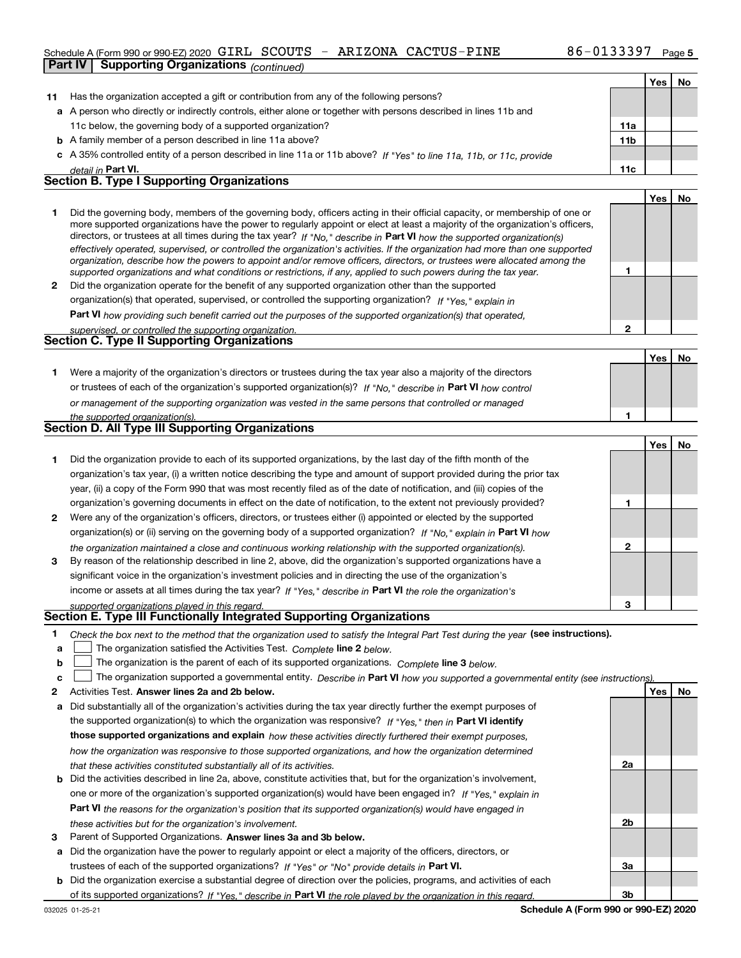#### Schedule A (Form 990 or 990-EZ) 2020 GIRL SCOUTS -**Part IV Supporting Organizations** *(continued)* ARIZONA CACTUS-PINE

|              | Part IV<br>Supporting Organizations <sub>(continued)</sub>                                                                                                                                                                                                                                                                                                                                                                                                                                                               |             |     |     |
|--------------|--------------------------------------------------------------------------------------------------------------------------------------------------------------------------------------------------------------------------------------------------------------------------------------------------------------------------------------------------------------------------------------------------------------------------------------------------------------------------------------------------------------------------|-------------|-----|-----|
|              |                                                                                                                                                                                                                                                                                                                                                                                                                                                                                                                          |             | Yes | No  |
| 11           | Has the organization accepted a gift or contribution from any of the following persons?                                                                                                                                                                                                                                                                                                                                                                                                                                  |             |     |     |
|              | a A person who directly or indirectly controls, either alone or together with persons described in lines 11b and                                                                                                                                                                                                                                                                                                                                                                                                         |             |     |     |
|              | 11c below, the governing body of a supported organization?                                                                                                                                                                                                                                                                                                                                                                                                                                                               | 11a         |     |     |
|              | <b>b</b> A family member of a person described in line 11a above?                                                                                                                                                                                                                                                                                                                                                                                                                                                        | 11b         |     |     |
|              | c A 35% controlled entity of a person described in line 11a or 11b above? If "Yes" to line 11a, 11b, or 11c, provide                                                                                                                                                                                                                                                                                                                                                                                                     |             |     |     |
|              | detail in Part VI.                                                                                                                                                                                                                                                                                                                                                                                                                                                                                                       | 11c         |     |     |
|              | <b>Section B. Type I Supporting Organizations</b>                                                                                                                                                                                                                                                                                                                                                                                                                                                                        |             |     |     |
|              |                                                                                                                                                                                                                                                                                                                                                                                                                                                                                                                          |             | Yes | No  |
| 1            | Did the governing body, members of the governing body, officers acting in their official capacity, or membership of one or<br>more supported organizations have the power to regularly appoint or elect at least a majority of the organization's officers,<br>directors, or trustees at all times during the tax year? If "No," describe in Part VI how the supported organization(s)<br>effectively operated, supervised, or controlled the organization's activities. If the organization had more than one supported |             |     |     |
|              | organization, describe how the powers to appoint and/or remove officers, directors, or trustees were allocated among the<br>supported organizations and what conditions or restrictions, if any, applied to such powers during the tax year.                                                                                                                                                                                                                                                                             | 1           |     |     |
| $\mathbf{2}$ | Did the organization operate for the benefit of any supported organization other than the supported                                                                                                                                                                                                                                                                                                                                                                                                                      |             |     |     |
|              | organization(s) that operated, supervised, or controlled the supporting organization? If "Yes," explain in                                                                                                                                                                                                                                                                                                                                                                                                               |             |     |     |
|              | Part VI how providing such benefit carried out the purposes of the supported organization(s) that operated,                                                                                                                                                                                                                                                                                                                                                                                                              |             |     |     |
|              | supervised, or controlled the supporting organization.                                                                                                                                                                                                                                                                                                                                                                                                                                                                   | $\mathbf 2$ |     |     |
|              | <b>Section C. Type II Supporting Organizations</b>                                                                                                                                                                                                                                                                                                                                                                                                                                                                       |             |     |     |
|              |                                                                                                                                                                                                                                                                                                                                                                                                                                                                                                                          |             | Yes | No  |
| 1.           | Were a majority of the organization's directors or trustees during the tax year also a majority of the directors                                                                                                                                                                                                                                                                                                                                                                                                         |             |     |     |
|              | or trustees of each of the organization's supported organization(s)? If "No," describe in Part VI how control                                                                                                                                                                                                                                                                                                                                                                                                            |             |     |     |
|              | or management of the supporting organization was vested in the same persons that controlled or managed                                                                                                                                                                                                                                                                                                                                                                                                                   |             |     |     |
|              | the supported organization(s).                                                                                                                                                                                                                                                                                                                                                                                                                                                                                           | 1           |     |     |
|              | Section D. All Type III Supporting Organizations                                                                                                                                                                                                                                                                                                                                                                                                                                                                         |             |     |     |
|              |                                                                                                                                                                                                                                                                                                                                                                                                                                                                                                                          |             | Yes | No  |
| 1            | Did the organization provide to each of its supported organizations, by the last day of the fifth month of the                                                                                                                                                                                                                                                                                                                                                                                                           |             |     |     |
|              | organization's tax year, (i) a written notice describing the type and amount of support provided during the prior tax                                                                                                                                                                                                                                                                                                                                                                                                    |             |     |     |
|              | year, (ii) a copy of the Form 990 that was most recently filed as of the date of notification, and (iii) copies of the                                                                                                                                                                                                                                                                                                                                                                                                   |             |     |     |
|              | organization's governing documents in effect on the date of notification, to the extent not previously provided?                                                                                                                                                                                                                                                                                                                                                                                                         | 1           |     |     |
| 2            | Were any of the organization's officers, directors, or trustees either (i) appointed or elected by the supported                                                                                                                                                                                                                                                                                                                                                                                                         |             |     |     |
|              | organization(s) or (ii) serving on the governing body of a supported organization? If "No," explain in Part VI how                                                                                                                                                                                                                                                                                                                                                                                                       |             |     |     |
|              | the organization maintained a close and continuous working relationship with the supported organization(s).                                                                                                                                                                                                                                                                                                                                                                                                              | 2           |     |     |
| 3            | By reason of the relationship described in line 2, above, did the organization's supported organizations have a                                                                                                                                                                                                                                                                                                                                                                                                          |             |     |     |
|              | significant voice in the organization's investment policies and in directing the use of the organization's                                                                                                                                                                                                                                                                                                                                                                                                               |             |     |     |
|              | income or assets at all times during the tax year? If "Yes," describe in Part VI the role the organization's                                                                                                                                                                                                                                                                                                                                                                                                             |             |     |     |
|              | sunnorted organizations played in this regard.                                                                                                                                                                                                                                                                                                                                                                                                                                                                           | 3           |     |     |
|              | Section E. Type III Functionally Integrated Supporting Organizations                                                                                                                                                                                                                                                                                                                                                                                                                                                     |             |     |     |
| 1<br>а       | Check the box next to the method that the organization used to satisfy the Integral Part Test during the year (see instructions).<br>The organization satisfied the Activities Test. Complete line 2 below.                                                                                                                                                                                                                                                                                                              |             |     |     |
| b            | The organization is the parent of each of its supported organizations. Complete line 3 below.                                                                                                                                                                                                                                                                                                                                                                                                                            |             |     |     |
| c            | The organization supported a governmental entity. Describe in Part VI how you supported a governmental entity (see instructions).                                                                                                                                                                                                                                                                                                                                                                                        |             |     |     |
| 2            | Activities Test. Answer lines 2a and 2b below.                                                                                                                                                                                                                                                                                                                                                                                                                                                                           |             | Yes | No. |

- **a** Did substantially all of the organization's activities during the tax year directly further the exempt purposes of **b** Did the activities described in line 2a, above, constitute activities that, but for the organization's involvement, the supported organization(s) to which the organization was responsive? If "Yes," then in **Part VI identify those supported organizations and explain**  *how these activities directly furthered their exempt purposes, how the organization was responsive to those supported organizations, and how the organization determined that these activities constituted substantially all of its activities.* one or more of the organization's supported organization(s) would have been engaged in? If "Yes," e*xplain in* 
	- **Part VI**  *the reasons for the organization's position that its supported organization(s) would have engaged in these activities but for the organization's involvement.*
- **3** Parent of Supported Organizations. Answer lines 3a and 3b below.
- **a** Did the organization have the power to regularly appoint or elect a majority of the officers, directors, or trustees of each of the supported organizations? If "Yes" or "No" provide details in **Part VI.**
- **b** Did the organization exercise a substantial degree of direction over the policies, programs, and activities of each of its supported organizations? If "Yes," describe in Part VI the role played by the organization in this regard.

**2a**

**2b**

**3a**

**3b**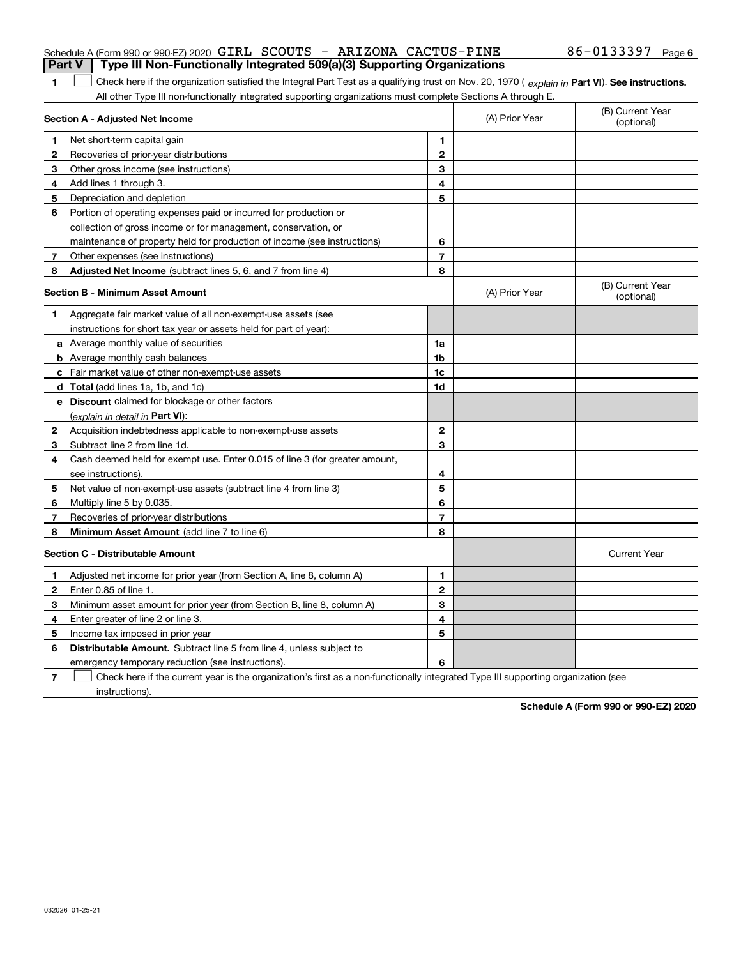| Part V   Type III Non-Functionally Integrated 509(a)(3) Supporting Organizations |  |  |  |  |  |
|----------------------------------------------------------------------------------|--|--|--|--|--|
|                                                                                  |  |  |  |  |  |

**1**1 Check here if the organization satisfied the Integral Part Test as a qualifying trust on Nov. 20, 1970 (explain in Part VI). See instructions. All other Type III non-functionally integrated supporting organizations must complete Sections A through E.

| Section A - Adjusted Net Income |                                                                             |                | (A) Prior Year | (B) Current Year<br>(optional) |
|---------------------------------|-----------------------------------------------------------------------------|----------------|----------------|--------------------------------|
| 1                               | Net short-term capital gain                                                 | 1              |                |                                |
| $\mathbf{2}$                    | Recoveries of prior-year distributions                                      | $\overline{2}$ |                |                                |
| 3                               | Other gross income (see instructions)                                       | 3              |                |                                |
| 4                               | Add lines 1 through 3.                                                      | 4              |                |                                |
| 5                               | Depreciation and depletion                                                  | 5              |                |                                |
| 6                               | Portion of operating expenses paid or incurred for production or            |                |                |                                |
|                                 | collection of gross income or for management, conservation, or              |                |                |                                |
|                                 | maintenance of property held for production of income (see instructions)    | 6              |                |                                |
| 7                               | Other expenses (see instructions)                                           | $\overline{7}$ |                |                                |
| 8                               | Adjusted Net Income (subtract lines 5, 6, and 7 from line 4)                | 8              |                |                                |
|                                 | <b>Section B - Minimum Asset Amount</b>                                     |                | (A) Prior Year | (B) Current Year<br>(optional) |
| 1                               | Aggregate fair market value of all non-exempt-use assets (see               |                |                |                                |
|                                 | instructions for short tax year or assets held for part of year):           |                |                |                                |
|                                 | a Average monthly value of securities                                       | 1a             |                |                                |
|                                 | <b>b</b> Average monthly cash balances                                      | 1 <sub>b</sub> |                |                                |
|                                 | c Fair market value of other non-exempt-use assets                          | 1c             |                |                                |
|                                 | <b>d</b> Total (add lines 1a, 1b, and 1c)                                   | 1d             |                |                                |
|                                 | e Discount claimed for blockage or other factors                            |                |                |                                |
|                                 | (explain in detail in Part VI):                                             |                |                |                                |
| $\mathbf{2}$                    | Acquisition indebtedness applicable to non-exempt-use assets                | $\mathbf{2}$   |                |                                |
| З                               | Subtract line 2 from line 1d.                                               | 3              |                |                                |
| 4                               | Cash deemed held for exempt use. Enter 0.015 of line 3 (for greater amount, |                |                |                                |
|                                 | see instructions).                                                          | 4              |                |                                |
| 5                               | Net value of non-exempt-use assets (subtract line 4 from line 3)            | 5              |                |                                |
| 6                               | Multiply line 5 by 0.035.                                                   | 6              |                |                                |
| 7                               | Recoveries of prior-year distributions                                      | $\overline{7}$ |                |                                |
| 8                               | Minimum Asset Amount (add line 7 to line 6)                                 | 8              |                |                                |
|                                 | <b>Section C - Distributable Amount</b>                                     |                |                | <b>Current Year</b>            |
| 1                               | Adjusted net income for prior year (from Section A, line 8, column A)       | 1              |                |                                |
| $\mathbf{2}$                    | Enter 0.85 of line 1.                                                       | $\mathbf{2}$   |                |                                |
| з                               | Minimum asset amount for prior year (from Section B, line 8, column A)      | 3              |                |                                |
| 4                               | Enter greater of line 2 or line 3.                                          | 4              |                |                                |
| 5                               | Income tax imposed in prior year                                            | 5              |                |                                |
| 6                               | <b>Distributable Amount.</b> Subtract line 5 from line 4, unless subject to |                |                |                                |
|                                 | emergency temporary reduction (see instructions).                           | 6              |                |                                |
|                                 |                                                                             |                |                |                                |

**7**Check here if the current year is the organization's first as a non-functionally integrated Type III supporting organization (see instructions).

**Schedule A (Form 990 or 990-EZ) 2020**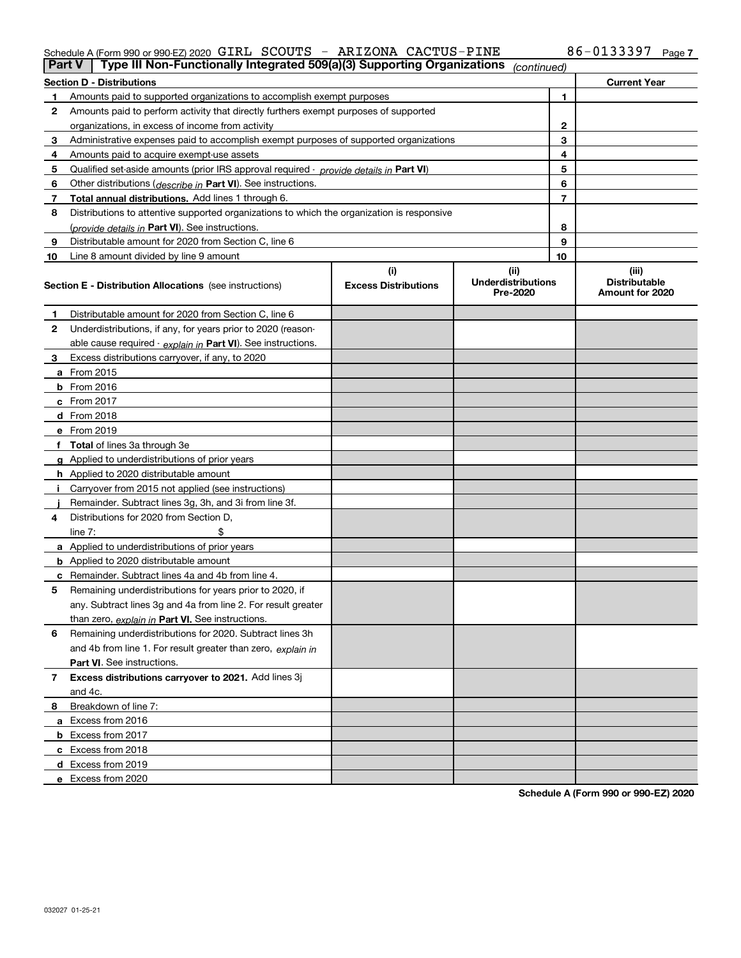#### Schedule A (Form 990 or 990-EZ) 2020 GIRL SCOUTS - ARIZONA CACTUS-PINE 86-UI33397 Page GIRL SCOUTS - ARIZONA CACTUS-PINE 86-0133397

| <b>Part V</b> | Type III Non-Functionally Integrated 509(a)(3) Supporting Organizations                    |                             | (continued)                           |              |                                         |
|---------------|--------------------------------------------------------------------------------------------|-----------------------------|---------------------------------------|--------------|-----------------------------------------|
|               | <b>Section D - Distributions</b>                                                           |                             |                                       |              | <b>Current Year</b>                     |
| 1             | Amounts paid to supported organizations to accomplish exempt purposes                      |                             |                                       | 1            |                                         |
| 2             | Amounts paid to perform activity that directly furthers exempt purposes of supported       |                             |                                       |              |                                         |
|               | organizations, in excess of income from activity                                           |                             |                                       | $\mathbf{2}$ |                                         |
| 3             | Administrative expenses paid to accomplish exempt purposes of supported organizations      |                             |                                       | 3            |                                         |
| 4             | Amounts paid to acquire exempt-use assets                                                  |                             |                                       | 4            |                                         |
| 5             | Qualified set-aside amounts (prior IRS approval required - provide details in Part VI)     |                             |                                       | 5            |                                         |
| 6             | Other distributions ( <i>describe in</i> Part VI). See instructions.                       |                             |                                       | 6            |                                         |
| 7             | Total annual distributions. Add lines 1 through 6.                                         |                             |                                       | 7            |                                         |
| 8             | Distributions to attentive supported organizations to which the organization is responsive |                             |                                       |              |                                         |
|               | (provide details in Part VI). See instructions.                                            |                             |                                       | 8            |                                         |
| 9             | Distributable amount for 2020 from Section C, line 6                                       |                             |                                       | 9            |                                         |
| 10            | Line 8 amount divided by line 9 amount                                                     |                             |                                       | 10           |                                         |
|               |                                                                                            | (i)                         | (ii)                                  |              | (iii)                                   |
|               | Section E - Distribution Allocations (see instructions)                                    | <b>Excess Distributions</b> | <b>Underdistributions</b><br>Pre-2020 |              | <b>Distributable</b><br>Amount for 2020 |
| 1             | Distributable amount for 2020 from Section C, line 6                                       |                             |                                       |              |                                         |
| 2             | Underdistributions, if any, for years prior to 2020 (reason-                               |                             |                                       |              |                                         |
|               | able cause required - explain in Part VI). See instructions.                               |                             |                                       |              |                                         |
| 3             | Excess distributions carryover, if any, to 2020                                            |                             |                                       |              |                                         |
|               | <b>a</b> From 2015                                                                         |                             |                                       |              |                                         |
|               | <b>b</b> From 2016                                                                         |                             |                                       |              |                                         |
|               | c From 2017                                                                                |                             |                                       |              |                                         |
|               | <b>d</b> From 2018                                                                         |                             |                                       |              |                                         |
|               | e From 2019                                                                                |                             |                                       |              |                                         |
|               | f Total of lines 3a through 3e                                                             |                             |                                       |              |                                         |
|               | g Applied to underdistributions of prior years                                             |                             |                                       |              |                                         |
|               | <b>h</b> Applied to 2020 distributable amount                                              |                             |                                       |              |                                         |
|               | Carryover from 2015 not applied (see instructions)                                         |                             |                                       |              |                                         |
|               | Remainder. Subtract lines 3g, 3h, and 3i from line 3f.                                     |                             |                                       |              |                                         |
| 4             | Distributions for 2020 from Section D,                                                     |                             |                                       |              |                                         |
|               | line $7:$                                                                                  |                             |                                       |              |                                         |
|               | a Applied to underdistributions of prior years                                             |                             |                                       |              |                                         |
|               | <b>b</b> Applied to 2020 distributable amount                                              |                             |                                       |              |                                         |
|               | c Remainder. Subtract lines 4a and 4b from line 4.                                         |                             |                                       |              |                                         |
| 5             | Remaining underdistributions for years prior to 2020, if                                   |                             |                                       |              |                                         |
|               | any. Subtract lines 3g and 4a from line 2. For result greater                              |                             |                                       |              |                                         |
|               | than zero, explain in Part VI. See instructions.                                           |                             |                                       |              |                                         |
| 6             | Remaining underdistributions for 2020. Subtract lines 3h                                   |                             |                                       |              |                                         |
|               | and 4b from line 1. For result greater than zero, explain in                               |                             |                                       |              |                                         |
|               | Part VI. See instructions.                                                                 |                             |                                       |              |                                         |
| 7             | Excess distributions carryover to 2021. Add lines 3j                                       |                             |                                       |              |                                         |
|               | and 4c.                                                                                    |                             |                                       |              |                                         |
| 8             | Breakdown of line 7:                                                                       |                             |                                       |              |                                         |
|               | a Excess from 2016                                                                         |                             |                                       |              |                                         |
|               | <b>b</b> Excess from 2017                                                                  |                             |                                       |              |                                         |
|               | c Excess from 2018                                                                         |                             |                                       |              |                                         |
|               | d Excess from 2019                                                                         |                             |                                       |              |                                         |
|               | e Excess from 2020                                                                         |                             |                                       |              |                                         |

**Schedule A (Form 990 or 990-EZ) 2020**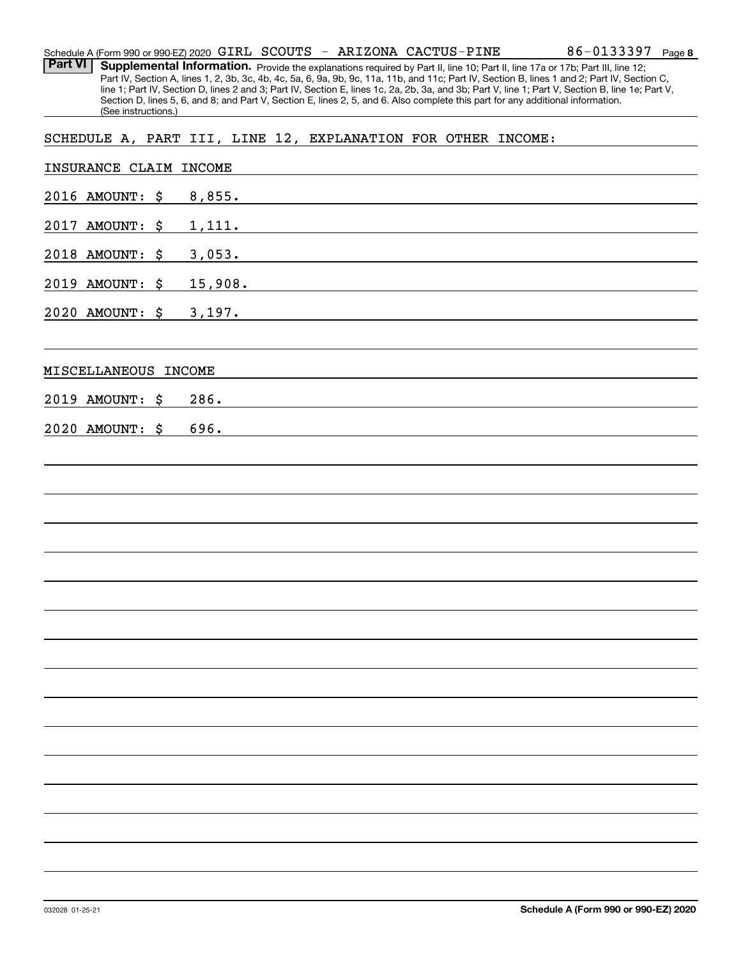| <b>Part VI</b><br>(See instructions.)                        |               |  |                                                                                                                       |  | Supplemental Information. Provide the explanations required by Part II, line 10; Part II, line 17a or 17b; Part III, line 12;<br>Part IV, Section A, lines 1, 2, 3b, 3c, 4b, 4c, 5a, 6, 9a, 9b, 9c, 11a, 11b, and 11c; Part IV, Section B, lines 1 and 2; Part IV, Section C,<br>line 1; Part IV, Section D, lines 2 and 3; Part IV, Section E, lines 1c, 2a, 2b, 3a, and 3b; Part V, line 1; Part V, Section B, line 1e; Part V,<br>Section D, lines 5, 6, and 8; and Part V, Section E, lines 2, 5, and 6. Also complete this part for any additional information. |
|--------------------------------------------------------------|---------------|--|-----------------------------------------------------------------------------------------------------------------------|--|----------------------------------------------------------------------------------------------------------------------------------------------------------------------------------------------------------------------------------------------------------------------------------------------------------------------------------------------------------------------------------------------------------------------------------------------------------------------------------------------------------------------------------------------------------------------|
| SCHEDULE A, PART III, LINE 12, EXPLANATION FOR OTHER INCOME: |               |  |                                                                                                                       |  |                                                                                                                                                                                                                                                                                                                                                                                                                                                                                                                                                                      |
| INSURANCE CLAIM INCOME                                       |               |  |                                                                                                                       |  |                                                                                                                                                                                                                                                                                                                                                                                                                                                                                                                                                                      |
| 2016 AMOUNT:                                                 | \$<br>8,855.  |  | <u> 1980 - Johann John Stone, mars eta biztanleria (</u>                                                              |  |                                                                                                                                                                                                                                                                                                                                                                                                                                                                                                                                                                      |
| 2017<br><b>AMOUNT:</b>                                       | \$<br>1,111.  |  |                                                                                                                       |  |                                                                                                                                                                                                                                                                                                                                                                                                                                                                                                                                                                      |
| 2018 AMOUNT:                                                 | \$<br>3,053.  |  | <u> 1980 - Johann Barbara, martin da basar a shekara 1980 - An tsara 1980 - An tsara 1980 - An tsara 1980 - An ts</u> |  |                                                                                                                                                                                                                                                                                                                                                                                                                                                                                                                                                                      |
| 2019<br><b>AMOUNT:</b>                                       | \$<br>15,908. |  |                                                                                                                       |  |                                                                                                                                                                                                                                                                                                                                                                                                                                                                                                                                                                      |
| 2020 AMOUNT:                                                 | \$<br>3,197.  |  |                                                                                                                       |  |                                                                                                                                                                                                                                                                                                                                                                                                                                                                                                                                                                      |
| MISCELLANEOUS INCOME                                         |               |  |                                                                                                                       |  |                                                                                                                                                                                                                                                                                                                                                                                                                                                                                                                                                                      |
| 2019<br><b>AMOUNT :</b>                                      | \$<br>286.    |  |                                                                                                                       |  |                                                                                                                                                                                                                                                                                                                                                                                                                                                                                                                                                                      |
| 2020 AMOUNT:                                                 | \$<br>696.    |  |                                                                                                                       |  |                                                                                                                                                                                                                                                                                                                                                                                                                                                                                                                                                                      |
|                                                              |               |  |                                                                                                                       |  |                                                                                                                                                                                                                                                                                                                                                                                                                                                                                                                                                                      |
|                                                              |               |  |                                                                                                                       |  |                                                                                                                                                                                                                                                                                                                                                                                                                                                                                                                                                                      |
|                                                              |               |  |                                                                                                                       |  |                                                                                                                                                                                                                                                                                                                                                                                                                                                                                                                                                                      |
|                                                              |               |  |                                                                                                                       |  |                                                                                                                                                                                                                                                                                                                                                                                                                                                                                                                                                                      |
|                                                              |               |  |                                                                                                                       |  |                                                                                                                                                                                                                                                                                                                                                                                                                                                                                                                                                                      |
|                                                              |               |  |                                                                                                                       |  |                                                                                                                                                                                                                                                                                                                                                                                                                                                                                                                                                                      |
|                                                              |               |  |                                                                                                                       |  |                                                                                                                                                                                                                                                                                                                                                                                                                                                                                                                                                                      |
|                                                              |               |  |                                                                                                                       |  |                                                                                                                                                                                                                                                                                                                                                                                                                                                                                                                                                                      |
|                                                              |               |  |                                                                                                                       |  |                                                                                                                                                                                                                                                                                                                                                                                                                                                                                                                                                                      |
|                                                              |               |  |                                                                                                                       |  |                                                                                                                                                                                                                                                                                                                                                                                                                                                                                                                                                                      |
|                                                              |               |  |                                                                                                                       |  |                                                                                                                                                                                                                                                                                                                                                                                                                                                                                                                                                                      |
|                                                              |               |  |                                                                                                                       |  |                                                                                                                                                                                                                                                                                                                                                                                                                                                                                                                                                                      |
|                                                              |               |  |                                                                                                                       |  |                                                                                                                                                                                                                                                                                                                                                                                                                                                                                                                                                                      |
|                                                              |               |  |                                                                                                                       |  |                                                                                                                                                                                                                                                                                                                                                                                                                                                                                                                                                                      |
|                                                              |               |  |                                                                                                                       |  |                                                                                                                                                                                                                                                                                                                                                                                                                                                                                                                                                                      |

Schedule A (Form 990 or 990-EZ) 2020 Page GIRL SCOUTS - ARIZONA CACTUS-PINE

**8** 86-0133397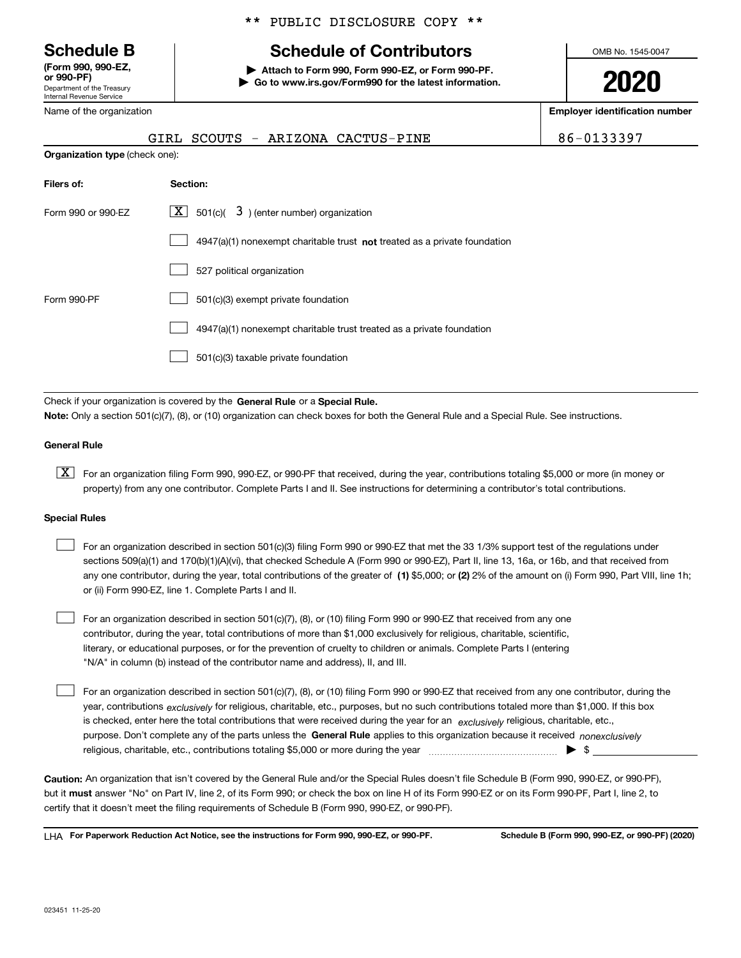Department of the Treasury Internal Revenue Service **(Form 990, 990-EZ, or 990-PF)**

Name of the organization

#### \*\* PUBLIC DISCLOSURE COPY \*\*

## **Schedule B Schedule of Contributors**

**| Attach to Form 990, Form 990-EZ, or Form 990-PF. | Go to www.irs.gov/Form990 for the latest information.** OMB No. 1545-0047

**2020**

**Employer identification number**

|                    | SCOUTS - ARIZONA CACTUS-PINE<br>GIRL                                      | 86-0133397 |  |  |  |  |
|--------------------|---------------------------------------------------------------------------|------------|--|--|--|--|
|                    | <b>Organization type (check one):</b>                                     |            |  |  |  |  |
| Filers of:         | Section:                                                                  |            |  |  |  |  |
| Form 990 or 990-EZ | $X \mid$<br>$501(c)$ $3$ ) (enter number) organization                    |            |  |  |  |  |
|                    | 4947(a)(1) nonexempt charitable trust not treated as a private foundation |            |  |  |  |  |
|                    | 527 political organization                                                |            |  |  |  |  |
| Form 990-PF        | 501(c)(3) exempt private foundation                                       |            |  |  |  |  |
|                    | 4947(a)(1) nonexempt charitable trust treated as a private foundation     |            |  |  |  |  |
|                    | 501(c)(3) taxable private foundation                                      |            |  |  |  |  |

Check if your organization is covered by the **General Rule** or a **Special Rule. Note:**  Only a section 501(c)(7), (8), or (10) organization can check boxes for both the General Rule and a Special Rule. See instructions.

#### **General Rule**

 $\boxed{\textbf{X}}$  For an organization filing Form 990, 990-EZ, or 990-PF that received, during the year, contributions totaling \$5,000 or more (in money or property) from any one contributor. Complete Parts I and II. See instructions for determining a contributor's total contributions.

#### **Special Rules**

| For an organization described in section 501(c)(3) filing Form 990 or 990-EZ that met the 33 1/3% support test of the regulations under               |
|-------------------------------------------------------------------------------------------------------------------------------------------------------|
| sections 509(a)(1) and 170(b)(1)(A)(vi), that checked Schedule A (Form 990 or 990-EZ), Part II, line 13, 16a, or 16b, and that received from          |
| any one contributor, during the year, total contributions of the greater of (1) \$5,000; or (2) 2% of the amount on (i) Form 990, Part VIII, line 1h; |
| or (ii) Form 990-EZ, line 1. Complete Parts I and II.                                                                                                 |

For an organization described in section 501(c)(7), (8), or (10) filing Form 990 or 990-EZ that received from any one contributor, during the year, total contributions of more than \$1,000 exclusively for religious, charitable, scientific, literary, or educational purposes, or for the prevention of cruelty to children or animals. Complete Parts I (entering "N/A" in column (b) instead of the contributor name and address), II, and III.  $\mathcal{L}^{\text{max}}$ 

purpose. Don't complete any of the parts unless the **General Rule** applies to this organization because it received *nonexclusively* year, contributions <sub>exclusively</sub> for religious, charitable, etc., purposes, but no such contributions totaled more than \$1,000. If this box is checked, enter here the total contributions that were received during the year for an  $\;$ exclusively religious, charitable, etc., For an organization described in section 501(c)(7), (8), or (10) filing Form 990 or 990-EZ that received from any one contributor, during the religious, charitable, etc., contributions totaling \$5,000 or more during the year  $\Box$ — $\Box$  =  $\Box$  $\mathcal{L}^{\text{max}}$ 

**Caution:**  An organization that isn't covered by the General Rule and/or the Special Rules doesn't file Schedule B (Form 990, 990-EZ, or 990-PF),  **must** but it answer "No" on Part IV, line 2, of its Form 990; or check the box on line H of its Form 990-EZ or on its Form 990-PF, Part I, line 2, to certify that it doesn't meet the filing requirements of Schedule B (Form 990, 990-EZ, or 990-PF).

**For Paperwork Reduction Act Notice, see the instructions for Form 990, 990-EZ, or 990-PF. Schedule B (Form 990, 990-EZ, or 990-PF) (2020)** LHA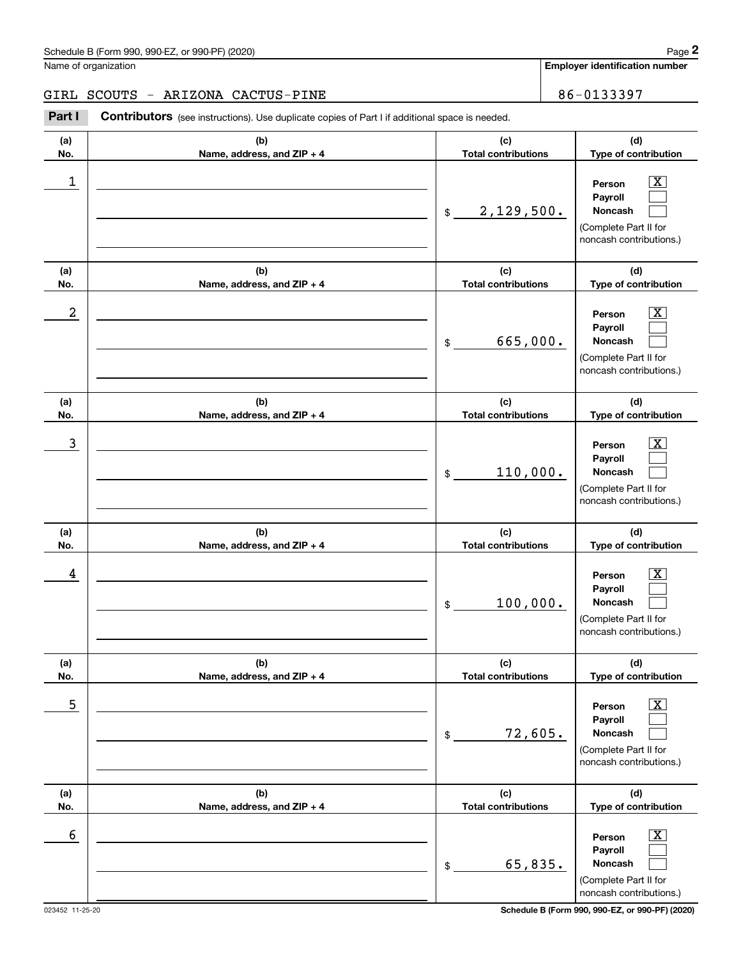GIRL SCOUTS - ARIZONA CACTUS-PINE | 86-0133397

| (a)<br>No. | (b)<br>Name, address, and ZIP + 4 | (c)<br><b>Total contributions</b> | (d)<br>Type of contribution                                                                                        |
|------------|-----------------------------------|-----------------------------------|--------------------------------------------------------------------------------------------------------------------|
| 1          |                                   | 2,129,500.<br>\$                  | $\overline{\texttt{x}}$<br>Person<br>Payroll<br>Noncash<br>(Complete Part II for<br>noncash contributions.)        |
| (a)<br>No. | (b)<br>Name, address, and ZIP + 4 | (c)<br><b>Total contributions</b> | (d)<br>Type of contribution                                                                                        |
| 2          |                                   | 665,000.<br>\$                    | $\overline{\texttt{x}}$<br>Person<br>Payroll<br>Noncash<br>(Complete Part II for<br>noncash contributions.)        |
| (a)<br>No. | (b)<br>Name, address, and ZIP + 4 | (c)<br><b>Total contributions</b> | (d)<br>Type of contribution                                                                                        |
| 3          |                                   | 110,000.<br>\$                    | $\overline{\texttt{x}}$<br>Person<br>Payroll<br><b>Noncash</b><br>(Complete Part II for<br>noncash contributions.) |
| (a)<br>No. | (b)<br>Name, address, and ZIP + 4 | (c)<br><b>Total contributions</b> | (d)<br>Type of contribution                                                                                        |
| 4          |                                   | 100,000.<br>\$                    | x<br>Person<br>Payroll<br>Noncash<br>(Complete Part II for<br>noncash contributions.)                              |
| (a)<br>No. | (b)<br>Name, address, and ZIP + 4 | (c)<br><b>Total contributions</b> | (d)<br>Type of contribution                                                                                        |
| 5          |                                   | 72,605.<br>\$                     | $\overline{\texttt{x}}$<br>Person<br>Payroll<br>Noncash<br>(Complete Part II for<br>noncash contributions.)        |
| (a)<br>No. | (b)<br>Name, address, and ZIP + 4 | (c)<br><b>Total contributions</b> | (d)<br>Type of contribution                                                                                        |
| 6          |                                   | 65,835.<br>\$                     | $\overline{\texttt{x}}$<br>Person<br>Payroll<br>Noncash<br>(Complete Part II for<br>noncash contributions.)        |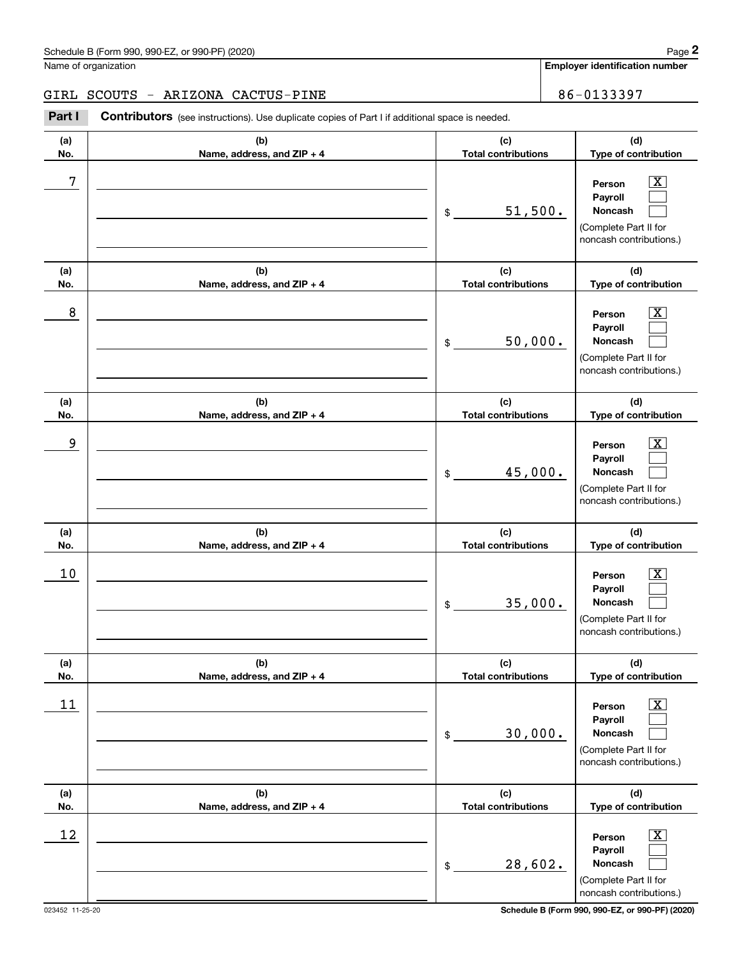#### GIRL SCOUTS - ARIZONA CACTUS-PINE | 86-0133397

| (a)<br>No. | (b)<br>Name, address, and ZIP + 4 | (c)<br><b>Total contributions</b> | (d)<br>Type of contribution                                                                                 |
|------------|-----------------------------------|-----------------------------------|-------------------------------------------------------------------------------------------------------------|
| 7          |                                   | 51,500.<br>\$                     | $\overline{\mathbf{x}}$<br>Person<br>Payroll<br>Noncash<br>(Complete Part II for<br>noncash contributions.) |
| (a)<br>No. | (b)<br>Name, address, and ZIP + 4 | (c)<br><b>Total contributions</b> | (d)<br>Type of contribution                                                                                 |
| 8          |                                   | 50,000.<br>\$                     | $\overline{\mathbf{x}}$<br>Person<br>Payroll<br>Noncash<br>(Complete Part II for<br>noncash contributions.) |
| (a)<br>No. | (b)<br>Name, address, and ZIP + 4 | (c)<br><b>Total contributions</b> | (d)<br>Type of contribution                                                                                 |
| 9          |                                   | 45,000.<br>\$                     | $\overline{\text{X}}$<br>Person<br>Payroll<br>Noncash<br>(Complete Part II for<br>noncash contributions.)   |
| (a)<br>No. | (b)<br>Name, address, and ZIP + 4 | (c)<br><b>Total contributions</b> | (d)<br>Type of contribution                                                                                 |
| 10         |                                   | 35,000.<br>\$                     | $\overline{\text{X}}$<br>Person<br>Payroll<br>Noncash<br>(Complete Part II for<br>noncash contributions.)   |
| (a)<br>No. | (b)<br>Name, address, and ZIP + 4 | (c)<br><b>Total contributions</b> | (d)<br>Type of contribution                                                                                 |
| 11         |                                   | 30,000.<br>\$                     | $\boxed{\text{X}}$<br>Person<br>Payroll<br>Noncash<br>(Complete Part II for<br>noncash contributions.)      |
| (a)<br>No. | (b)<br>Name, address, and ZIP + 4 | (c)<br><b>Total contributions</b> | (d)<br>Type of contribution                                                                                 |
| 12         |                                   | 28,602.<br>\$                     | $\overline{\mathbf{X}}$<br>Person<br>Payroll<br>Noncash<br>(Complete Part II for<br>noncash contributions.) |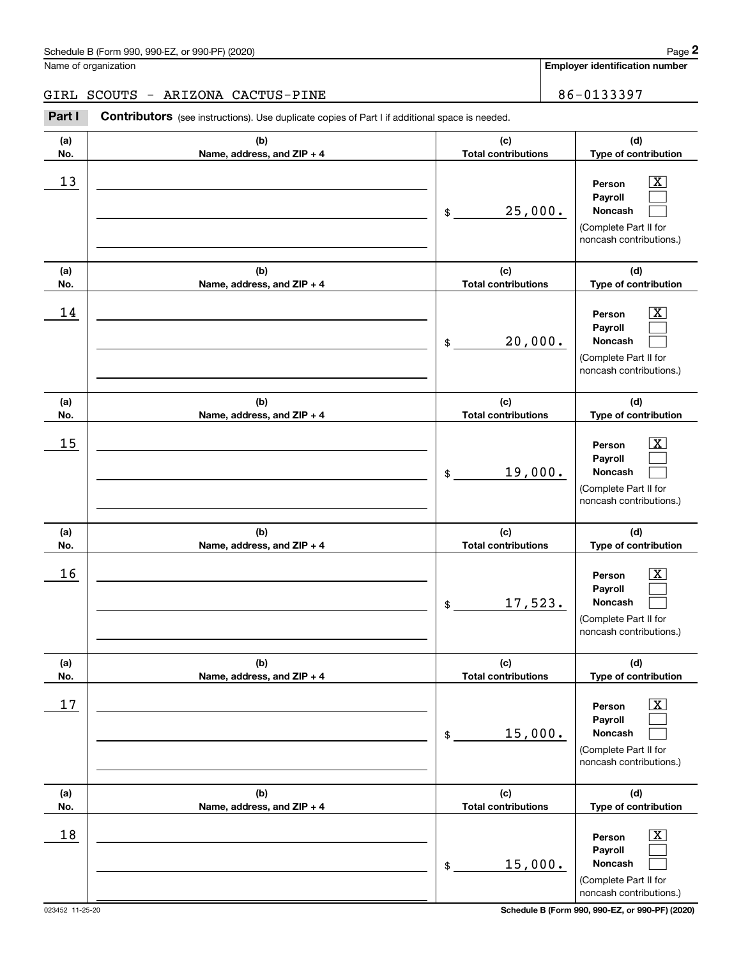#### GIRL SCOUTS - ARIZONA CACTUS-PINE | 86-0133397

| (a)<br>No. | (b)<br>Name, address, and ZIP + 4 | (c)<br><b>Total contributions</b> | (d)<br>Type of contribution                                                                                 |
|------------|-----------------------------------|-----------------------------------|-------------------------------------------------------------------------------------------------------------|
| 13         |                                   | 25,000.<br>\$                     | $\overline{\text{X}}$<br>Person<br>Payroll<br>Noncash<br>(Complete Part II for<br>noncash contributions.)   |
| (a)<br>No. | (b)<br>Name, address, and ZIP + 4 | (c)<br><b>Total contributions</b> | (d)<br>Type of contribution                                                                                 |
| 14         |                                   | 20,000.<br>\$                     | $\overline{\texttt{X}}$<br>Person<br>Payroll<br>Noncash<br>(Complete Part II for<br>noncash contributions.) |
| (a)<br>No. | (b)<br>Name, address, and ZIP + 4 | (c)<br><b>Total contributions</b> | (d)<br>Type of contribution                                                                                 |
| 15         |                                   | 19,000.<br>\$                     | $\overline{\texttt{X}}$<br>Person<br>Payroll<br>Noncash<br>(Complete Part II for<br>noncash contributions.) |
| (a)<br>No. | (b)<br>Name, address, and ZIP + 4 | (c)<br><b>Total contributions</b> | (d)<br>Type of contribution                                                                                 |
| 16         |                                   | 17,523.<br>\$                     | $\overline{\texttt{X}}$<br>Person<br>Payroll<br>Noncash<br>(Complete Part II for<br>noncash contributions.) |
| (a)<br>No. | (b)<br>Name, address, and ZIP + 4 | (c)<br><b>Total contributions</b> | (d)<br>Type of contribution                                                                                 |
| $17$       |                                   | 15,000.<br>\$                     | $\overline{\text{X}}$<br>Person<br>Payroll<br>Noncash<br>(Complete Part II for<br>noncash contributions.)   |
| (a)<br>No. | (b)<br>Name, address, and ZIP + 4 | (c)<br><b>Total contributions</b> | (d)<br>Type of contribution                                                                                 |
| 18         |                                   | 15,000.<br>\$                     | $\overline{\text{X}}$<br>Person<br>Payroll<br>Noncash<br>(Complete Part II for<br>noncash contributions.)   |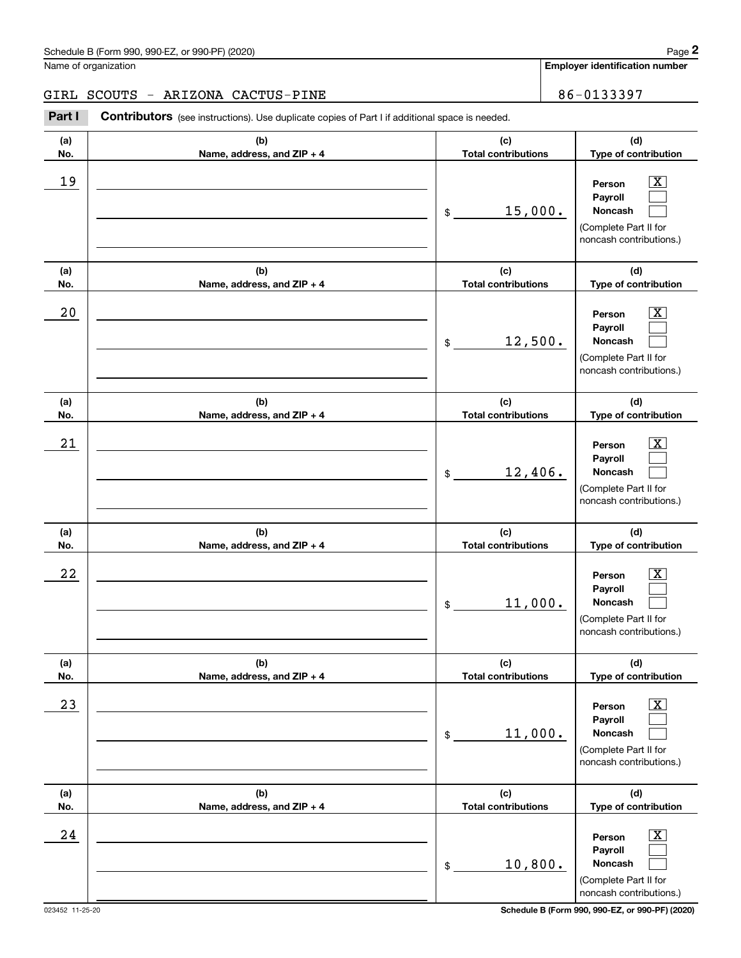#### GIRL SCOUTS - ARIZONA CACTUS-PINE | 86-0133397

| (a)<br>No. | (b)<br>Name, address, and ZIP + 4 | (c)<br><b>Total contributions</b> | (d)<br>Type of contribution                                                                                 |
|------------|-----------------------------------|-----------------------------------|-------------------------------------------------------------------------------------------------------------|
| 19         |                                   | 15,000.<br>\$                     | $\overline{\texttt{X}}$<br>Person<br>Payroll<br>Noncash<br>(Complete Part II for<br>noncash contributions.) |
| (a)<br>No. | (b)<br>Name, address, and ZIP + 4 | (c)<br><b>Total contributions</b> | (d)<br>Type of contribution                                                                                 |
| 20         |                                   | 12,500.<br>\$                     | $\overline{\texttt{X}}$<br>Person<br>Payroll<br>Noncash<br>(Complete Part II for<br>noncash contributions.) |
| (a)<br>No. | (b)<br>Name, address, and ZIP + 4 | (c)<br><b>Total contributions</b> | (d)<br>Type of contribution                                                                                 |
| 21         |                                   | 12,406.<br>\$                     | $\overline{\texttt{X}}$<br>Person<br>Payroll<br>Noncash<br>(Complete Part II for<br>noncash contributions.) |
| (a)<br>No. | (b)<br>Name, address, and ZIP + 4 | (c)<br><b>Total contributions</b> | (d)<br>Type of contribution                                                                                 |
| 22         |                                   | 11,000.<br>\$                     | $\overline{\texttt{X}}$<br>Person<br>Payroll<br>Noncash<br>(Complete Part II for<br>noncash contributions.) |
| (a)<br>No. | (b)<br>Name, address, and ZIP + 4 | (c)<br><b>Total contributions</b> | (d)<br>Type of contribution                                                                                 |
| 23         |                                   | 11,000.<br>\$                     | $\overline{\texttt{X}}$<br>Person<br>Payroll<br>Noncash<br>(Complete Part II for<br>noncash contributions.) |
| (a)<br>No. | (b)<br>Name, address, and ZIP + 4 | (c)<br><b>Total contributions</b> | (d)<br>Type of contribution                                                                                 |
| 24         |                                   | 10,800.<br>\$                     | $\overline{\texttt{X}}$<br>Person<br>Payroll<br>Noncash<br>(Complete Part II for<br>noncash contributions.) |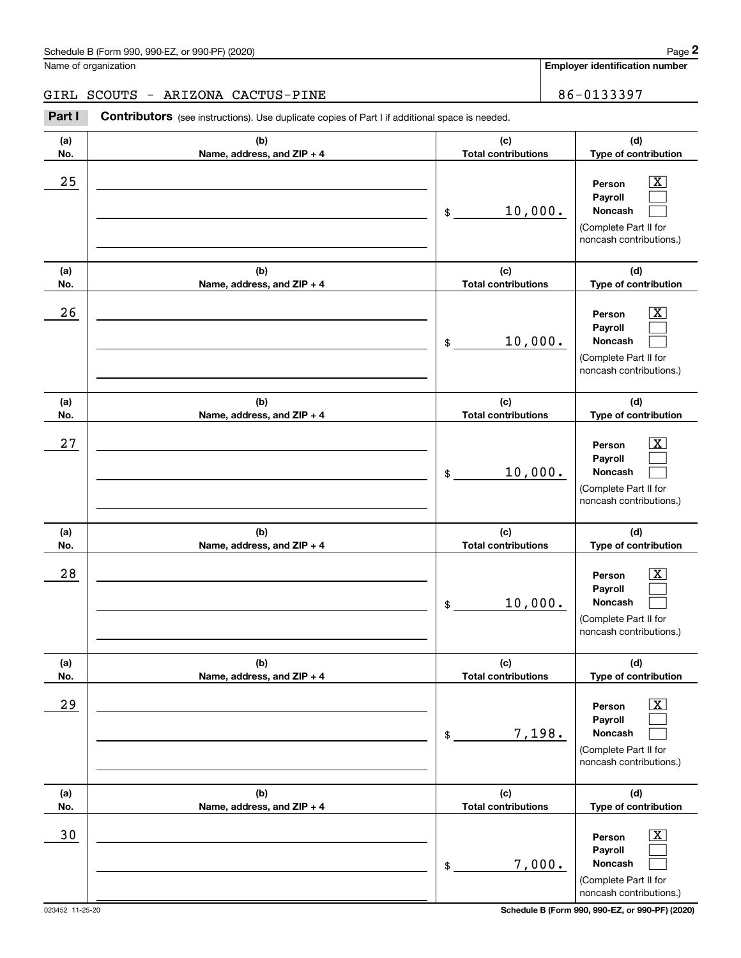#### GIRL SCOUTS - ARIZONA CACTUS-PINE | 86-0133397

| (a)<br>No. | (b)<br>Name, address, and ZIP + 4 | (c)<br><b>Total contributions</b>                    | (d)<br>Type of contribution                                                                               |
|------------|-----------------------------------|------------------------------------------------------|-----------------------------------------------------------------------------------------------------------|
| 25         |                                   | 10,000.<br>$\$$                                      | $\overline{\text{X}}$<br>Person<br>Payroll<br>Noncash<br>(Complete Part II for<br>noncash contributions.) |
| (a)<br>No. | (b)<br>Name, address, and ZIP + 4 | (c)<br><b>Total contributions</b>                    | (d)<br>Type of contribution                                                                               |
| 26         |                                   | 10,000.<br>$\, \, \raisebox{12pt}{$\scriptstyle \$}$ | X<br>Person<br>Payroll<br>Noncash<br>(Complete Part II for<br>noncash contributions.)                     |
| (a)<br>No. | (b)<br>Name, address, and ZIP + 4 | (c)<br><b>Total contributions</b>                    | (d)<br>Type of contribution                                                                               |
| 27         |                                   | 10,000.<br>\$                                        | Х,<br>Person<br>Payroll<br>Noncash<br>(Complete Part II for<br>noncash contributions.)                    |
| (a)<br>No. | (b)<br>Name, address, and ZIP + 4 | (c)<br><b>Total contributions</b>                    | (d)<br>Type of contribution                                                                               |
| 28         |                                   | 10,000.<br>\$                                        | x.<br>Person<br>Payroll<br>Noncash<br>(Complete Part II for<br>noncash contributions.)                    |
| (a)<br>No. | (b)<br>Name, address, and ZIP + 4 | (c)<br><b>Total contributions</b>                    | (d)<br>Type of contribution                                                                               |
| 29         |                                   | 7,198.<br>$\$$                                       | х<br>Person<br>Payroll<br>Noncash<br>(Complete Part II for<br>noncash contributions.)                     |
| (a)<br>No. | (b)<br>Name, address, and ZIP + 4 | (c)<br><b>Total contributions</b>                    | (d)<br>Type of contribution                                                                               |
| $30$       |                                   | 7,000.<br>\$                                         | x<br>Person<br>Payroll<br>Noncash<br>(Complete Part II for<br>noncash contributions.)                     |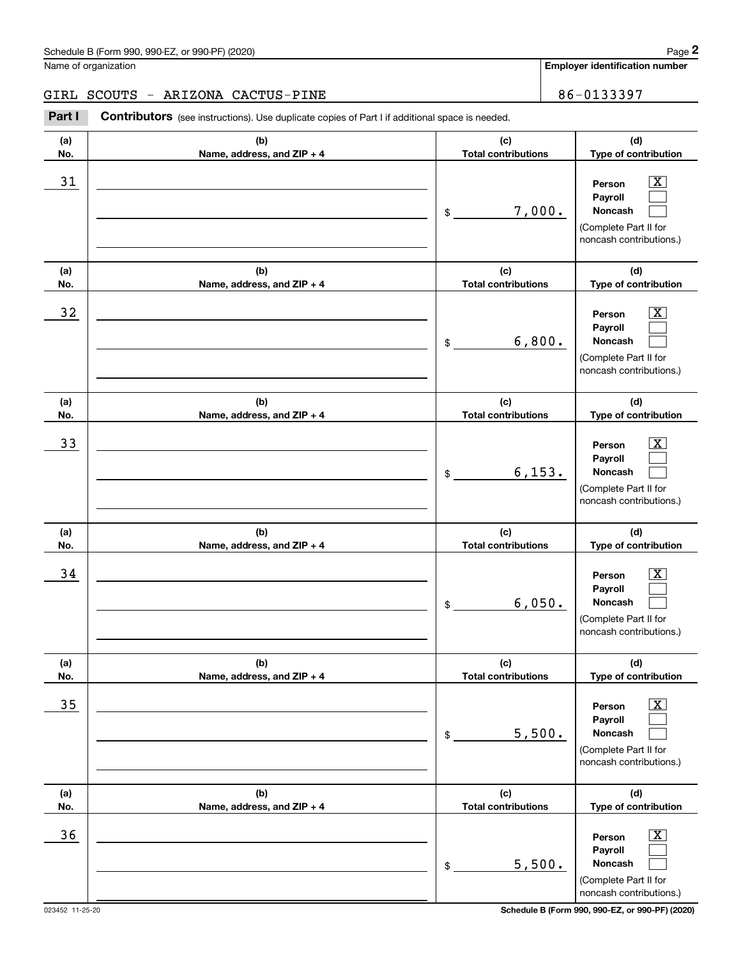#### GIRL SCOUTS - ARIZONA CACTUS-PINE | 86-0133397

| (a)<br>No. | (b)<br>Name, address, and ZIP + 4 | (c)<br><b>Total contributions</b> | (d)<br>Type of contribution                                                                                      |
|------------|-----------------------------------|-----------------------------------|------------------------------------------------------------------------------------------------------------------|
| 31         |                                   | 7,000.<br>\$                      | $\overline{\text{X}}$<br>Person<br>Payroll<br>Noncash<br>(Complete Part II for<br>noncash contributions.)        |
| (a)<br>No. | (b)<br>Name, address, and ZIP + 4 | (c)<br><b>Total contributions</b> | (d)<br>Type of contribution                                                                                      |
| 32         |                                   | 6,800.<br>$$\tilde{\phantom{a}}$$ | $\overline{\text{X}}$<br>Person<br>Payroll<br><b>Noncash</b><br>(Complete Part II for<br>noncash contributions.) |
| (a)<br>No. | (b)<br>Name, address, and ZIP + 4 | (c)<br><b>Total contributions</b> | (d)<br>Type of contribution                                                                                      |
| 33         |                                   | 6, 153.<br>$\frac{1}{2}$          | $\overline{\text{X}}$<br>Person<br>Payroll<br>Noncash<br>(Complete Part II for<br>noncash contributions.)        |
| (a)<br>No. | (b)<br>Name, address, and ZIP + 4 | (c)<br><b>Total contributions</b> | (d)<br>Type of contribution                                                                                      |
| 34         |                                   | 6,050.<br>\$                      | $\overline{\text{X}}$<br>Person<br>Payroll<br><b>Noncash</b><br>(Complete Part II for<br>noncash contributions.) |
| (a)<br>No. | (b)<br>Name, address, and ZIP + 4 | (c)<br><b>Total contributions</b> | (d)<br>Type of contribution                                                                                      |
| 35         |                                   | 5,500.<br>\$                      | $\overline{\text{X}}$<br>Person<br>Payroll<br>Noncash<br>(Complete Part II for<br>noncash contributions.)        |
| (a)<br>No. | (b)<br>Name, address, and ZIP + 4 | (c)<br><b>Total contributions</b> | (d)<br>Type of contribution                                                                                      |
| 36         |                                   | 5,500.<br>\$                      | $\overline{\text{X}}$<br>Person<br>Payroll<br>Noncash<br>(Complete Part II for<br>noncash contributions.)        |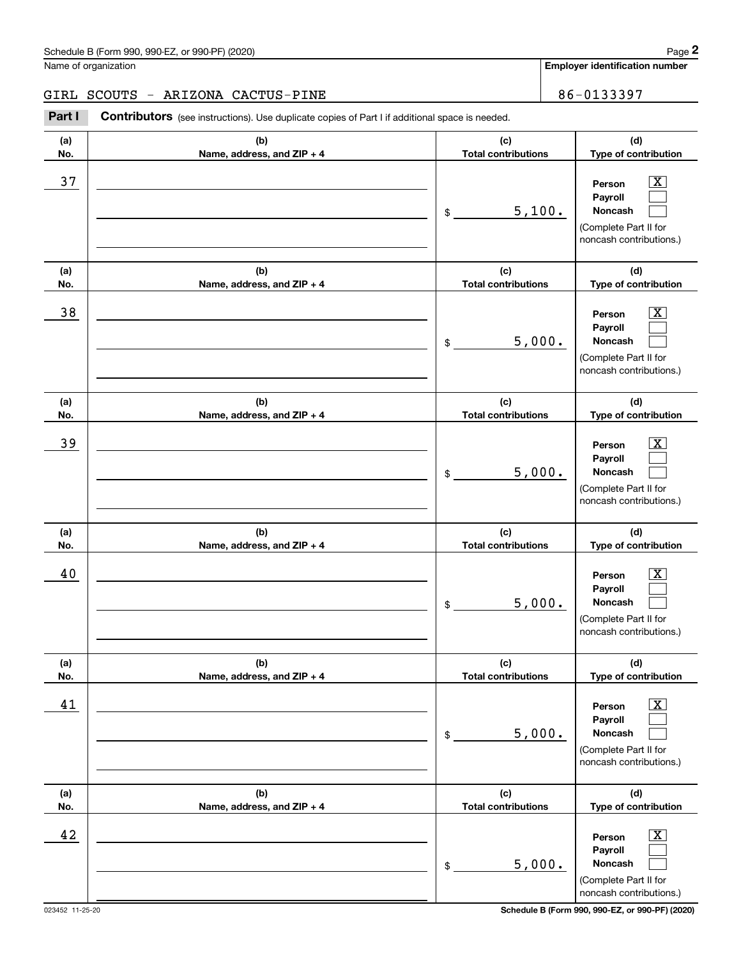#### GIRL SCOUTS - ARIZONA CACTUS-PINE | 86-0133397

| (a)<br>No. | (b)<br>Name, address, and ZIP + 4 | (c)<br><b>Total contributions</b> | (d)<br>Type of contribution                                                                                 |
|------------|-----------------------------------|-----------------------------------|-------------------------------------------------------------------------------------------------------------|
| 37         |                                   | 5,100.<br>\$                      | $\overline{\text{X}}$<br>Person<br>Payroll<br>Noncash<br>(Complete Part II for<br>noncash contributions.)   |
| (a)<br>No. | (b)<br>Name, address, and ZIP + 4 | (c)<br><b>Total contributions</b> | (d)<br>Type of contribution                                                                                 |
| 38         |                                   | 5,000.<br>\$                      | $\overline{\text{X}}$<br>Person<br>Payroll<br>Noncash<br>(Complete Part II for<br>noncash contributions.)   |
| (a)<br>No. | (b)<br>Name, address, and ZIP + 4 | (c)<br><b>Total contributions</b> | (d)<br>Type of contribution                                                                                 |
| 39         |                                   | 5,000.<br>\$                      | $\overline{\text{X}}$<br>Person<br>Payroll<br>Noncash<br>(Complete Part II for<br>noncash contributions.)   |
| (a)<br>No. | (b)<br>Name, address, and ZIP + 4 | (c)<br><b>Total contributions</b> | (d)<br>Type of contribution                                                                                 |
| 40         |                                   | 5,000.<br>\$                      | $\overline{\text{X}}$<br>Person<br>Payroll<br>Noncash<br>(Complete Part II for<br>noncash contributions.)   |
| (a)<br>No. | (b)<br>Name, address, and ZIP + 4 | (c)<br><b>Total contributions</b> | (d)<br>Type of contribution                                                                                 |
| 41         |                                   | 5,000.<br>\$                      | $\overline{\mathbf{X}}$<br>Person<br>Payroll<br>Noncash<br>(Complete Part II for<br>noncash contributions.) |
| (a)<br>No. | (b)<br>Name, address, and ZIP + 4 | (c)<br><b>Total contributions</b> | (d)<br>Type of contribution                                                                                 |
| 42         |                                   | 5,000.<br>\$                      | $\overline{\mathbf{X}}$<br>Person<br>Payroll<br>Noncash<br>(Complete Part II for<br>noncash contributions.) |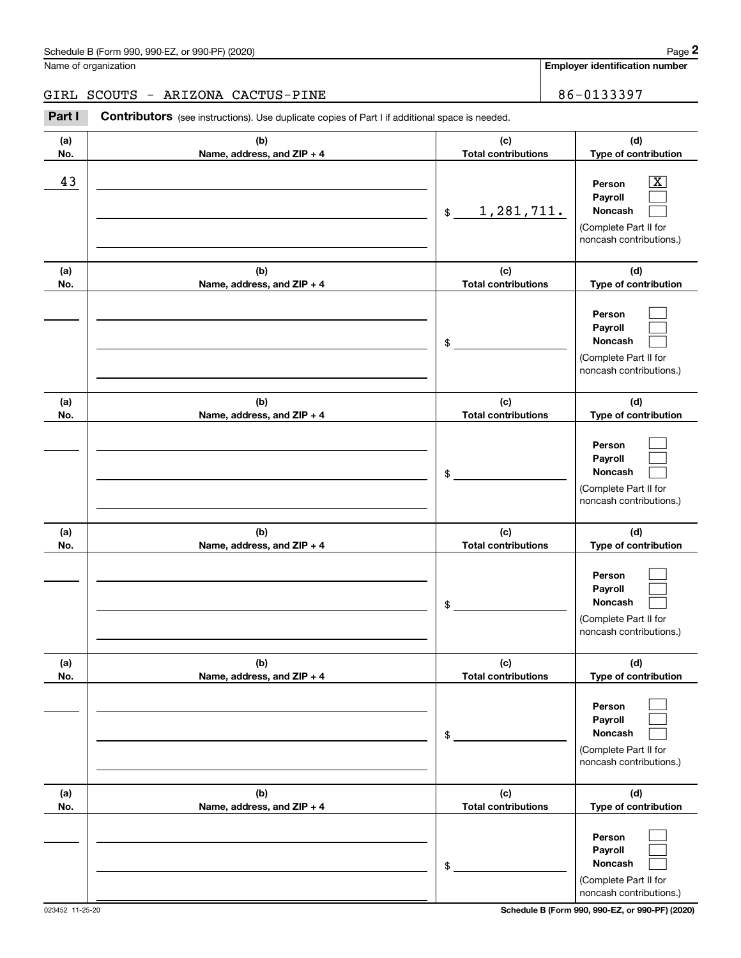GIRL SCOUTS - ARIZONA CACTUS-PINE | 86-0133397

| (a)<br>No. | (b)<br>Name, address, and ZIP + 4 | (c)<br><b>Total contributions</b> | (d)<br>Type of contribution                                                                                 |
|------------|-----------------------------------|-----------------------------------|-------------------------------------------------------------------------------------------------------------|
| 43         |                                   | 1,281,711.<br>\$                  | $\overline{\texttt{x}}$<br>Person<br>Payroll<br>Noncash<br>(Complete Part II for<br>noncash contributions.) |
| (a)<br>No. | (b)<br>Name, address, and ZIP + 4 | (c)<br><b>Total contributions</b> | (d)<br>Type of contribution                                                                                 |
|            |                                   | \$                                | Person<br>Payroll<br>Noncash<br>(Complete Part II for<br>noncash contributions.)                            |
| (a)<br>No. | (b)<br>Name, address, and ZIP + 4 | (c)<br><b>Total contributions</b> | (d)<br>Type of contribution                                                                                 |
|            |                                   | \$                                | Person<br>Payroll<br><b>Noncash</b><br>(Complete Part II for<br>noncash contributions.)                     |
| (a)<br>No. | (b)<br>Name, address, and ZIP + 4 | (c)<br><b>Total contributions</b> | (d)<br>Type of contribution                                                                                 |
|            |                                   | \$                                | Person<br>Payroll<br>Noncash<br>(Complete Part II for<br>noncash contributions.)                            |
| (a)<br>No. | (b)<br>Name, address, and ZIP + 4 | (c)<br><b>Total contributions</b> | (d)<br>Type of contribution                                                                                 |
|            |                                   | \$                                | Person<br>Payroll<br>Noncash<br>(Complete Part II for<br>noncash contributions.)                            |
| (a)<br>No. | (b)<br>Name, address, and ZIP + 4 | (c)<br><b>Total contributions</b> | (d)<br>Type of contribution                                                                                 |
|            |                                   | \$                                | Person<br>Payroll<br>Noncash<br>(Complete Part II for<br>noncash contributions.)                            |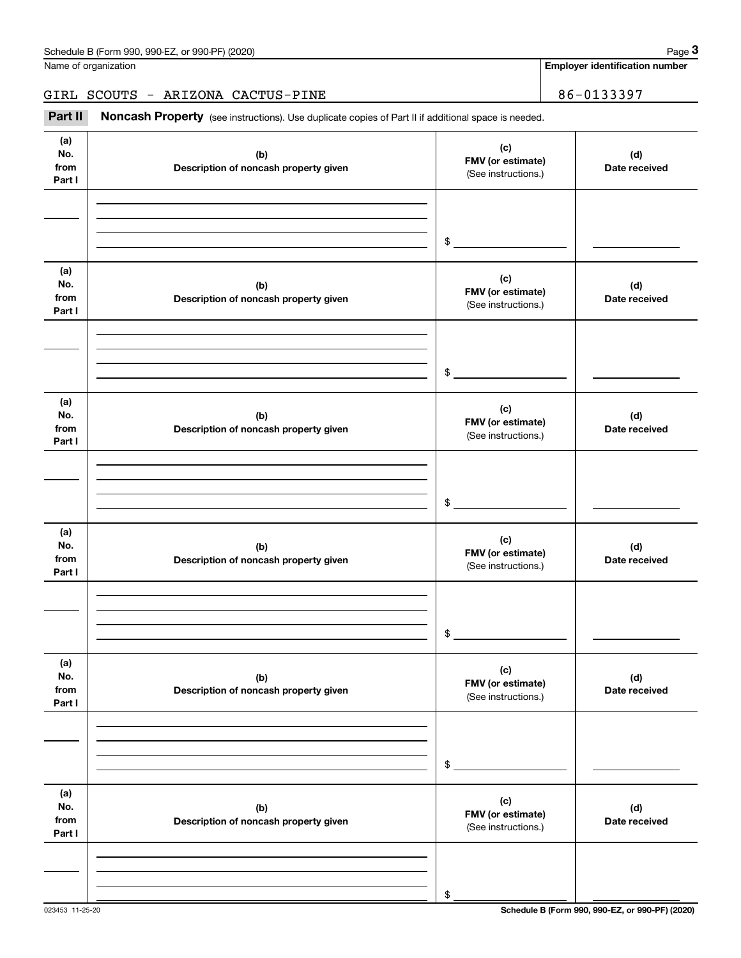GIRL SCOUTS - ARIZONA CACTUS-PINE | 86-0133397

| (a)<br>No.<br>from<br>Part I | (b)<br>Description of noncash property given | (c)<br>FMV (or estimate)<br>(See instructions.) | (d)<br>Date received |
|------------------------------|----------------------------------------------|-------------------------------------------------|----------------------|
|                              |                                              |                                                 |                      |
|                              |                                              |                                                 |                      |
|                              |                                              | $\frac{1}{2}$                                   |                      |
| (a)<br>No.<br>from<br>Part I | (b)<br>Description of noncash property given | (c)<br>FMV (or estimate)<br>(See instructions.) | (d)<br>Date received |
|                              |                                              |                                                 |                      |
|                              |                                              |                                                 |                      |
|                              |                                              | $\frac{1}{2}$                                   |                      |
| (a)<br>No.<br>from<br>Part I | (b)<br>Description of noncash property given | (c)<br>FMV (or estimate)<br>(See instructions.) | (d)<br>Date received |
|                              |                                              |                                                 |                      |
|                              |                                              |                                                 |                      |
|                              |                                              | $\frac{1}{2}$                                   |                      |
| (a)<br>No.<br>from<br>Part I | (b)<br>Description of noncash property given | (c)<br>FMV (or estimate)<br>(See instructions.) | (d)<br>Date received |
|                              |                                              |                                                 |                      |
|                              |                                              |                                                 |                      |
|                              |                                              | $\frac{1}{2}$                                   |                      |
| (a)<br>No.<br>from<br>Part I | (b)<br>Description of noncash property given | (c)<br>FMV (or estimate)<br>(See instructions.) | (d)<br>Date received |
|                              |                                              |                                                 |                      |
|                              |                                              |                                                 |                      |
|                              |                                              | \$                                              |                      |
| (a)<br>No.<br>from<br>Part I | (b)<br>Description of noncash property given | (c)<br>FMV (or estimate)<br>(See instructions.) | (d)<br>Date received |
|                              |                                              |                                                 |                      |
|                              |                                              |                                                 |                      |
|                              |                                              | \$                                              |                      |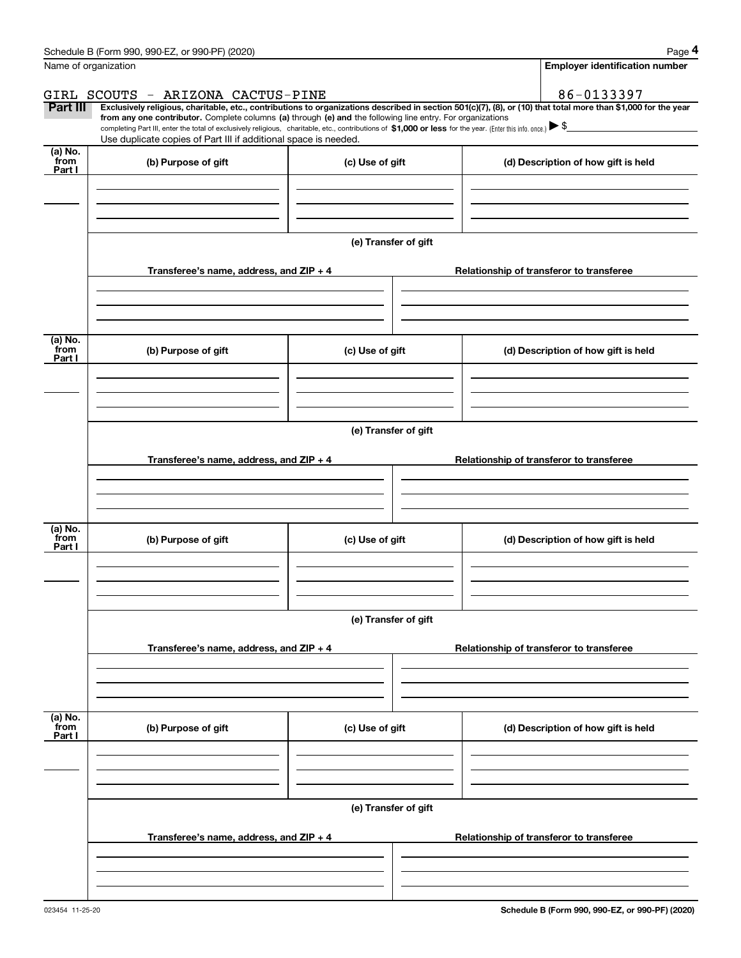|                           | Schedule B (Form 990, 990-EZ, or 990-PF) (2020)                                                                                                                                                                                                      |                      | Page 4                                                                                                                                                         |  |  |  |  |  |
|---------------------------|------------------------------------------------------------------------------------------------------------------------------------------------------------------------------------------------------------------------------------------------------|----------------------|----------------------------------------------------------------------------------------------------------------------------------------------------------------|--|--|--|--|--|
|                           | Name of organization                                                                                                                                                                                                                                 |                      | <b>Employer identification number</b>                                                                                                                          |  |  |  |  |  |
|                           | GIRL SCOUTS - ARIZONA CACTUS-PINE                                                                                                                                                                                                                    |                      | 86-0133397                                                                                                                                                     |  |  |  |  |  |
| Part III                  | from any one contributor. Complete columns (a) through (e) and the following line entry. For organizations                                                                                                                                           |                      | Exclusively religious, charitable, etc., contributions to organizations described in section 501(c)(7), (8), or (10) that total more than \$1,000 for the year |  |  |  |  |  |
|                           | completing Part III, enter the total of exclusively religious, charitable, etc., contributions of \$1,000 or less for the year. (Enter this info. once.) $\blacktriangleright$ \$<br>Use duplicate copies of Part III if additional space is needed. |                      |                                                                                                                                                                |  |  |  |  |  |
| (a) No.                   |                                                                                                                                                                                                                                                      |                      |                                                                                                                                                                |  |  |  |  |  |
| from<br>Part I            | (b) Purpose of gift                                                                                                                                                                                                                                  | (c) Use of gift      | (d) Description of how gift is held                                                                                                                            |  |  |  |  |  |
|                           |                                                                                                                                                                                                                                                      |                      |                                                                                                                                                                |  |  |  |  |  |
|                           |                                                                                                                                                                                                                                                      | (e) Transfer of gift |                                                                                                                                                                |  |  |  |  |  |
|                           | Transferee's name, address, and ZIP + 4                                                                                                                                                                                                              |                      | Relationship of transferor to transferee                                                                                                                       |  |  |  |  |  |
|                           |                                                                                                                                                                                                                                                      |                      |                                                                                                                                                                |  |  |  |  |  |
| (a) No.<br>from<br>Part I | (b) Purpose of gift                                                                                                                                                                                                                                  | (c) Use of gift      | (d) Description of how gift is held                                                                                                                            |  |  |  |  |  |
|                           |                                                                                                                                                                                                                                                      |                      |                                                                                                                                                                |  |  |  |  |  |
|                           |                                                                                                                                                                                                                                                      |                      |                                                                                                                                                                |  |  |  |  |  |
|                           | (e) Transfer of gift                                                                                                                                                                                                                                 |                      |                                                                                                                                                                |  |  |  |  |  |
|                           | Transferee's name, address, and $ZIP + 4$                                                                                                                                                                                                            |                      | Relationship of transferor to transferee                                                                                                                       |  |  |  |  |  |
|                           |                                                                                                                                                                                                                                                      |                      |                                                                                                                                                                |  |  |  |  |  |
| (a) No.<br>from<br>Part I | (b) Purpose of gift                                                                                                                                                                                                                                  | (c) Use of gift      | (d) Description of how gift is held                                                                                                                            |  |  |  |  |  |
|                           |                                                                                                                                                                                                                                                      |                      |                                                                                                                                                                |  |  |  |  |  |
|                           |                                                                                                                                                                                                                                                      |                      |                                                                                                                                                                |  |  |  |  |  |
|                           |                                                                                                                                                                                                                                                      | (e) Transfer of gift |                                                                                                                                                                |  |  |  |  |  |
|                           | Transferee's name, address, and $ZIP + 4$                                                                                                                                                                                                            |                      | Relationship of transferor to transferee                                                                                                                       |  |  |  |  |  |
|                           |                                                                                                                                                                                                                                                      |                      |                                                                                                                                                                |  |  |  |  |  |
|                           |                                                                                                                                                                                                                                                      |                      |                                                                                                                                                                |  |  |  |  |  |
| (a) No.<br>from<br>Part I | (b) Purpose of gift                                                                                                                                                                                                                                  | (c) Use of gift      | (d) Description of how gift is held                                                                                                                            |  |  |  |  |  |
|                           |                                                                                                                                                                                                                                                      |                      |                                                                                                                                                                |  |  |  |  |  |
|                           | (e) Transfer of gift                                                                                                                                                                                                                                 |                      |                                                                                                                                                                |  |  |  |  |  |
|                           | Transferee's name, address, and ZIP + 4                                                                                                                                                                                                              |                      | Relationship of transferor to transferee                                                                                                                       |  |  |  |  |  |
|                           |                                                                                                                                                                                                                                                      |                      |                                                                                                                                                                |  |  |  |  |  |
|                           |                                                                                                                                                                                                                                                      |                      |                                                                                                                                                                |  |  |  |  |  |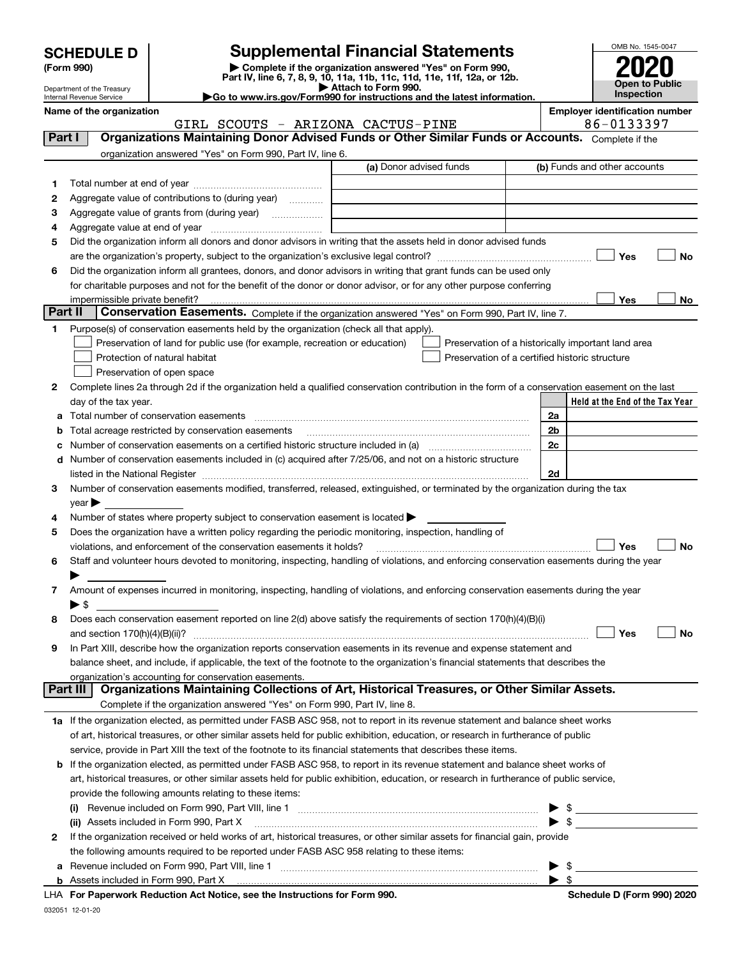| <b>SCHEDULE D</b> |  |
|-------------------|--|
|-------------------|--|

| (Form 990) |  |
|------------|--|
|------------|--|

## **SCHEDULE D Supplemental Financial Statements**

(Form 990)<br>
Pepartment of the Treasury<br>
Department of the Treasury<br>
Department of the Treasury<br>
Department of the Treasury<br> **Co to www.irs.gov/Form990 for instructions and the latest information.**<br> **Co to www.irs.gov/Form9** 



Department of the Treasury Internal Revenue Service **Name of the organization Employer identification number**

|         | 86-0133397<br>GIRL SCOUTS - ARIZONA CACTUS-PINE                                                                                                       |                         |                                                    |  |  |  |
|---------|-------------------------------------------------------------------------------------------------------------------------------------------------------|-------------------------|----------------------------------------------------|--|--|--|
| Part I  | Organizations Maintaining Donor Advised Funds or Other Similar Funds or Accounts. Complete if the                                                     |                         |                                                    |  |  |  |
|         | organization answered "Yes" on Form 990, Part IV, line 6.                                                                                             |                         |                                                    |  |  |  |
|         |                                                                                                                                                       | (a) Donor advised funds | (b) Funds and other accounts                       |  |  |  |
| 1       |                                                                                                                                                       |                         |                                                    |  |  |  |
| 2       | Aggregate value of contributions to (during year)                                                                                                     |                         |                                                    |  |  |  |
| з       |                                                                                                                                                       |                         |                                                    |  |  |  |
| 4       | Aggregate value at end of year <i>manually contained</i>                                                                                              |                         |                                                    |  |  |  |
| 5       | Did the organization inform all donors and donor advisors in writing that the assets held in donor advised funds                                      |                         |                                                    |  |  |  |
|         |                                                                                                                                                       |                         | Yes<br>No                                          |  |  |  |
| 6       | Did the organization inform all grantees, donors, and donor advisors in writing that grant funds can be used only                                     |                         |                                                    |  |  |  |
|         | for charitable purposes and not for the benefit of the donor or donor advisor, or for any other purpose conferring                                    |                         |                                                    |  |  |  |
|         |                                                                                                                                                       |                         | Yes<br>No                                          |  |  |  |
| Part II | Conservation Easements. Complete if the organization answered "Yes" on Form 990, Part IV, line 7.                                                     |                         |                                                    |  |  |  |
| 1       | Purpose(s) of conservation easements held by the organization (check all that apply).                                                                 |                         |                                                    |  |  |  |
|         | Preservation of land for public use (for example, recreation or education)                                                                            |                         | Preservation of a historically important land area |  |  |  |
|         | Protection of natural habitat                                                                                                                         |                         | Preservation of a certified historic structure     |  |  |  |
|         | Preservation of open space                                                                                                                            |                         |                                                    |  |  |  |
| 2       | Complete lines 2a through 2d if the organization held a qualified conservation contribution in the form of a conservation easement on the last        |                         |                                                    |  |  |  |
|         | day of the tax year.                                                                                                                                  |                         | Held at the End of the Tax Year                    |  |  |  |
| а       | Total number of conservation easements                                                                                                                |                         | 2a                                                 |  |  |  |
|         | Total acreage restricted by conservation easements                                                                                                    |                         | 2 <sub>b</sub>                                     |  |  |  |
| с       | Number of conservation easements on a certified historic structure included in (a) manufacture included in (a)                                        |                         | 2c                                                 |  |  |  |
| d       | Number of conservation easements included in (c) acquired after 7/25/06, and not on a historic structure                                              |                         |                                                    |  |  |  |
|         |                                                                                                                                                       |                         | 2d                                                 |  |  |  |
| 3       | Number of conservation easements modified, transferred, released, extinguished, or terminated by the organization during the tax                      |                         |                                                    |  |  |  |
|         | year                                                                                                                                                  |                         |                                                    |  |  |  |
| 4       | Number of states where property subject to conservation easement is located >                                                                         |                         |                                                    |  |  |  |
| 5       | Does the organization have a written policy regarding the periodic monitoring, inspection, handling of                                                |                         |                                                    |  |  |  |
|         | violations, and enforcement of the conservation easements it holds?                                                                                   |                         | Yes<br>No                                          |  |  |  |
| 6       | Staff and volunteer hours devoted to monitoring, inspecting, handling of violations, and enforcing conservation easements during the year             |                         |                                                    |  |  |  |
|         |                                                                                                                                                       |                         |                                                    |  |  |  |
| 7       | Amount of expenses incurred in monitoring, inspecting, handling of violations, and enforcing conservation easements during the year                   |                         |                                                    |  |  |  |
|         | ▶\$                                                                                                                                                   |                         |                                                    |  |  |  |
| 8       | Does each conservation easement reported on line 2(d) above satisfy the requirements of section 170(h)(4)(B)(i)                                       |                         |                                                    |  |  |  |
|         |                                                                                                                                                       |                         | Yes<br>No                                          |  |  |  |
| 9       | In Part XIII, describe how the organization reports conservation easements in its revenue and expense statement and                                   |                         |                                                    |  |  |  |
|         | balance sheet, and include, if applicable, the text of the footnote to the organization's financial statements that describes the                     |                         |                                                    |  |  |  |
|         | organization's accounting for conservation easements.<br>Organizations Maintaining Collections of Art, Historical Treasures, or Other Similar Assets. |                         |                                                    |  |  |  |
|         | Part III                                                                                                                                              |                         |                                                    |  |  |  |
|         | Complete if the organization answered "Yes" on Form 990, Part IV, line 8.                                                                             |                         |                                                    |  |  |  |
|         | 1a If the organization elected, as permitted under FASB ASC 958, not to report in its revenue statement and balance sheet works                       |                         |                                                    |  |  |  |
|         | of art, historical treasures, or other similar assets held for public exhibition, education, or research in furtherance of public                     |                         |                                                    |  |  |  |
|         | service, provide in Part XIII the text of the footnote to its financial statements that describes these items.                                        |                         |                                                    |  |  |  |
| b       | If the organization elected, as permitted under FASB ASC 958, to report in its revenue statement and balance sheet works of                           |                         |                                                    |  |  |  |
|         | art, historical treasures, or other similar assets held for public exhibition, education, or research in furtherance of public service,               |                         |                                                    |  |  |  |
|         | provide the following amounts relating to these items:                                                                                                |                         |                                                    |  |  |  |
|         |                                                                                                                                                       |                         | $\sim$                                             |  |  |  |
|         | (ii) Assets included in Form 990, Part X                                                                                                              |                         |                                                    |  |  |  |
| 2       | If the organization received or held works of art, historical treasures, or other similar assets for financial gain, provide                          |                         |                                                    |  |  |  |
|         | the following amounts required to be reported under FASB ASC 958 relating to these items:                                                             |                         |                                                    |  |  |  |
| а       |                                                                                                                                                       |                         |                                                    |  |  |  |
|         |                                                                                                                                                       |                         | $\blacktriangleright$ \$                           |  |  |  |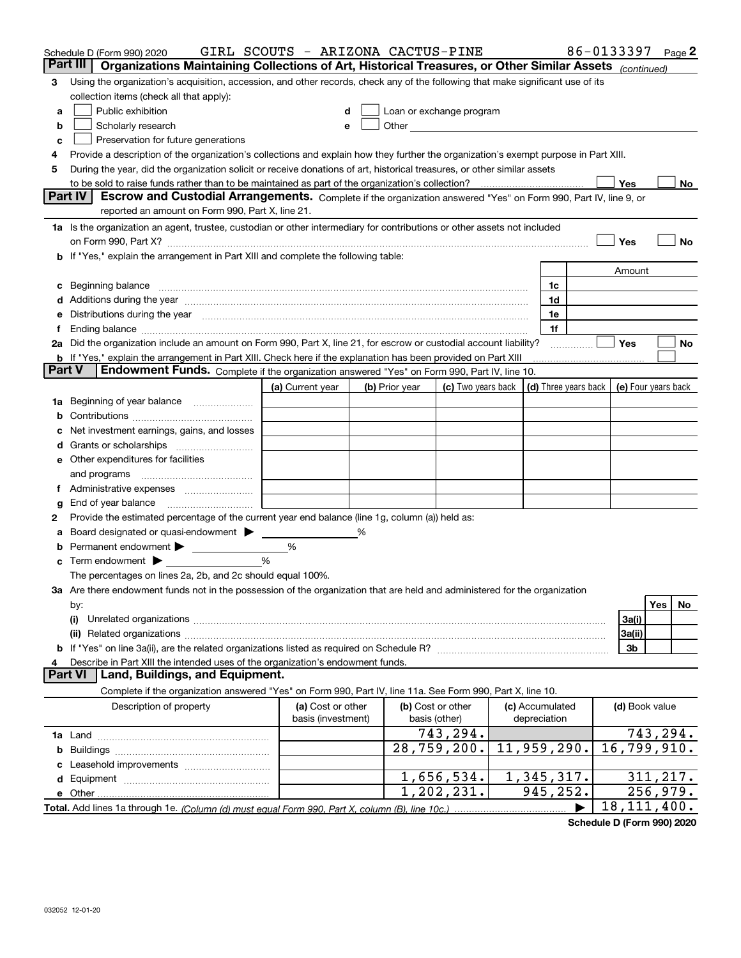|               | Schedule D (Form 990) 2020                                                                                                                                                                                                     | GIRL SCOUTS - ARIZONA CACTUS-PINE |   |                |                                                                                                                                                                                                                               |                 | 86-0133397     | Page 2              |
|---------------|--------------------------------------------------------------------------------------------------------------------------------------------------------------------------------------------------------------------------------|-----------------------------------|---|----------------|-------------------------------------------------------------------------------------------------------------------------------------------------------------------------------------------------------------------------------|-----------------|----------------|---------------------|
|               | Part III<br>Organizations Maintaining Collections of Art, Historical Treasures, or Other Similar Assets (continued)                                                                                                            |                                   |   |                |                                                                                                                                                                                                                               |                 |                |                     |
| 3             | Using the organization's acquisition, accession, and other records, check any of the following that make significant use of its                                                                                                |                                   |   |                |                                                                                                                                                                                                                               |                 |                |                     |
|               | collection items (check all that apply):                                                                                                                                                                                       |                                   |   |                |                                                                                                                                                                                                                               |                 |                |                     |
| a             | Public exhibition                                                                                                                                                                                                              |                                   | d |                | Loan or exchange program                                                                                                                                                                                                      |                 |                |                     |
| b             | Scholarly research                                                                                                                                                                                                             | e                                 |   |                | Other and the contract of the contract of the contract of the contract of the contract of the contract of the contract of the contract of the contract of the contract of the contract of the contract of the contract of the |                 |                |                     |
| c             | Preservation for future generations                                                                                                                                                                                            |                                   |   |                |                                                                                                                                                                                                                               |                 |                |                     |
| 4             | Provide a description of the organization's collections and explain how they further the organization's exempt purpose in Part XIII.                                                                                           |                                   |   |                |                                                                                                                                                                                                                               |                 |                |                     |
| 5             | During the year, did the organization solicit or receive donations of art, historical treasures, or other similar assets                                                                                                       |                                   |   |                |                                                                                                                                                                                                                               |                 |                |                     |
|               |                                                                                                                                                                                                                                |                                   |   |                |                                                                                                                                                                                                                               |                 | Yes            | No                  |
|               | <b>Part IV</b><br>Escrow and Custodial Arrangements. Complete if the organization answered "Yes" on Form 990, Part IV, line 9, or                                                                                              |                                   |   |                |                                                                                                                                                                                                                               |                 |                |                     |
|               | reported an amount on Form 990, Part X, line 21.                                                                                                                                                                               |                                   |   |                |                                                                                                                                                                                                                               |                 |                |                     |
|               | 1a Is the organization an agent, trustee, custodian or other intermediary for contributions or other assets not included                                                                                                       |                                   |   |                |                                                                                                                                                                                                                               |                 |                |                     |
|               | on Form 990, Part X? [11] matter contracts and contracts and contracts are contracted to the contract of the contract of the contract of the contract of the contract of the contract of the contract of the contract of the c |                                   |   |                |                                                                                                                                                                                                                               |                 | Yes            | No                  |
|               | b If "Yes," explain the arrangement in Part XIII and complete the following table:                                                                                                                                             |                                   |   |                |                                                                                                                                                                                                                               |                 |                |                     |
|               |                                                                                                                                                                                                                                |                                   |   |                |                                                                                                                                                                                                                               |                 | Amount         |                     |
| c             | Beginning balance <b>contract to the contract of the contract of the contract of the contract of the contract of t</b>                                                                                                         |                                   |   |                |                                                                                                                                                                                                                               | 1c              |                |                     |
|               | Additions during the year manufactured and an account of the year manufactured and account of the year manufactured and account of the year manufactured and account of the year manufactured and account of the year manufact |                                   |   |                |                                                                                                                                                                                                                               | 1d              |                |                     |
| е             | Distributions during the year manufactured and continuum and contact the year manufactured and contact the year                                                                                                                |                                   |   |                |                                                                                                                                                                                                                               | 1e              |                |                     |
|               |                                                                                                                                                                                                                                |                                   |   |                |                                                                                                                                                                                                                               | 1f              |                |                     |
|               | 2a Did the organization include an amount on Form 990, Part X, line 21, for escrow or custodial account liability?                                                                                                             |                                   |   |                |                                                                                                                                                                                                                               |                 | Yes            | No                  |
| <b>Part V</b> | b If "Yes," explain the arrangement in Part XIII. Check here if the explanation has been provided on Part XIII<br><b>Endowment Funds.</b> Complete if the organization answered "Yes" on Form 990, Part IV, line 10.           |                                   |   |                |                                                                                                                                                                                                                               |                 |                |                     |
|               |                                                                                                                                                                                                                                | (a) Current year                  |   | (b) Prior year | (c) Two years back $ $ (d) Three years back $ $                                                                                                                                                                               |                 |                | (e) Four years back |
| 1a            | Beginning of year balance                                                                                                                                                                                                      |                                   |   |                |                                                                                                                                                                                                                               |                 |                |                     |
|               |                                                                                                                                                                                                                                |                                   |   |                |                                                                                                                                                                                                                               |                 |                |                     |
|               | Net investment earnings, gains, and losses                                                                                                                                                                                     |                                   |   |                |                                                                                                                                                                                                                               |                 |                |                     |
| a             |                                                                                                                                                                                                                                |                                   |   |                |                                                                                                                                                                                                                               |                 |                |                     |
|               | e Other expenditures for facilities                                                                                                                                                                                            |                                   |   |                |                                                                                                                                                                                                                               |                 |                |                     |
|               | and programs                                                                                                                                                                                                                   |                                   |   |                |                                                                                                                                                                                                                               |                 |                |                     |
| Ť.            |                                                                                                                                                                                                                                |                                   |   |                |                                                                                                                                                                                                                               |                 |                |                     |
| g             | End of year balance                                                                                                                                                                                                            |                                   |   |                |                                                                                                                                                                                                                               |                 |                |                     |
| 2             | Provide the estimated percentage of the current year end balance (line 1g, column (a)) held as:                                                                                                                                |                                   |   |                |                                                                                                                                                                                                                               |                 |                |                     |
|               | Board designated or quasi-endowment                                                                                                                                                                                            |                                   |   |                |                                                                                                                                                                                                                               |                 |                |                     |
| b             | Permanent endowment                                                                                                                                                                                                            | %                                 |   |                |                                                                                                                                                                                                                               |                 |                |                     |
|               | Term endowment $\blacktriangleright$                                                                                                                                                                                           | %                                 |   |                |                                                                                                                                                                                                                               |                 |                |                     |
|               | The percentages on lines 2a, 2b, and 2c should equal 100%.                                                                                                                                                                     |                                   |   |                |                                                                                                                                                                                                                               |                 |                |                     |
|               | 3a Are there endowment funds not in the possession of the organization that are held and administered for the organization                                                                                                     |                                   |   |                |                                                                                                                                                                                                                               |                 |                |                     |
|               | by:                                                                                                                                                                                                                            |                                   |   |                |                                                                                                                                                                                                                               |                 |                | Yes<br>No           |
|               | (i)                                                                                                                                                                                                                            |                                   |   |                |                                                                                                                                                                                                                               |                 | 3a(i)          |                     |
|               |                                                                                                                                                                                                                                |                                   |   |                |                                                                                                                                                                                                                               |                 | 3a(ii)         |                     |
|               |                                                                                                                                                                                                                                |                                   |   |                |                                                                                                                                                                                                                               |                 | 3b             |                     |
| 4             | Describe in Part XIII the intended uses of the organization's endowment funds.                                                                                                                                                 |                                   |   |                |                                                                                                                                                                                                                               |                 |                |                     |
|               | Land, Buildings, and Equipment.<br><b>Part VI</b>                                                                                                                                                                              |                                   |   |                |                                                                                                                                                                                                                               |                 |                |                     |
|               | Complete if the organization answered "Yes" on Form 990, Part IV, line 11a. See Form 990, Part X, line 10.                                                                                                                     |                                   |   |                |                                                                                                                                                                                                                               |                 |                |                     |
|               | Description of property                                                                                                                                                                                                        | (a) Cost or other                 |   |                | (b) Cost or other                                                                                                                                                                                                             | (c) Accumulated | (d) Book value |                     |
|               |                                                                                                                                                                                                                                | basis (investment)                |   |                | basis (other)                                                                                                                                                                                                                 | depreciation    |                |                     |
|               |                                                                                                                                                                                                                                |                                   |   |                | 743,294.                                                                                                                                                                                                                      |                 |                | 743, 294.           |
|               |                                                                                                                                                                                                                                |                                   |   |                | 28,759,200.                                                                                                                                                                                                                   | 11,959,290.     |                | 16,799,910.         |
|               |                                                                                                                                                                                                                                |                                   |   |                |                                                                                                                                                                                                                               |                 |                |                     |
|               |                                                                                                                                                                                                                                |                                   |   |                | 1,656,534.                                                                                                                                                                                                                    | 1,345,317.      |                | 311, 217.           |
|               |                                                                                                                                                                                                                                |                                   |   |                | 1,202,231.                                                                                                                                                                                                                    | 945,252.        |                | 256,979.            |
|               |                                                                                                                                                                                                                                |                                   |   |                |                                                                                                                                                                                                                               |                 |                | 18, 111, 400.       |

**Schedule D (Form 990) 2020**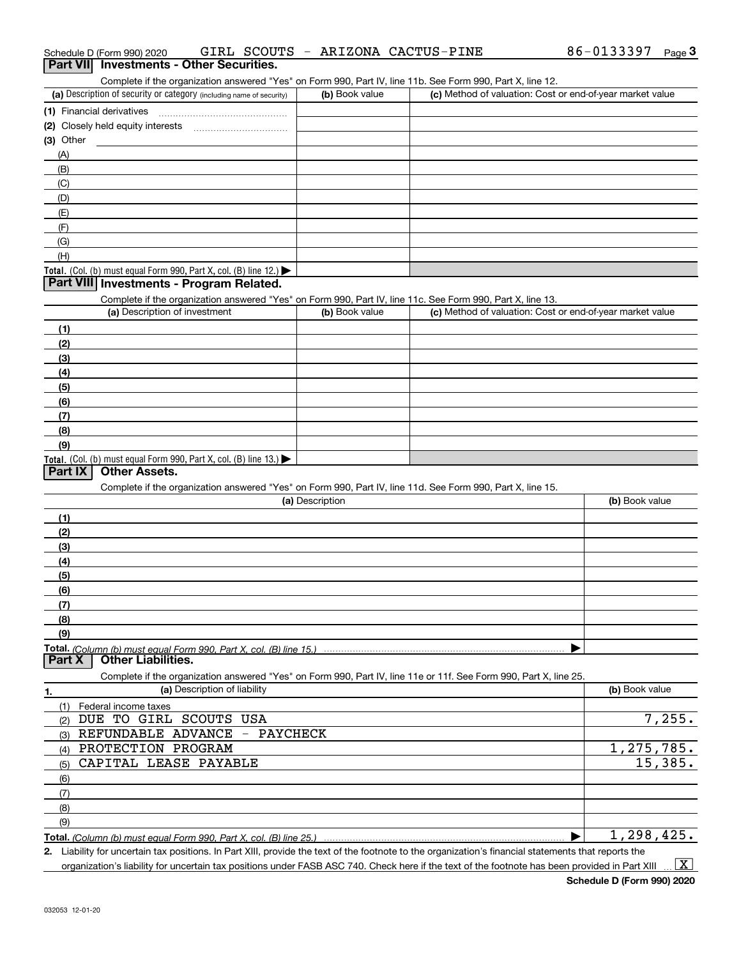| Schedule D (Form 990) 2020               |  |  | GIRL SCOUTS - ARIZONA CACTUS-PINE | 86-0133397 | $P$ aqe $3$ |
|------------------------------------------|--|--|-----------------------------------|------------|-------------|
| Part VII Investments - Other Securities. |  |  |                                   |            |             |

| Complete if the organization answered "Yes" on Form 990. Part IV, line |
|------------------------------------------------------------------------|

11b. See Form 990, Part X, line 12.

| (a) Description of security or category (including name of security)       | (b) Book value | (c) Method of valuation: Cost or end-of-year market value |
|----------------------------------------------------------------------------|----------------|-----------------------------------------------------------|
| (1) Financial derivatives                                                  |                |                                                           |
| (2) Closely held equity interests                                          |                |                                                           |
| $(3)$ Other                                                                |                |                                                           |
| (A)                                                                        |                |                                                           |
| (B)                                                                        |                |                                                           |
| (C)                                                                        |                |                                                           |
| (D)                                                                        |                |                                                           |
| (E)                                                                        |                |                                                           |
| (F)                                                                        |                |                                                           |
| (G)                                                                        |                |                                                           |
| (H)                                                                        |                |                                                           |
| <b>Total.</b> (Col. (b) must equal Form 990, Part X, col. (B) line $12$ .) |                |                                                           |

#### **Part VIII Investments - Program Related.**

Complete if the organization answered "Yes" on Form 990, Part IV, line 11c. See Form 990, Part X, line 13.

| (a) Description of investment                                    | (b) Book value | (c) Method of valuation: Cost or end-of-year market value |
|------------------------------------------------------------------|----------------|-----------------------------------------------------------|
| (1)                                                              |                |                                                           |
| (2)                                                              |                |                                                           |
| $\frac{1}{2}$                                                    |                |                                                           |
| (4)                                                              |                |                                                           |
| $\left(5\right)$                                                 |                |                                                           |
| (6)                                                              |                |                                                           |
| (7)                                                              |                |                                                           |
| (8)                                                              |                |                                                           |
| (9)                                                              |                |                                                           |
| Total. (Col. (b) must equal Form 990, Part X, col. (B) line 13.) |                |                                                           |

#### **Part IX Other Assets.**

Complete if the organization answered "Yes" on Form 990, Part IV, line 11d. See Form 990, Part X, line 15.

| (a) Description                                                                                                   | (b) Book value |
|-------------------------------------------------------------------------------------------------------------------|----------------|
| (1)                                                                                                               |                |
| (2)                                                                                                               |                |
| (3)                                                                                                               |                |
| (4)                                                                                                               |                |
| (5)                                                                                                               |                |
| (6)                                                                                                               |                |
| (7)                                                                                                               |                |
| (8)                                                                                                               |                |
| (9)                                                                                                               |                |
|                                                                                                                   |                |
| <b>Other Liabilities.</b><br><b>Part X</b>                                                                        |                |
| Complete if the organization answered "Yes" on Form 990, Part IV, line 11e or 11f. See Form 990, Part X, line 25. |                |
| (a) Description of liability<br>1.                                                                                | (b) Book value |
| Federal income taxes<br>(1)                                                                                       |                |
| TO GIRL<br>SCOUTS<br>USA<br>DUE.<br>(2)                                                                           | 7,255.         |
| REFUNDABLE ADVANCE<br>PAYCHECK<br>$\overline{\phantom{m}}$<br>(3)                                                 |                |
| PROTECTION PROGRAM<br>(4)                                                                                         | 1,275,785.     |
| CAPITAL LEASE PAYABLE<br>(5)                                                                                      | 15,385.        |

(7)(8)(9)

**Total.**  *(Column (b) must equal Form 990, Part X, col. (B) line 25.)* 

Liability for uncertain tax positions. In Part XIII, provide the text of the footnote to the organization's financial statements that reports the

1,298,425.

 $\vert$  X  $\vert$ 

 $\blacktriangleright$ 

organization's liability for uncertain tax positions under FASB ASC 740. Check here if the text of the footnote has been provided in Part XIII

**2.**

(6)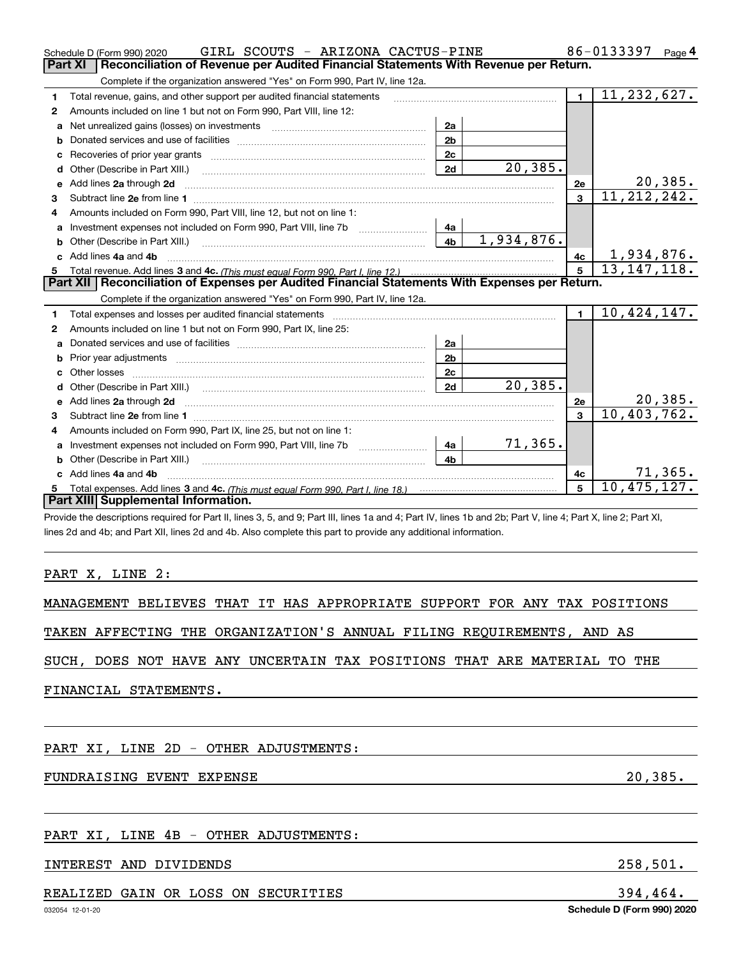|   | GIRL SCOUTS - ARIZONA CACTUS-PINE<br>Schedule D (Form 990) 2020                                                                                                                                                                     |                |                | 86-0133397<br>Page $4$ |                               |
|---|-------------------------------------------------------------------------------------------------------------------------------------------------------------------------------------------------------------------------------------|----------------|----------------|------------------------|-------------------------------|
|   | <b>Part XI</b><br>Reconciliation of Revenue per Audited Financial Statements With Revenue per Return.                                                                                                                               |                |                |                        |                               |
|   | Complete if the organization answered "Yes" on Form 990, Part IV, line 12a.                                                                                                                                                         |                |                |                        |                               |
| 1 | Total revenue, gains, and other support per audited financial statements                                                                                                                                                            |                |                | $\blacksquare$         | 11, 232, 627.                 |
| 2 | Amounts included on line 1 but not on Form 990, Part VIII, line 12:                                                                                                                                                                 |                |                |                        |                               |
| a | Net unrealized gains (losses) on investments [11] matter contracts and the unrealized gains (losses) on investments                                                                                                                 | 2a             |                |                        |                               |
| b |                                                                                                                                                                                                                                     | 2 <sub>b</sub> |                |                        |                               |
|   | Recoveries of prior year grants [11,111] Recoveries of prior year grants [11,111] Recoveries of prior year grants                                                                                                                   | 2c             |                |                        |                               |
| d | Other (Describe in Part XIII.) <b>2006</b> 2007 2010 2010 2010 2010 2011 2012 2013 2014 2014 2015 2016 2017 2018 2019 2016 2017 2018 2019 2016 2017 2018 2019 2016 2017 2018 2019 2018 2019 2019 2016 2017 2018 2019 2018 2019 2019 | 2d             | 20, 385.       |                        |                               |
| е | Add lines 2a through 2d                                                                                                                                                                                                             |                |                | 2e                     | 20,385.                       |
| 3 |                                                                                                                                                                                                                                     |                |                | $\overline{3}$         | $\overline{11,212,242}$ .     |
| 4 | Amounts included on Form 990, Part VIII, line 12, but not on line 1:                                                                                                                                                                |                |                |                        |                               |
| a |                                                                                                                                                                                                                                     | 4a             |                |                        |                               |
|   |                                                                                                                                                                                                                                     | 4 <sub>b</sub> | 1,934,876.     |                        |                               |
|   | c Add lines 4a and 4b                                                                                                                                                                                                               | 4c             | 1,934,876.     |                        |                               |
| 5 |                                                                                                                                                                                                                                     |                | 5 <sup>5</sup> | 13, 147, 118.          |                               |
|   | Part XII   Reconciliation of Expenses per Audited Financial Statements With Expenses per Return.                                                                                                                                    |                |                |                        |                               |
|   | Complete if the organization answered "Yes" on Form 990, Part IV, line 12a.                                                                                                                                                         |                |                |                        |                               |
| 1 | Total expenses and losses per audited financial statements [11, 11] manuscription control expenses and losses per audited financial statements [11] manuscription of the statements [11] manuscription of the statements [11]       |                |                | $\mathbf{1}$           | 10,424,147.                   |
| 2 | Amounts included on line 1 but not on Form 990, Part IX, line 25:                                                                                                                                                                   |                |                |                        |                               |
| a |                                                                                                                                                                                                                                     | 2a             |                |                        |                               |
| b | Prior year adjustments [111] Prior year adjustments [11] Prior year adjustments [11] Prior year adjustments [1                                                                                                                      | 2 <sub>b</sub> |                |                        |                               |
|   | Other losses                                                                                                                                                                                                                        | 2c             |                |                        |                               |
| d |                                                                                                                                                                                                                                     | 2d             | 20,385.        |                        |                               |
| е | Add lines 2a through 2d                                                                                                                                                                                                             |                |                | 2e                     | $\frac{20,385.}{10,403,762.}$ |
| з |                                                                                                                                                                                                                                     |                |                | 3                      |                               |
| 4 | Amounts included on Form 990, Part IX, line 25, but not on line 1:                                                                                                                                                                  |                |                |                        |                               |
| a | Investment expenses not included on Form 990, Part VIII, line 7b                                                                                                                                                                    | 4a l           | 71,365.        |                        |                               |
|   | Other (Describe in Part XIII.)                                                                                                                                                                                                      | 4 <sub>b</sub> |                |                        |                               |
|   | Add lines 4a and 4b                                                                                                                                                                                                                 |                |                | 4c                     | 71,365.                       |
| 5 |                                                                                                                                                                                                                                     | 5              | 10,475,127.    |                        |                               |
|   | Part XIII Supplemental Information.                                                                                                                                                                                                 |                |                |                        |                               |
|   |                                                                                                                                                                                                                                     |                |                |                        |                               |

Provide the descriptions required for Part II, lines 3, 5, and 9; Part III, lines 1a and 4; Part IV, lines 1b and 2b; Part V, line 4; Part X, line 2; Part XI, lines 2d and 4b; and Part XII, lines 2d and 4b. Also complete this part to provide any additional information.

#### PART X, LINE 2:

MANAGEMENT BELIEVES THAT IT HAS APPROPRIATE SUPPORT FOR ANY TAX POSITIONS

TAKEN AFFECTING THE ORGANIZATION'S ANNUAL FILING REQUIREMENTS, AND AS

SUCH, DOES NOT HAVE ANY UNCERTAIN TAX POSITIONS THAT ARE MATERIAL TO THE

FINANCIAL STATEMENTS.

PART XI, LINE 2D - OTHER ADJUSTMENTS:

## FUNDRAISING EVENT EXPENSE 20,385.

#### PART XI, LINE 4B - OTHER ADJUSTMENTS:

#### INTEREST AND DIVIDENDS 258,501.

#### REALIZED GAIN OR LOSS ON SECURITIES 394,464.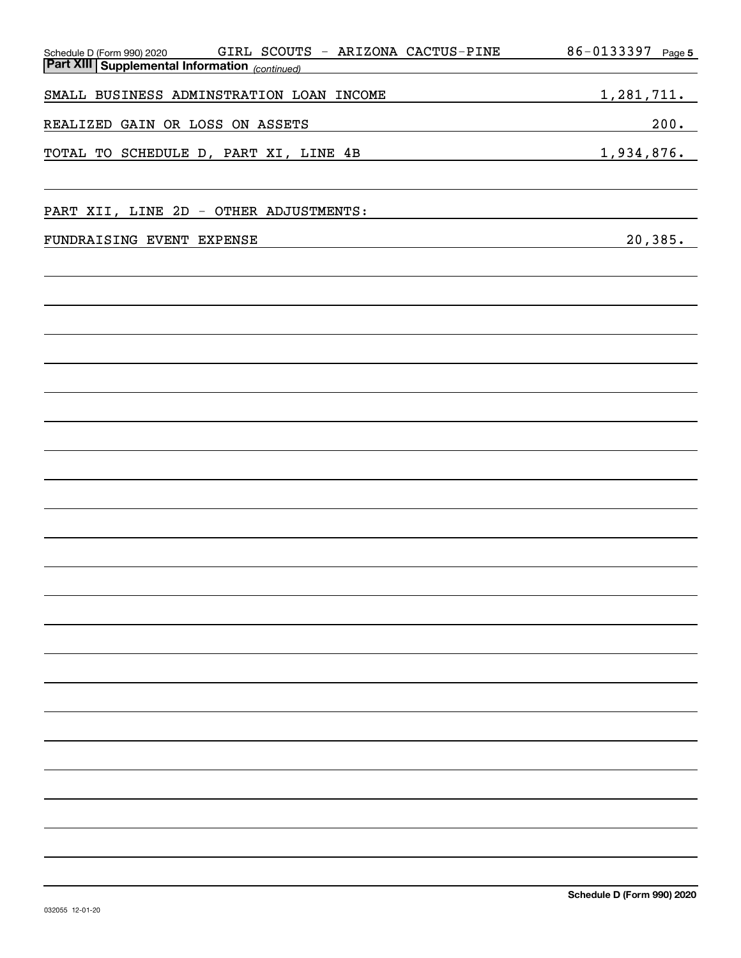| GIRL SCOUTS - ARIZONA CACTUS-PINE<br>Schedule D (Form 990) 2020 | 86-0133397 Page 5 |
|-----------------------------------------------------------------|-------------------|
| <b>Part XIII   Supplemental Information</b> (continued)         |                   |
|                                                                 |                   |
| SMALL BUSINESS ADMINSTRATION LOAN INCOME                        | 1,281,711.        |
|                                                                 |                   |
| REALIZED GAIN OR LOSS ON ASSETS                                 | 200.              |
| TOTAL TO SCHEDULE D, PART XI, LINE 4B                           | 1,934,876.        |
|                                                                 |                   |
|                                                                 |                   |
|                                                                 |                   |
| PART XII, LINE 2D - OTHER ADJUSTMENTS:                          |                   |
|                                                                 |                   |
| FUNDRAISING EVENT EXPENSE                                       | 20, 385.          |
|                                                                 |                   |
|                                                                 |                   |
|                                                                 |                   |
|                                                                 |                   |
|                                                                 |                   |
|                                                                 |                   |
|                                                                 |                   |
|                                                                 |                   |
|                                                                 |                   |
|                                                                 |                   |
|                                                                 |                   |
|                                                                 |                   |
|                                                                 |                   |
|                                                                 |                   |
|                                                                 |                   |
|                                                                 |                   |
|                                                                 |                   |
|                                                                 |                   |
|                                                                 |                   |
|                                                                 |                   |
|                                                                 |                   |
|                                                                 |                   |
|                                                                 |                   |
|                                                                 |                   |
|                                                                 |                   |
|                                                                 |                   |
|                                                                 |                   |
|                                                                 |                   |
|                                                                 |                   |
|                                                                 |                   |
|                                                                 |                   |
|                                                                 |                   |
|                                                                 |                   |
|                                                                 |                   |
|                                                                 |                   |
|                                                                 |                   |
|                                                                 |                   |
|                                                                 |                   |
|                                                                 |                   |
|                                                                 |                   |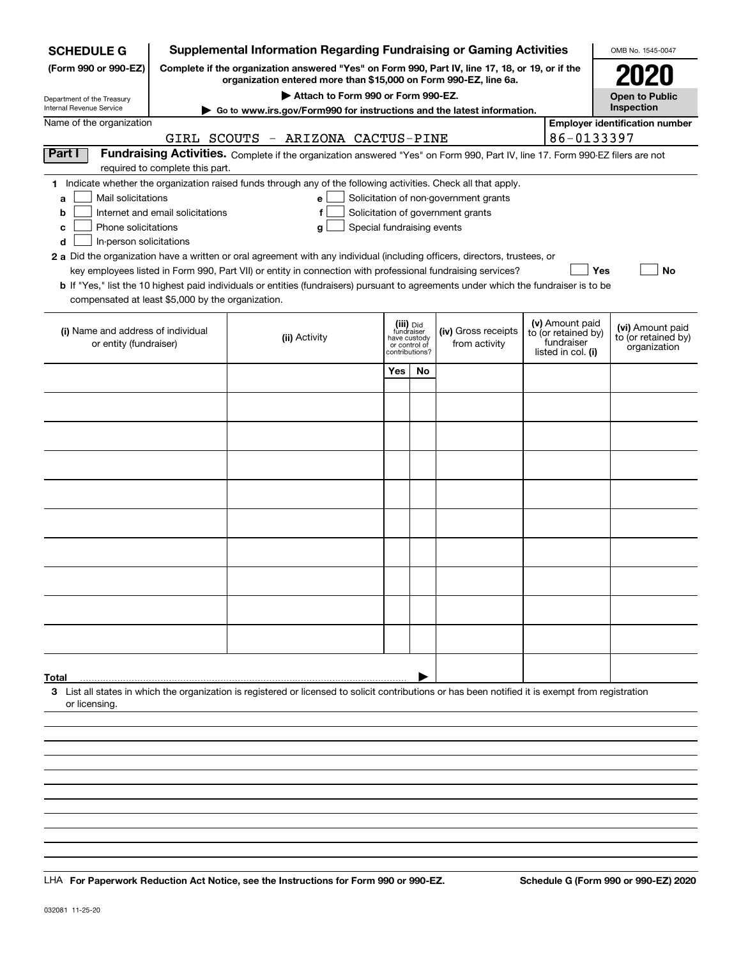| <b>SCHEDULE G</b>                                           |                                  | <b>Supplemental Information Regarding Fundraising or Gaming Activities</b>                                                                                                                                                                |                |                               |                                       |                                  |                                        | OMB No. 1545-0047                     |  |  |  |
|-------------------------------------------------------------|----------------------------------|-------------------------------------------------------------------------------------------------------------------------------------------------------------------------------------------------------------------------------------------|----------------|-------------------------------|---------------------------------------|----------------------------------|----------------------------------------|---------------------------------------|--|--|--|
| (Form 990 or 990-EZ)                                        |                                  | Complete if the organization answered "Yes" on Form 990, Part IV, line 17, 18, or 19, or if the<br>organization entered more than \$15,000 on Form 990-EZ, line 6a.                                                                       |                |                               |                                       |                                  |                                        | 2020                                  |  |  |  |
| Department of the Treasury                                  |                                  | Attach to Form 990 or Form 990-EZ.                                                                                                                                                                                                        |                |                               |                                       |                                  |                                        | <b>Open to Public</b><br>Inspection   |  |  |  |
| Internal Revenue Service<br>Name of the organization        |                                  | Go to www.irs.gov/Form990 for instructions and the latest information.                                                                                                                                                                    |                |                               |                                       |                                  |                                        | <b>Employer identification number</b> |  |  |  |
|                                                             |                                  | GIRL SCOUTS - ARIZONA CACTUS-PINE                                                                                                                                                                                                         |                |                               |                                       |                                  | 86-0133397                             |                                       |  |  |  |
| Part I                                                      |                                  | Fundraising Activities. Complete if the organization answered "Yes" on Form 990, Part IV, line 17. Form 990-EZ filers are not                                                                                                             |                |                               |                                       |                                  |                                        |                                       |  |  |  |
|                                                             | required to complete this part.  |                                                                                                                                                                                                                                           |                |                               |                                       |                                  |                                        |                                       |  |  |  |
|                                                             |                                  | 1 Indicate whether the organization raised funds through any of the following activities. Check all that apply.                                                                                                                           |                |                               |                                       |                                  |                                        |                                       |  |  |  |
| Mail solicitations<br>a                                     |                                  | e                                                                                                                                                                                                                                         |                |                               | Solicitation of non-government grants |                                  |                                        |                                       |  |  |  |
| b                                                           | Internet and email solicitations |                                                                                                                                                                                                                                           |                |                               | Solicitation of government grants     |                                  |                                        |                                       |  |  |  |
| Phone solicitations<br>Special fundraising events<br>с<br>g |                                  |                                                                                                                                                                                                                                           |                |                               |                                       |                                  |                                        |                                       |  |  |  |
| In-person solicitations<br>d                                |                                  |                                                                                                                                                                                                                                           |                |                               |                                       |                                  |                                        |                                       |  |  |  |
|                                                             |                                  | 2 a Did the organization have a written or oral agreement with any individual (including officers, directors, trustees, or<br>key employees listed in Form 990, Part VII) or entity in connection with professional fundraising services? |                |                               |                                       |                                  | Yes                                    | No                                    |  |  |  |
|                                                             |                                  | b If "Yes," list the 10 highest paid individuals or entities (fundraisers) pursuant to agreements under which the fundraiser is to be                                                                                                     |                |                               |                                       |                                  |                                        |                                       |  |  |  |
| compensated at least \$5,000 by the organization.           |                                  |                                                                                                                                                                                                                                           |                |                               |                                       |                                  |                                        |                                       |  |  |  |
|                                                             |                                  |                                                                                                                                                                                                                                           |                |                               |                                       |                                  |                                        |                                       |  |  |  |
| (i) Name and address of individual                          |                                  |                                                                                                                                                                                                                                           |                | (iii) Did<br>fundraiser       | (iv) Gross receipts                   |                                  | (v) Amount paid<br>to (or retained by) | (vi) Amount paid                      |  |  |  |
| or entity (fundraiser)                                      |                                  | (ii) Activity                                                                                                                                                                                                                             | contributions? | have custody<br>or control of | from activity                         | fundraiser<br>listed in col. (i) |                                        | to (or retained by)<br>organization   |  |  |  |
|                                                             |                                  |                                                                                                                                                                                                                                           |                |                               |                                       |                                  |                                        |                                       |  |  |  |
|                                                             |                                  |                                                                                                                                                                                                                                           | Yes            | No                            |                                       |                                  |                                        |                                       |  |  |  |
|                                                             |                                  |                                                                                                                                                                                                                                           |                |                               |                                       |                                  |                                        |                                       |  |  |  |
|                                                             |                                  |                                                                                                                                                                                                                                           |                |                               |                                       |                                  |                                        |                                       |  |  |  |
|                                                             |                                  |                                                                                                                                                                                                                                           |                |                               |                                       |                                  |                                        |                                       |  |  |  |
|                                                             |                                  |                                                                                                                                                                                                                                           |                |                               |                                       |                                  |                                        |                                       |  |  |  |
|                                                             |                                  |                                                                                                                                                                                                                                           |                |                               |                                       |                                  |                                        |                                       |  |  |  |
|                                                             |                                  |                                                                                                                                                                                                                                           |                |                               |                                       |                                  |                                        |                                       |  |  |  |
|                                                             |                                  |                                                                                                                                                                                                                                           |                |                               |                                       |                                  |                                        |                                       |  |  |  |
|                                                             |                                  |                                                                                                                                                                                                                                           |                |                               |                                       |                                  |                                        |                                       |  |  |  |
|                                                             |                                  |                                                                                                                                                                                                                                           |                |                               |                                       |                                  |                                        |                                       |  |  |  |
|                                                             |                                  |                                                                                                                                                                                                                                           |                |                               |                                       |                                  |                                        |                                       |  |  |  |
|                                                             |                                  |                                                                                                                                                                                                                                           |                |                               |                                       |                                  |                                        |                                       |  |  |  |
|                                                             |                                  |                                                                                                                                                                                                                                           |                |                               |                                       |                                  |                                        |                                       |  |  |  |
|                                                             |                                  |                                                                                                                                                                                                                                           |                |                               |                                       |                                  |                                        |                                       |  |  |  |
|                                                             |                                  |                                                                                                                                                                                                                                           |                |                               |                                       |                                  |                                        |                                       |  |  |  |
|                                                             |                                  |                                                                                                                                                                                                                                           |                |                               |                                       |                                  |                                        |                                       |  |  |  |
|                                                             |                                  |                                                                                                                                                                                                                                           |                |                               |                                       |                                  |                                        |                                       |  |  |  |
|                                                             |                                  |                                                                                                                                                                                                                                           |                |                               |                                       |                                  |                                        |                                       |  |  |  |
| Total                                                       |                                  |                                                                                                                                                                                                                                           |                |                               |                                       |                                  |                                        |                                       |  |  |  |
| or licensing                                                |                                  | 3 List all states in which the organization is registered or licensed to solicit contributions or has been notified it is exempt from registration                                                                                        |                |                               |                                       |                                  |                                        |                                       |  |  |  |
|                                                             |                                  |                                                                                                                                                                                                                                           |                |                               |                                       |                                  |                                        |                                       |  |  |  |
|                                                             |                                  |                                                                                                                                                                                                                                           |                |                               |                                       |                                  |                                        |                                       |  |  |  |
|                                                             |                                  |                                                                                                                                                                                                                                           |                |                               |                                       |                                  |                                        |                                       |  |  |  |
|                                                             |                                  |                                                                                                                                                                                                                                           |                |                               |                                       |                                  |                                        |                                       |  |  |  |
|                                                             |                                  |                                                                                                                                                                                                                                           |                |                               |                                       |                                  |                                        |                                       |  |  |  |

LHA For Paperwork Reduction Act Notice, see the Instructions for Form 990 or 990-EZ. Schedule G (Form 990 or 990-EZ) 2020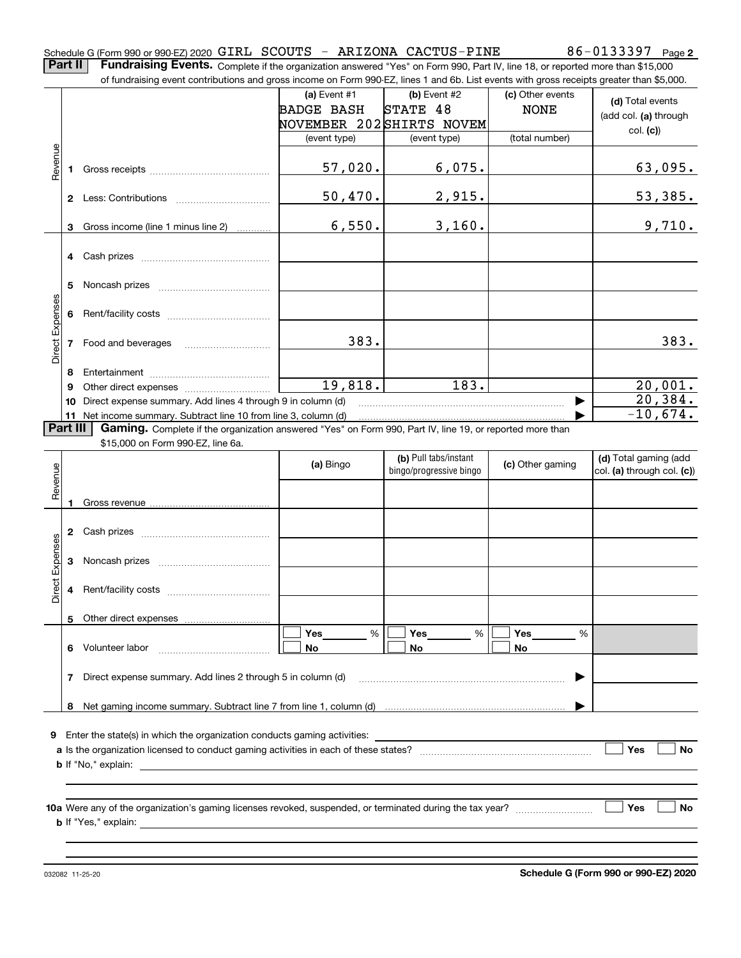**Part II** | Fundraising Events. Complete if the organization answered "Yes" on Form 990, Part IV, line 18, or reported more than \$15,000 of fundraising event contributions and gross income on Form 990-EZ, lines 1 and 6b. List events with gross receipts greater than \$5,000.

|                 |                                                                | 01 lunuraising event continuutions and gross income on Form 990-EZ, illies T and OD. Elst events with gross receipts greater than \$0,000. |                          |                                                  |                  |                            |
|-----------------|----------------------------------------------------------------|--------------------------------------------------------------------------------------------------------------------------------------------|--------------------------|--------------------------------------------------|------------------|----------------------------|
|                 |                                                                |                                                                                                                                            | (a) Event $#1$           | $(b)$ Event #2                                   | (c) Other events | (d) Total events           |
|                 |                                                                |                                                                                                                                            | <b>BADGE BASH</b>        | STATE 48                                         | <b>NONE</b>      | (add col. (a) through      |
|                 |                                                                |                                                                                                                                            | NOVEMBER 202SHIRTS NOVEM |                                                  |                  | col. (c)                   |
|                 |                                                                |                                                                                                                                            | (event type)             | (event type)                                     | (total number)   |                            |
| Revenue         |                                                                |                                                                                                                                            |                          |                                                  |                  |                            |
|                 |                                                                |                                                                                                                                            | 57,020.                  | 6,075.                                           |                  | 63,095.                    |
|                 |                                                                |                                                                                                                                            |                          |                                                  |                  |                            |
|                 |                                                                |                                                                                                                                            | 50,470.                  | 2,915.                                           |                  | 53,385.                    |
|                 |                                                                |                                                                                                                                            |                          |                                                  |                  |                            |
|                 | 3                                                              | Gross income (line 1 minus line 2)                                                                                                         | 6,550.                   | 3,160.                                           |                  | 9,710.                     |
|                 |                                                                |                                                                                                                                            |                          |                                                  |                  |                            |
|                 |                                                                | 4 Cash prizes                                                                                                                              |                          |                                                  |                  |                            |
|                 |                                                                |                                                                                                                                            |                          |                                                  |                  |                            |
|                 |                                                                |                                                                                                                                            |                          |                                                  |                  |                            |
|                 |                                                                |                                                                                                                                            |                          |                                                  |                  |                            |
|                 |                                                                |                                                                                                                                            |                          |                                                  |                  |                            |
| Direct Expenses |                                                                |                                                                                                                                            |                          |                                                  |                  |                            |
|                 |                                                                | 7 Food and beverages                                                                                                                       | 383.                     |                                                  |                  | 383.                       |
|                 |                                                                |                                                                                                                                            |                          |                                                  |                  |                            |
|                 | 8                                                              |                                                                                                                                            |                          |                                                  |                  |                            |
|                 | 9                                                              |                                                                                                                                            | 19,818.                  | 183.                                             |                  | 20,001.                    |
|                 | 10 Direct expense summary. Add lines 4 through 9 in column (d) | 20,384.                                                                                                                                    |                          |                                                  |                  |                            |
|                 |                                                                | 11 Net income summary. Subtract line 10 from line 3, column (d)                                                                            |                          |                                                  |                  | $-10,674.$                 |
|                 | Part III                                                       | Gaming. Complete if the organization answered "Yes" on Form 990, Part IV, line 19, or reported more than                                   |                          |                                                  |                  |                            |
|                 |                                                                | \$15,000 on Form 990-EZ, line 6a.                                                                                                          |                          |                                                  |                  |                            |
|                 |                                                                |                                                                                                                                            | (a) Bingo                | (b) Pull tabs/instant<br>bingo/progressive bingo | (c) Other gaming | (d) Total gaming (add      |
|                 |                                                                |                                                                                                                                            |                          |                                                  |                  | col. (a) through col. (c)) |
| Revenue         |                                                                |                                                                                                                                            |                          |                                                  |                  |                            |
|                 | 1                                                              |                                                                                                                                            |                          |                                                  |                  |                            |
|                 |                                                                |                                                                                                                                            |                          |                                                  |                  |                            |
|                 |                                                                |                                                                                                                                            |                          |                                                  |                  |                            |
| Direct Expenses |                                                                |                                                                                                                                            |                          |                                                  |                  |                            |
|                 |                                                                |                                                                                                                                            |                          |                                                  |                  |                            |
|                 |                                                                |                                                                                                                                            |                          |                                                  |                  |                            |
|                 |                                                                |                                                                                                                                            |                          |                                                  |                  |                            |
|                 |                                                                | 5 Other direct expenses                                                                                                                    |                          |                                                  |                  |                            |
|                 |                                                                |                                                                                                                                            |                          |                                                  |                  |                            |
|                 |                                                                | Volunteer labor                                                                                                                            | %<br>Yes<br>No           | Yes<br>%<br>No                                   | Yes<br>%<br>No   |                            |
|                 | 6                                                              |                                                                                                                                            |                          |                                                  |                  |                            |
|                 | 7                                                              | Direct expense summary. Add lines 2 through 5 in column (d)                                                                                |                          |                                                  |                  |                            |
|                 |                                                                |                                                                                                                                            |                          |                                                  |                  |                            |
|                 | 8                                                              |                                                                                                                                            |                          |                                                  |                  |                            |
|                 |                                                                |                                                                                                                                            |                          |                                                  |                  |                            |
|                 |                                                                | 9 Enter the state(s) in which the organization conducts gaming activities:                                                                 |                          |                                                  |                  |                            |
|                 |                                                                |                                                                                                                                            |                          |                                                  |                  | Yes<br><b>No</b>           |
|                 |                                                                | <b>b</b> If "No," explain:<br><u> 1989 - Johann Stein, mars an deutscher Stein († 1989)</u>                                                |                          |                                                  |                  |                            |
|                 |                                                                |                                                                                                                                            |                          |                                                  |                  |                            |
|                 |                                                                |                                                                                                                                            |                          |                                                  |                  |                            |
|                 |                                                                |                                                                                                                                            |                          |                                                  |                  |                            |
|                 |                                                                |                                                                                                                                            |                          |                                                  |                  | Yes<br>No                  |
|                 |                                                                |                                                                                                                                            |                          |                                                  |                  |                            |
|                 |                                                                |                                                                                                                                            |                          |                                                  |                  |                            |

032082 11-25-20

**Schedule G (Form 990 or 990-EZ) 2020**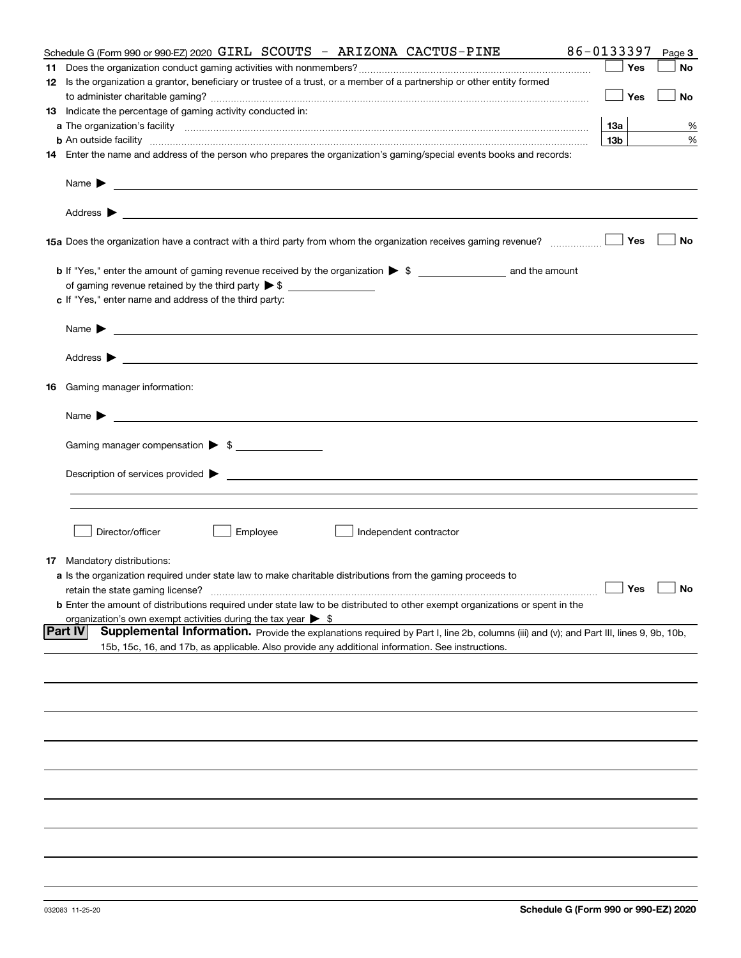| Schedule G (Form 990 or 990-EZ) 2020 GIRL SCOUTS - ARIZONA CACTUS-PINE                                                                                                                                                                    | 86-0133397           | Page 3 |
|-------------------------------------------------------------------------------------------------------------------------------------------------------------------------------------------------------------------------------------------|----------------------|--------|
|                                                                                                                                                                                                                                           | Yes                  | No     |
| 12 Is the organization a grantor, beneficiary or trustee of a trust, or a member of a partnership or other entity formed                                                                                                                  |                      |        |
|                                                                                                                                                                                                                                           | Yes                  | No     |
| 13 Indicate the percentage of gaming activity conducted in:                                                                                                                                                                               |                      |        |
|                                                                                                                                                                                                                                           | 13а                  | %      |
| <b>b</b> An outside facility <i>www.communically.communically.communically.communically.communically.communically.communically.communically.communically.communically.communically.communically.communically.communically.communicall</i> | 13 <sub>b</sub>      | %      |
| 14 Enter the name and address of the person who prepares the organization's gaming/special events books and records:                                                                                                                      |                      |        |
|                                                                                                                                                                                                                                           |                      |        |
| Name $\blacktriangleright$<br><u> 1989 - Johann Barn, amerikan bestemanns om de stad for de stad for de stad for de stad for de stad for de sta</u>                                                                                       |                      |        |
| Address $\blacktriangleright$<br><u> 1989 - Andrea Stadt Britain, amerikansk politik (</u>                                                                                                                                                |                      |        |
|                                                                                                                                                                                                                                           | Yes                  | No     |
|                                                                                                                                                                                                                                           |                      |        |
|                                                                                                                                                                                                                                           |                      |        |
| c If "Yes," enter name and address of the third party:                                                                                                                                                                                    |                      |        |
|                                                                                                                                                                                                                                           |                      |        |
| Name $\blacktriangleright$<br><u> 1989 - Johann Barbara, martin amerikan basal dan berasal dan berasal dalam basal dalam basal dalam basal dala</u>                                                                                       |                      |        |
|                                                                                                                                                                                                                                           |                      |        |
| <b>16</b> Gaming manager information:                                                                                                                                                                                                     |                      |        |
| Name $\blacktriangleright$                                                                                                                                                                                                                |                      |        |
| Gaming manager compensation > \$                                                                                                                                                                                                          |                      |        |
|                                                                                                                                                                                                                                           |                      |        |
| Description of services provided $\blacktriangleright$                                                                                                                                                                                    |                      |        |
|                                                                                                                                                                                                                                           |                      |        |
|                                                                                                                                                                                                                                           |                      |        |
| Employee<br>Director/officer<br>Independent contractor                                                                                                                                                                                    |                      |        |
| <b>17</b> Mandatory distributions:                                                                                                                                                                                                        |                      |        |
| <b>a</b> Is the organization required under state law to make charitable distributions from the gaming proceeds to                                                                                                                        |                      |        |
| retain the state gaming license?                                                                                                                                                                                                          | $\Box$ Yes $\Box$ No |        |
| <b>b</b> Enter the amount of distributions required under state law to be distributed to other exempt organizations or spent in the                                                                                                       |                      |        |
| organization's own exempt activities during the tax year $\triangleright$ \$                                                                                                                                                              |                      |        |
| <b>Part IV</b><br>Supplemental Information. Provide the explanations required by Part I, line 2b, columns (iii) and (v); and Part III, lines 9, 9b, 10b,                                                                                  |                      |        |
| 15b, 15c, 16, and 17b, as applicable. Also provide any additional information. See instructions.                                                                                                                                          |                      |        |
|                                                                                                                                                                                                                                           |                      |        |
|                                                                                                                                                                                                                                           |                      |        |
|                                                                                                                                                                                                                                           |                      |        |
|                                                                                                                                                                                                                                           |                      |        |
|                                                                                                                                                                                                                                           |                      |        |
|                                                                                                                                                                                                                                           |                      |        |
|                                                                                                                                                                                                                                           |                      |        |
|                                                                                                                                                                                                                                           |                      |        |
|                                                                                                                                                                                                                                           |                      |        |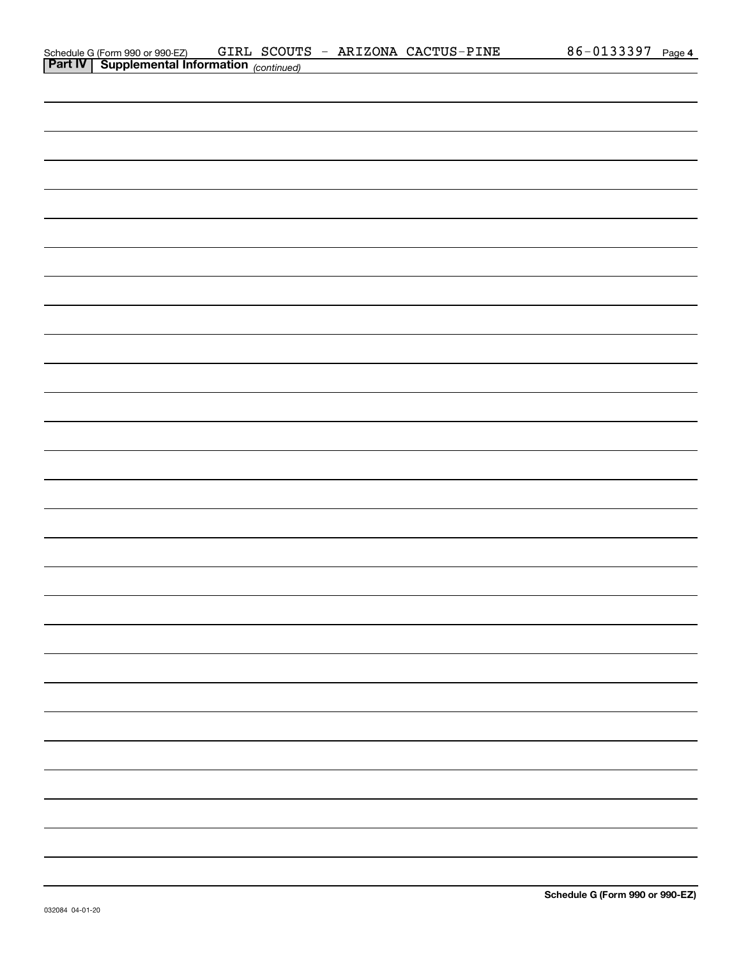|                | Schedule G (Form 990 or 990-EZ)      | GIRL SCOUTS | ARIZONA CACTUS-PINE |  | 86-0133397 | Page 4 |
|----------------|--------------------------------------|-------------|---------------------|--|------------|--------|
| <b>Part IV</b> | Supplemental Information (continued) |             |                     |  |            |        |

| continued) |  |
|------------|--|
|            |  |
|            |  |
|            |  |
|            |  |
|            |  |
|            |  |
|            |  |
|            |  |
|            |  |
|            |  |
|            |  |
|            |  |
|            |  |
|            |  |
|            |  |
|            |  |
|            |  |
|            |  |
|            |  |
|            |  |
|            |  |
|            |  |
|            |  |
|            |  |
|            |  |
|            |  |
|            |  |
|            |  |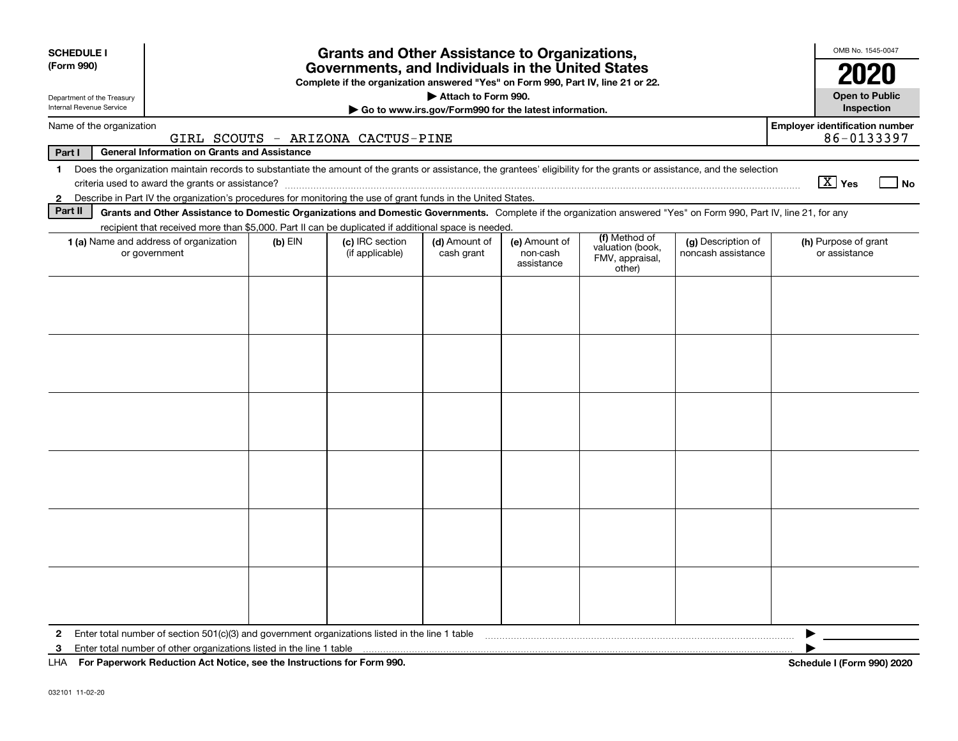| <b>SCHEDULE I</b>                                                                                                             |                                                                                                                                                                          |           | <b>Grants and Other Assistance to Organizations,</b>                                                                                  |                                                       |                                         |                                                                |                                          | OMB No. 1545-0047                                   |  |  |  |  |
|-------------------------------------------------------------------------------------------------------------------------------|--------------------------------------------------------------------------------------------------------------------------------------------------------------------------|-----------|---------------------------------------------------------------------------------------------------------------------------------------|-------------------------------------------------------|-----------------------------------------|----------------------------------------------------------------|------------------------------------------|-----------------------------------------------------|--|--|--|--|
| (Form 990)                                                                                                                    |                                                                                                                                                                          |           | Governments, and Individuals in the United States<br>Complete if the organization answered "Yes" on Form 990, Part IV, line 21 or 22. |                                                       |                                         |                                                                |                                          | 2020                                                |  |  |  |  |
| Department of the Treasury                                                                                                    |                                                                                                                                                                          |           |                                                                                                                                       | Attach to Form 990.                                   |                                         |                                                                |                                          | <b>Open to Public</b>                               |  |  |  |  |
| Internal Revenue Service                                                                                                      |                                                                                                                                                                          |           |                                                                                                                                       | Go to www.irs.gov/Form990 for the latest information. |                                         |                                                                |                                          | <b>Inspection</b>                                   |  |  |  |  |
| Name of the organization                                                                                                      |                                                                                                                                                                          |           | GIRL SCOUTS - ARIZONA CACTUS-PINE                                                                                                     |                                                       |                                         |                                                                |                                          | <b>Employer identification number</b><br>86-0133397 |  |  |  |  |
| Part I                                                                                                                        | <b>General Information on Grants and Assistance</b>                                                                                                                      |           |                                                                                                                                       |                                                       |                                         |                                                                |                                          |                                                     |  |  |  |  |
| $\mathbf 1$                                                                                                                   | Does the organization maintain records to substantiate the amount of the grants or assistance, the grantees' eligibility for the grants or assistance, and the selection |           |                                                                                                                                       |                                                       |                                         |                                                                |                                          | $\boxed{\text{X}}$ Yes<br>l No                      |  |  |  |  |
| Describe in Part IV the organization's procedures for monitoring the use of grant funds in the United States.<br>$\mathbf{2}$ |                                                                                                                                                                          |           |                                                                                                                                       |                                                       |                                         |                                                                |                                          |                                                     |  |  |  |  |
| Part II                                                                                                                       | Grants and Other Assistance to Domestic Organizations and Domestic Governments. Complete if the organization answered "Yes" on Form 990, Part IV, line 21, for any       |           |                                                                                                                                       |                                                       |                                         |                                                                |                                          |                                                     |  |  |  |  |
|                                                                                                                               | recipient that received more than \$5,000. Part II can be duplicated if additional space is needed.                                                                      |           |                                                                                                                                       |                                                       |                                         |                                                                |                                          |                                                     |  |  |  |  |
|                                                                                                                               | 1 (a) Name and address of organization<br>or government                                                                                                                  | $(b)$ EIN | (c) IRC section<br>(if applicable)                                                                                                    | (d) Amount of<br>cash grant                           | (e) Amount of<br>non-cash<br>assistance | (f) Method of<br>valuation (book,<br>FMV, appraisal,<br>other) | (g) Description of<br>noncash assistance | (h) Purpose of grant<br>or assistance               |  |  |  |  |
|                                                                                                                               |                                                                                                                                                                          |           |                                                                                                                                       |                                                       |                                         |                                                                |                                          |                                                     |  |  |  |  |
|                                                                                                                               |                                                                                                                                                                          |           |                                                                                                                                       |                                                       |                                         |                                                                |                                          |                                                     |  |  |  |  |
|                                                                                                                               |                                                                                                                                                                          |           |                                                                                                                                       |                                                       |                                         |                                                                |                                          |                                                     |  |  |  |  |
|                                                                                                                               |                                                                                                                                                                          |           |                                                                                                                                       |                                                       |                                         |                                                                |                                          |                                                     |  |  |  |  |
|                                                                                                                               |                                                                                                                                                                          |           |                                                                                                                                       |                                                       |                                         |                                                                |                                          |                                                     |  |  |  |  |
|                                                                                                                               |                                                                                                                                                                          |           |                                                                                                                                       |                                                       |                                         |                                                                |                                          |                                                     |  |  |  |  |
|                                                                                                                               |                                                                                                                                                                          |           |                                                                                                                                       |                                                       |                                         |                                                                |                                          |                                                     |  |  |  |  |
|                                                                                                                               |                                                                                                                                                                          |           |                                                                                                                                       |                                                       |                                         |                                                                |                                          |                                                     |  |  |  |  |
|                                                                                                                               |                                                                                                                                                                          |           |                                                                                                                                       |                                                       |                                         |                                                                |                                          |                                                     |  |  |  |  |
|                                                                                                                               |                                                                                                                                                                          |           |                                                                                                                                       |                                                       |                                         |                                                                |                                          |                                                     |  |  |  |  |
|                                                                                                                               |                                                                                                                                                                          |           |                                                                                                                                       |                                                       |                                         |                                                                |                                          |                                                     |  |  |  |  |
| $\mathbf{2}$                                                                                                                  | Enter total number of section 501(c)(3) and government organizations listed in the line 1 table                                                                          |           |                                                                                                                                       |                                                       |                                         |                                                                |                                          |                                                     |  |  |  |  |
| 3                                                                                                                             | Enter total number of other organizations listed in the line 1 table                                                                                                     |           |                                                                                                                                       |                                                       |                                         |                                                                |                                          |                                                     |  |  |  |  |
| LHA For Paperwork Reduction Act Notice, see the Instructions for Form 990.                                                    |                                                                                                                                                                          |           |                                                                                                                                       |                                                       |                                         |                                                                |                                          | Schedule I (Form 990) 2020                          |  |  |  |  |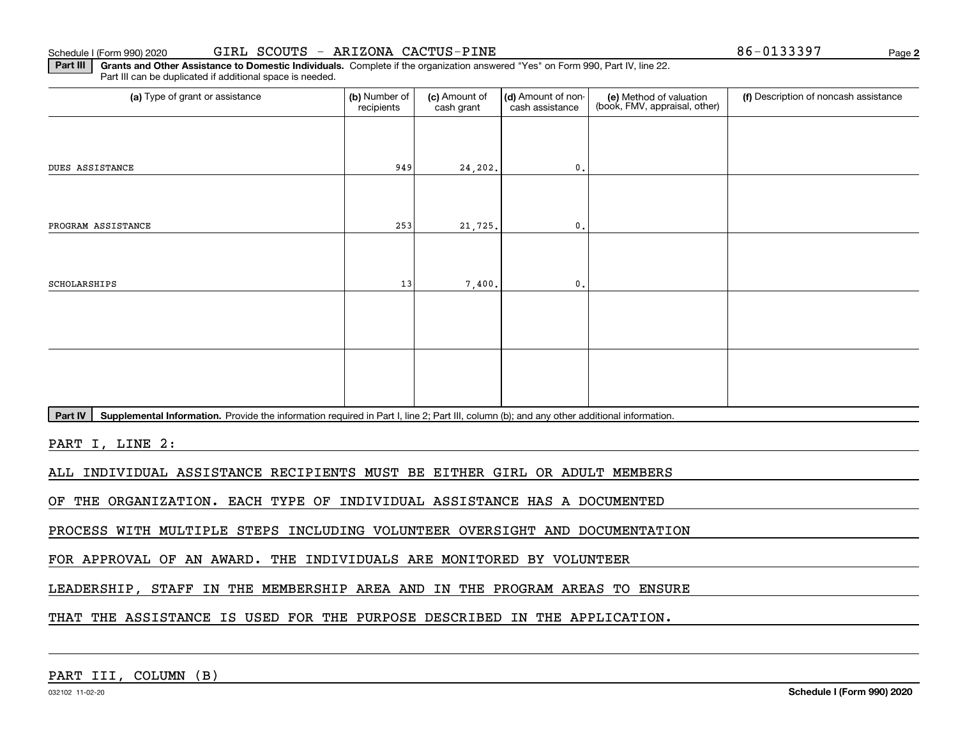**2**

**Part III | Grants and Other Assistance to Domestic Individuals. Complete if the organization answered "Yes" on Form 990, Part IV, line 22.** Part III can be duplicated if additional space is needed.

| (a) Type of grant or assistance                                                                                                                      | (b) Number of<br>recipients | (c) Amount of<br>cash grant | (d) Amount of non-<br>cash assistance | (e) Method of valuation<br>(book, FMV, appraisal, other) | (f) Description of noncash assistance |
|------------------------------------------------------------------------------------------------------------------------------------------------------|-----------------------------|-----------------------------|---------------------------------------|----------------------------------------------------------|---------------------------------------|
|                                                                                                                                                      |                             |                             |                                       |                                                          |                                       |
| <b>DUES ASSISTANCE</b>                                                                                                                               | 949                         | 24,202.                     | 0.                                    |                                                          |                                       |
|                                                                                                                                                      |                             |                             |                                       |                                                          |                                       |
| PROGRAM ASSISTANCE                                                                                                                                   | 253                         | 21,725.                     | $\mathbf{0}$ .                        |                                                          |                                       |
|                                                                                                                                                      |                             |                             |                                       |                                                          |                                       |
| <b>SCHOLARSHIPS</b>                                                                                                                                  | 13                          | 7,400.                      | 0.                                    |                                                          |                                       |
|                                                                                                                                                      |                             |                             |                                       |                                                          |                                       |
|                                                                                                                                                      |                             |                             |                                       |                                                          |                                       |
|                                                                                                                                                      |                             |                             |                                       |                                                          |                                       |
|                                                                                                                                                      |                             |                             |                                       |                                                          |                                       |
| Supplemental Information. Provide the information required in Part I, line 2; Part III, column (b); and any other additional information.<br>Part IV |                             |                             |                                       |                                                          |                                       |
| PART I, LINE 2:                                                                                                                                      |                             |                             |                                       |                                                          |                                       |
| INDIVIDUAL ASSISTANCE RECIPIENTS MUST BE EITHER GIRL OR ADULT MEMBERS<br>ALL                                                                         |                             |                             |                                       |                                                          |                                       |
| THE ORGANIZATION. EACH TYPE OF INDIVIDUAL ASSISTANCE HAS A DOCUMENTED<br>OF                                                                          |                             |                             |                                       |                                                          |                                       |
| PROCESS WITH MULTIPLE STEPS INCLUDING VOLUNTEER OVERSIGHT AND DOCUMENTATION                                                                          |                             |                             |                                       |                                                          |                                       |
| FOR APPROVAL OF AN AWARD. THE INDIVIDUALS ARE MONITORED BY VOLUNTEER                                                                                 |                             |                             |                                       |                                                          |                                       |

LEADERSHIP, STAFF IN THE MEMBERSHIP AREA AND IN THE PROGRAM AREAS TO ENSURE

THAT THE ASSISTANCE IS USED FOR THE PURPOSE DESCRIBED IN THE APPLICATION.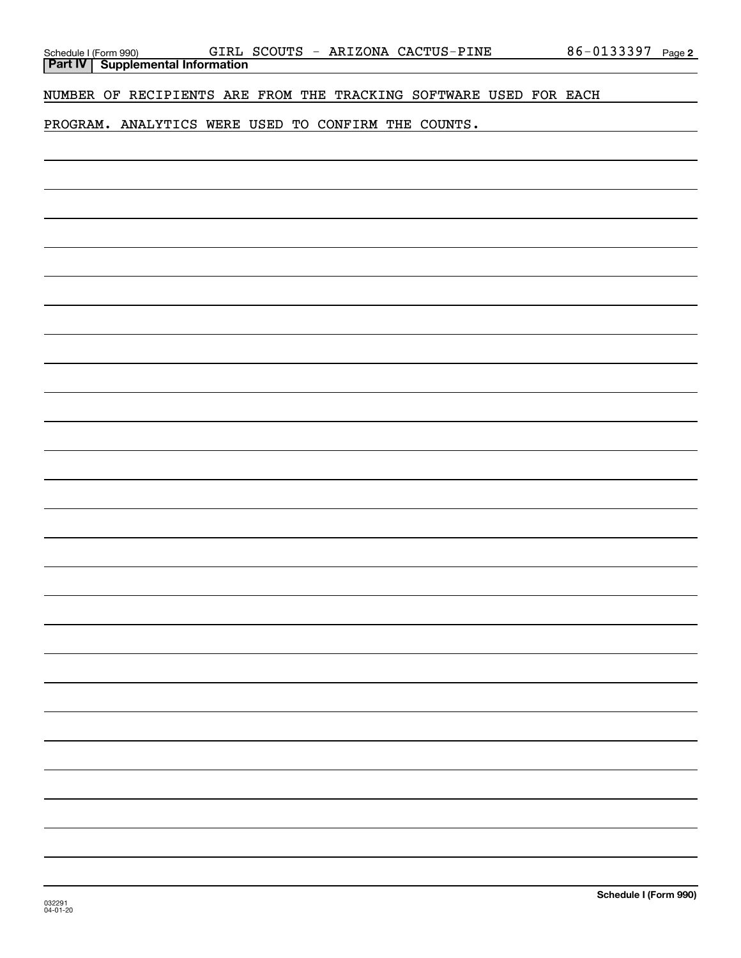NUMBER OF RECIPIENTS ARE FROM THE TRACKING SOFTWARE USED FOR EACH

PROGRAM. ANALYTICS WERE USED TO CONFIRM THE COUNTS.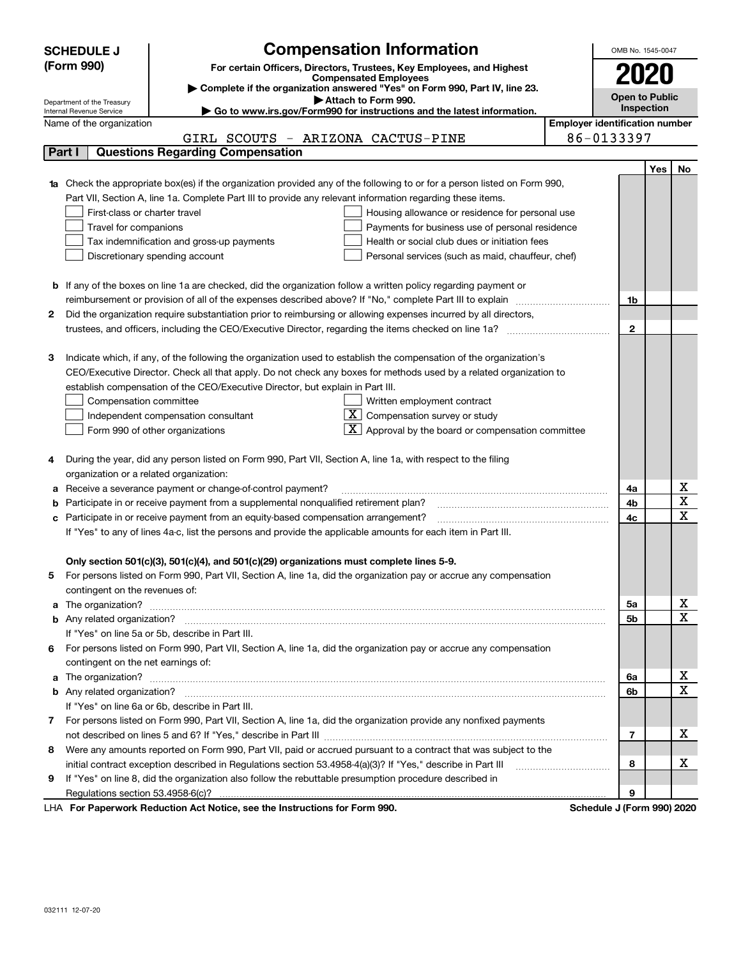|   | <b>SCHEDULE J</b>                                                                                        | <b>Compensation Information</b>                                                                                        |  | OMB No. 1545-0047                     |     |             |  |  |
|---|----------------------------------------------------------------------------------------------------------|------------------------------------------------------------------------------------------------------------------------|--|---------------------------------------|-----|-------------|--|--|
|   | (Form 990)                                                                                               | For certain Officers, Directors, Trustees, Key Employees, and Highest                                                  |  |                                       |     |             |  |  |
|   |                                                                                                          | <b>Compensated Employees</b>                                                                                           |  | 2020                                  |     |             |  |  |
|   |                                                                                                          | Complete if the organization answered "Yes" on Form 990, Part IV, line 23.<br>Attach to Form 990.                      |  | <b>Open to Public</b>                 |     |             |  |  |
|   | Department of the Treasury<br>Internal Revenue Service                                                   | ► Go to www.irs.gov/Form990 for instructions and the latest information.                                               |  | Inspection                            |     |             |  |  |
|   | Name of the organization                                                                                 |                                                                                                                        |  | <b>Employer identification number</b> |     |             |  |  |
|   |                                                                                                          | GIRL SCOUTS - ARIZONA CACTUS-PINE                                                                                      |  | 86-0133397                            |     |             |  |  |
|   | Part I                                                                                                   | <b>Questions Regarding Compensation</b>                                                                                |  |                                       |     |             |  |  |
|   |                                                                                                          |                                                                                                                        |  |                                       | Yes | No          |  |  |
|   |                                                                                                          | Check the appropriate box(es) if the organization provided any of the following to or for a person listed on Form 990, |  |                                       |     |             |  |  |
|   |                                                                                                          | Part VII, Section A, line 1a. Complete Part III to provide any relevant information regarding these items.             |  |                                       |     |             |  |  |
|   | First-class or charter travel                                                                            | Housing allowance or residence for personal use                                                                        |  |                                       |     |             |  |  |
|   | Travel for companions                                                                                    | Payments for business use of personal residence                                                                        |  |                                       |     |             |  |  |
|   |                                                                                                          | Tax indemnification and gross-up payments<br>Health or social club dues or initiation fees                             |  |                                       |     |             |  |  |
|   | Discretionary spending account<br>Personal services (such as maid, chauffeur, chef)                      |                                                                                                                        |  |                                       |     |             |  |  |
|   |                                                                                                          | <b>b</b> If any of the boxes on line 1a are checked, did the organization follow a written policy regarding payment or |  |                                       |     |             |  |  |
|   | reimbursement or provision of all of the expenses described above? If "No," complete Part III to explain |                                                                                                                        |  |                                       |     |             |  |  |
| 2 |                                                                                                          | Did the organization require substantiation prior to reimbursing or allowing expenses incurred by all directors,       |  |                                       |     |             |  |  |
|   |                                                                                                          |                                                                                                                        |  | $\mathbf{2}$                          |     |             |  |  |
|   |                                                                                                          |                                                                                                                        |  |                                       |     |             |  |  |
| З |                                                                                                          | Indicate which, if any, of the following the organization used to establish the compensation of the organization's     |  |                                       |     |             |  |  |
|   |                                                                                                          | CEO/Executive Director. Check all that apply. Do not check any boxes for methods used by a related organization to     |  |                                       |     |             |  |  |
|   |                                                                                                          | establish compensation of the CEO/Executive Director, but explain in Part III.                                         |  |                                       |     |             |  |  |
|   | Compensation committee                                                                                   | Written employment contract                                                                                            |  |                                       |     |             |  |  |
|   |                                                                                                          | $\overline{X}$ Compensation survey or study<br>Independent compensation consultant                                     |  |                                       |     |             |  |  |
|   |                                                                                                          | $\overline{\mathbf{X}}$ Approval by the board or compensation committee<br>Form 990 of other organizations             |  |                                       |     |             |  |  |
|   |                                                                                                          |                                                                                                                        |  |                                       |     |             |  |  |
| 4 |                                                                                                          | During the year, did any person listed on Form 990, Part VII, Section A, line 1a, with respect to the filing           |  |                                       |     |             |  |  |
|   | organization or a related organization:                                                                  |                                                                                                                        |  |                                       |     |             |  |  |
| а |                                                                                                          | Receive a severance payment or change-of-control payment?                                                              |  | 4a                                    |     | х           |  |  |
| b |                                                                                                          | Participate in or receive payment from a supplemental nonqualified retirement plan?                                    |  | 4b                                    |     | X           |  |  |
| с |                                                                                                          | Participate in or receive payment from an equity-based compensation arrangement?                                       |  | 4с                                    |     | x           |  |  |
|   |                                                                                                          | If "Yes" to any of lines 4a-c, list the persons and provide the applicable amounts for each item in Part III.          |  |                                       |     |             |  |  |
|   |                                                                                                          | Only section 501(c)(3), 501(c)(4), and 501(c)(29) organizations must complete lines 5-9.                               |  |                                       |     |             |  |  |
| 5 |                                                                                                          | For persons listed on Form 990, Part VII, Section A, line 1a, did the organization pay or accrue any compensation      |  |                                       |     |             |  |  |
|   | contingent on the revenues of:                                                                           |                                                                                                                        |  |                                       |     |             |  |  |
| a |                                                                                                          |                                                                                                                        |  | 5a                                    |     | X           |  |  |
|   |                                                                                                          |                                                                                                                        |  | 5b                                    |     | $\mathbf X$ |  |  |
|   |                                                                                                          | If "Yes" on line 5a or 5b, describe in Part III.                                                                       |  |                                       |     |             |  |  |
|   |                                                                                                          | 6 For persons listed on Form 990, Part VII, Section A, line 1a, did the organization pay or accrue any compensation    |  |                                       |     |             |  |  |
|   | contingent on the net earnings of:                                                                       |                                                                                                                        |  |                                       |     |             |  |  |
| a |                                                                                                          |                                                                                                                        |  |                                       |     | X           |  |  |
|   |                                                                                                          |                                                                                                                        |  | 6b                                    |     | $\mathbf X$ |  |  |
|   |                                                                                                          | If "Yes" on line 6a or 6b, describe in Part III.                                                                       |  |                                       |     |             |  |  |
| 7 |                                                                                                          | For persons listed on Form 990, Part VII, Section A, line 1a, did the organization provide any nonfixed payments       |  |                                       |     |             |  |  |
|   |                                                                                                          |                                                                                                                        |  | 7                                     |     | x           |  |  |
| 8 |                                                                                                          | Were any amounts reported on Form 990, Part VII, paid or accrued pursuant to a contract that was subject to the        |  |                                       |     |             |  |  |
|   |                                                                                                          | initial contract exception described in Regulations section 53.4958-4(a)(3)? If "Yes," describe in Part III            |  | 8                                     |     | x           |  |  |
| 9 |                                                                                                          | If "Yes" on line 8, did the organization also follow the rebuttable presumption procedure described in                 |  |                                       |     |             |  |  |
|   |                                                                                                          |                                                                                                                        |  | 9<br>$\overline{1}$                   |     |             |  |  |

LHA For Paperwork Reduction Act Notice, see the Instructions for Form 990. Schedule J (Form 990) 2020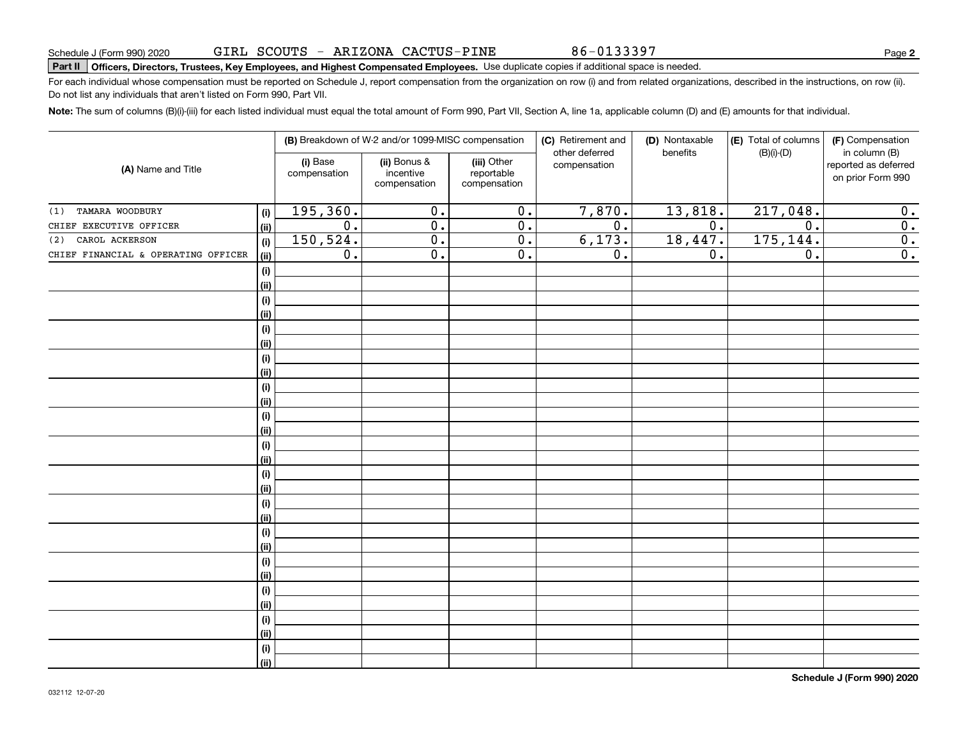86-0133397

# **Part II Officers, Directors, Trustees, Key Employees, and Highest Compensated Employees.**  Schedule J (Form 990) 2020 Page Use duplicate copies if additional space is needed.

For each individual whose compensation must be reported on Schedule J, report compensation from the organization on row (i) and from related organizations, described in the instructions, on row (ii). Do not list any individuals that aren't listed on Form 990, Part VII.

**Note:**  The sum of columns (B)(i)-(iii) for each listed individual must equal the total amount of Form 990, Part VII, Section A, line 1a, applicable column (D) and (E) amounts for that individual.

|                                     |      |                          | (B) Breakdown of W-2 and/or 1099-MISC compensation |                                           | (C) Retirement and             | (D) Nontaxable   | (E) Total of columns | (F) Compensation                                           |
|-------------------------------------|------|--------------------------|----------------------------------------------------|-------------------------------------------|--------------------------------|------------------|----------------------|------------------------------------------------------------|
| (A) Name and Title                  |      | (i) Base<br>compensation | (ii) Bonus &<br>incentive<br>compensation          | (iii) Other<br>reportable<br>compensation | other deferred<br>compensation | benefits         | $(B)(i)-(D)$         | in column (B)<br>reported as deferred<br>on prior Form 990 |
| TAMARA WOODBURY<br>(1)              | (i)  | 195, 360.                | $\overline{0}$ .                                   | $\overline{0}$ .                          | 7,870.                         | 13,818.          | 217,048.             | $\overline{0}$ .                                           |
| CHIEF EXECUTIVE OFFICER             | (ii) | $\overline{0}$ .         | $\overline{0}$ .                                   | $\overline{0}$ .                          | $\overline{0}$ .               | $\overline{0}$ . | $\overline{0}$ .     | $\overline{0}$ .                                           |
| CAROL ACKERSON<br>(2)               | (i)  | 150, 524.                | $\overline{0}$ .                                   | $\overline{0}$ .                          | 6,173.                         | 18,447.          | 175, 144.            | $\overline{0}$ .                                           |
| CHIEF FINANCIAL & OPERATING OFFICER | (ii) | $\overline{0}$ .         | $\overline{0}$ .                                   | $\overline{0}$ .                          | $\overline{0}$ .               | $\overline{0}$ . | $\overline{0}$ .     | $\overline{0}$ .                                           |
|                                     | (i)  |                          |                                                    |                                           |                                |                  |                      |                                                            |
|                                     | (ii) |                          |                                                    |                                           |                                |                  |                      |                                                            |
|                                     | (i)  |                          |                                                    |                                           |                                |                  |                      |                                                            |
|                                     | (ii) |                          |                                                    |                                           |                                |                  |                      |                                                            |
|                                     | (i)  |                          |                                                    |                                           |                                |                  |                      |                                                            |
|                                     | (ii) |                          |                                                    |                                           |                                |                  |                      |                                                            |
|                                     | (i)  |                          |                                                    |                                           |                                |                  |                      |                                                            |
|                                     | (ii) |                          |                                                    |                                           |                                |                  |                      |                                                            |
|                                     | (i)  |                          |                                                    |                                           |                                |                  |                      |                                                            |
|                                     | (ii) |                          |                                                    |                                           |                                |                  |                      |                                                            |
|                                     | (i)  |                          |                                                    |                                           |                                |                  |                      |                                                            |
|                                     | (ii) |                          |                                                    |                                           |                                |                  |                      |                                                            |
|                                     | (i)  |                          |                                                    |                                           |                                |                  |                      |                                                            |
|                                     | (ii) |                          |                                                    |                                           |                                |                  |                      |                                                            |
|                                     | (i)  |                          |                                                    |                                           |                                |                  |                      |                                                            |
|                                     | (ii) |                          |                                                    |                                           |                                |                  |                      |                                                            |
|                                     | (i)  |                          |                                                    |                                           |                                |                  |                      |                                                            |
|                                     | (ii) |                          |                                                    |                                           |                                |                  |                      |                                                            |
|                                     | (i)  |                          |                                                    |                                           |                                |                  |                      |                                                            |
|                                     | (ii) |                          |                                                    |                                           |                                |                  |                      |                                                            |
|                                     | (i)  |                          |                                                    |                                           |                                |                  |                      |                                                            |
|                                     | (ii) |                          |                                                    |                                           |                                |                  |                      |                                                            |
|                                     | (i)  |                          |                                                    |                                           |                                |                  |                      |                                                            |
|                                     | (ii) |                          |                                                    |                                           |                                |                  |                      |                                                            |
|                                     | (i)  |                          |                                                    |                                           |                                |                  |                      |                                                            |
|                                     | (ii) |                          |                                                    |                                           |                                |                  |                      |                                                            |
|                                     | (i)  |                          |                                                    |                                           |                                |                  |                      |                                                            |
|                                     | (ii) |                          |                                                    |                                           |                                |                  |                      |                                                            |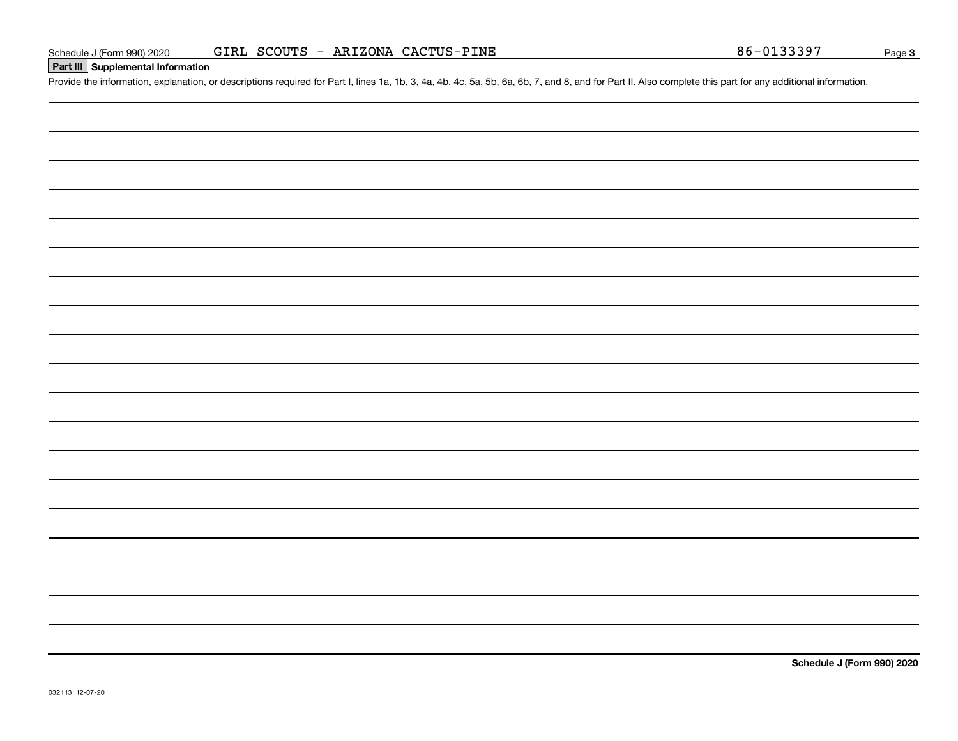### **Part III Supplemental Information**

Schedule J (Form 990) 2020 GIRL SCOUTS - ARIZONA CACTUS-PINE<br>Part III Supplemental Information<br>Provide the information, explanation, or descriptions required for Part I, lines 1a, 1b, 3, 4a, 4b, 4c, 5a, 5b, 6a, 6b, 7, and

**Schedule J (Form 990) 2020**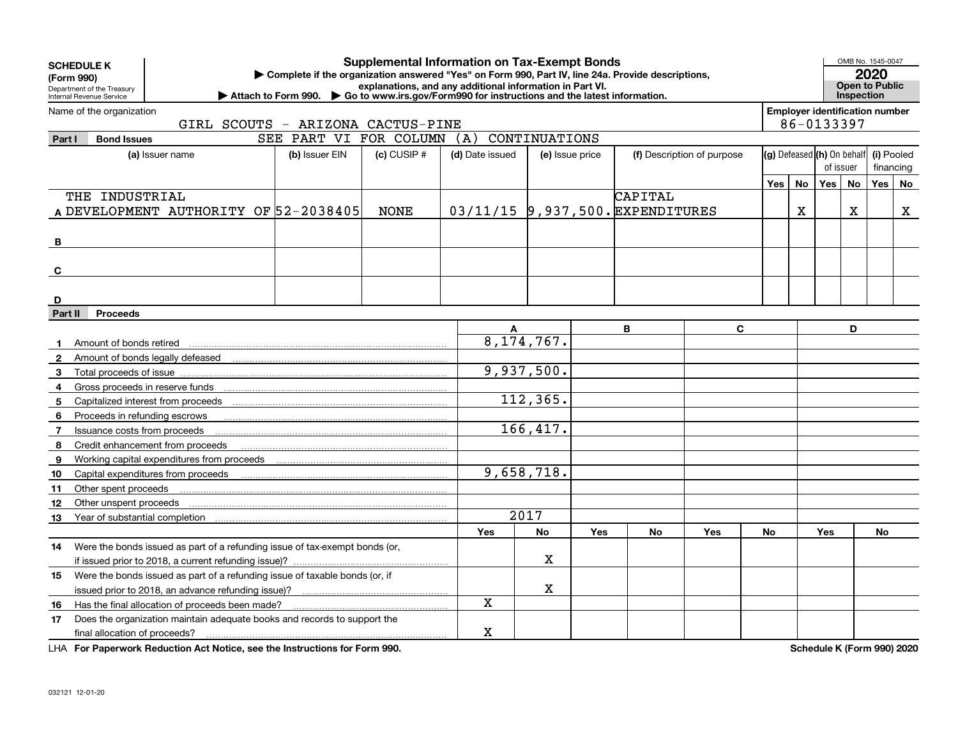| <b>Supplemental Information on Tax-Exempt Bonds</b><br><b>SCHEDULE K</b><br>▶ Complete if the organization answered "Yes" on Form 990, Part IV, line 24a. Provide descriptions,<br>(Form 990)<br>explanations, and any additional information in Part VI.<br>Department of the Treasury<br>▶ Attach to Form 990. ▶ Go to www.irs.gov/Form990 for instructions and the latest information.<br>Internal Revenue Service |                                                                             |   |                                   |                 |                 |                 |            |                                  |                            |                            |                                                     |            | OMB No. 1545-0047<br>2020<br>Open to Public<br>Inspection |            |           |
|-----------------------------------------------------------------------------------------------------------------------------------------------------------------------------------------------------------------------------------------------------------------------------------------------------------------------------------------------------------------------------------------------------------------------|-----------------------------------------------------------------------------|---|-----------------------------------|-----------------|-----------------|-----------------|------------|----------------------------------|----------------------------|----------------------------|-----------------------------------------------------|------------|-----------------------------------------------------------|------------|-----------|
|                                                                                                                                                                                                                                                                                                                                                                                                                       | Name of the organization                                                    |   | GIRL SCOUTS - ARIZONA CACTUS-PINE |                 |                 |                 |            |                                  |                            |                            | <b>Employer identification number</b><br>86-0133397 |            |                                                           |            |           |
| Part I                                                                                                                                                                                                                                                                                                                                                                                                                | <b>Bond Issues</b>                                                          |   | SEE PART VI FOR COLUMN            |                 | (A)             | CONTINUATIONS   |            |                                  |                            |                            |                                                     |            |                                                           |            |           |
|                                                                                                                                                                                                                                                                                                                                                                                                                       | (a) Issuer name                                                             |   | (b) Issuer EIN                    | $(c)$ CUSIP $#$ | (d) Date issued | (e) Issue price |            |                                  | (f) Description of purpose |                            |                                                     |            |                                                           | (i) Pooled |           |
|                                                                                                                                                                                                                                                                                                                                                                                                                       |                                                                             |   |                                   |                 |                 |                 |            |                                  |                            | (g) Defeased (h) On behalf |                                                     |            | of issuer                                                 |            | financing |
|                                                                                                                                                                                                                                                                                                                                                                                                                       |                                                                             |   |                                   |                 |                 |                 |            |                                  | No                         | Yes                        | <b>No</b>                                           | Yes        | No                                                        |            |           |
|                                                                                                                                                                                                                                                                                                                                                                                                                       | THE INDUSTRIAL                                                              |   |                                   |                 |                 |                 |            | CAPITAL                          |                            | Yes                        |                                                     |            |                                                           |            |           |
|                                                                                                                                                                                                                                                                                                                                                                                                                       | A DEVELOPMENT AUTHORITY OF 52-2038405                                       |   |                                   | <b>NONE</b>     |                 |                 |            | 03/11/15 9,937,500. EXPENDITURES |                            |                            | Х                                                   |            | x                                                         |            | X         |
|                                                                                                                                                                                                                                                                                                                                                                                                                       |                                                                             |   |                                   |                 |                 |                 |            |                                  |                            |                            |                                                     |            |                                                           |            |           |
| B                                                                                                                                                                                                                                                                                                                                                                                                                     |                                                                             |   |                                   |                 |                 |                 |            |                                  |                            |                            |                                                     |            |                                                           |            |           |
|                                                                                                                                                                                                                                                                                                                                                                                                                       |                                                                             |   |                                   |                 |                 |                 |            |                                  |                            |                            |                                                     |            |                                                           |            |           |
| C                                                                                                                                                                                                                                                                                                                                                                                                                     |                                                                             |   |                                   |                 |                 |                 |            |                                  |                            |                            |                                                     |            |                                                           |            |           |
|                                                                                                                                                                                                                                                                                                                                                                                                                       |                                                                             |   |                                   |                 |                 |                 |            |                                  |                            |                            |                                                     |            |                                                           |            |           |
| D                                                                                                                                                                                                                                                                                                                                                                                                                     |                                                                             |   |                                   |                 |                 |                 |            |                                  |                            |                            |                                                     |            |                                                           |            |           |
| Part II                                                                                                                                                                                                                                                                                                                                                                                                               | <b>Proceeds</b>                                                             |   |                                   |                 |                 |                 |            |                                  |                            |                            |                                                     |            |                                                           |            |           |
|                                                                                                                                                                                                                                                                                                                                                                                                                       |                                                                             |   |                                   |                 | A               |                 |            | B                                | $\mathbf{C}$               |                            |                                                     |            | D                                                         |            |           |
|                                                                                                                                                                                                                                                                                                                                                                                                                       | Amount of bonds retired                                                     |   |                                   |                 |                 | 8, 174, 767.    |            |                                  |                            |                            |                                                     |            |                                                           |            |           |
| 2                                                                                                                                                                                                                                                                                                                                                                                                                     | Amount of bonds legally defeased                                            |   |                                   |                 |                 |                 |            |                                  |                            |                            |                                                     |            |                                                           |            |           |
| 3                                                                                                                                                                                                                                                                                                                                                                                                                     | Total proceeds of issue                                                     |   |                                   |                 |                 | 9,937,500.      |            |                                  |                            |                            |                                                     |            |                                                           |            |           |
| 4                                                                                                                                                                                                                                                                                                                                                                                                                     | Gross proceeds in reserve funds                                             |   |                                   |                 |                 |                 |            |                                  |                            |                            |                                                     |            |                                                           |            |           |
| 5                                                                                                                                                                                                                                                                                                                                                                                                                     |                                                                             |   |                                   |                 |                 | 112,365.        |            |                                  |                            |                            |                                                     |            |                                                           |            |           |
| 6                                                                                                                                                                                                                                                                                                                                                                                                                     | Proceeds in refunding escrows                                               |   |                                   |                 |                 |                 |            |                                  |                            |                            |                                                     |            |                                                           |            |           |
| -7                                                                                                                                                                                                                                                                                                                                                                                                                    | Issuance costs from proceeds                                                |   |                                   |                 |                 | 166, 417.       |            |                                  |                            |                            |                                                     |            |                                                           |            |           |
| 8                                                                                                                                                                                                                                                                                                                                                                                                                     | Credit enhancement from proceeds                                            |   |                                   |                 |                 |                 |            |                                  |                            |                            |                                                     |            |                                                           |            |           |
| 9                                                                                                                                                                                                                                                                                                                                                                                                                     | Working capital expenditures from proceeds                                  |   |                                   |                 |                 |                 |            |                                  |                            |                            |                                                     |            |                                                           |            |           |
| 10                                                                                                                                                                                                                                                                                                                                                                                                                    |                                                                             |   |                                   |                 |                 | 9,658,718.      |            |                                  |                            |                            |                                                     |            |                                                           |            |           |
| 11                                                                                                                                                                                                                                                                                                                                                                                                                    | Other spent proceeds                                                        |   |                                   |                 |                 |                 |            |                                  |                            |                            |                                                     |            |                                                           |            |           |
| 12                                                                                                                                                                                                                                                                                                                                                                                                                    | Other unspent proceeds                                                      |   |                                   |                 |                 |                 |            |                                  |                            |                            |                                                     |            |                                                           |            |           |
| 13                                                                                                                                                                                                                                                                                                                                                                                                                    | Year of substantial completion                                              |   |                                   |                 |                 | 2017            |            |                                  |                            |                            |                                                     |            |                                                           |            |           |
|                                                                                                                                                                                                                                                                                                                                                                                                                       |                                                                             |   |                                   |                 | Yes             | <b>No</b>       | <b>Yes</b> | <b>No</b>                        | Yes                        | No                         |                                                     | <b>Yes</b> |                                                           | <b>No</b>  |           |
| 14                                                                                                                                                                                                                                                                                                                                                                                                                    | Were the bonds issued as part of a refunding issue of tax-exempt bonds (or, |   |                                   |                 |                 |                 |            |                                  |                            |                            |                                                     |            |                                                           |            |           |
|                                                                                                                                                                                                                                                                                                                                                                                                                       |                                                                             |   |                                   |                 |                 | X               |            |                                  |                            |                            |                                                     |            |                                                           |            |           |
| 15                                                                                                                                                                                                                                                                                                                                                                                                                    | Were the bonds issued as part of a refunding issue of taxable bonds (or, if |   |                                   |                 |                 |                 |            |                                  |                            |                            |                                                     |            |                                                           |            |           |
|                                                                                                                                                                                                                                                                                                                                                                                                                       |                                                                             |   |                                   |                 |                 | x               |            |                                  |                            |                            |                                                     |            |                                                           |            |           |
| 16                                                                                                                                                                                                                                                                                                                                                                                                                    | Has the final allocation of proceeds been made?                             |   |                                   |                 | X               |                 |            |                                  |                            |                            |                                                     |            |                                                           |            |           |
| 17                                                                                                                                                                                                                                                                                                                                                                                                                    | Does the organization maintain adequate books and records to support the    |   |                                   |                 |                 |                 |            |                                  |                            |                            |                                                     |            |                                                           |            |           |
|                                                                                                                                                                                                                                                                                                                                                                                                                       | final allocation of proceeds?                                               | X |                                   |                 |                 |                 |            |                                  |                            |                            |                                                     |            |                                                           |            |           |

**For Paperwork Reduction Act Notice, see the Instructions for Form 990. Schedule K (Form 990) 2020** LHA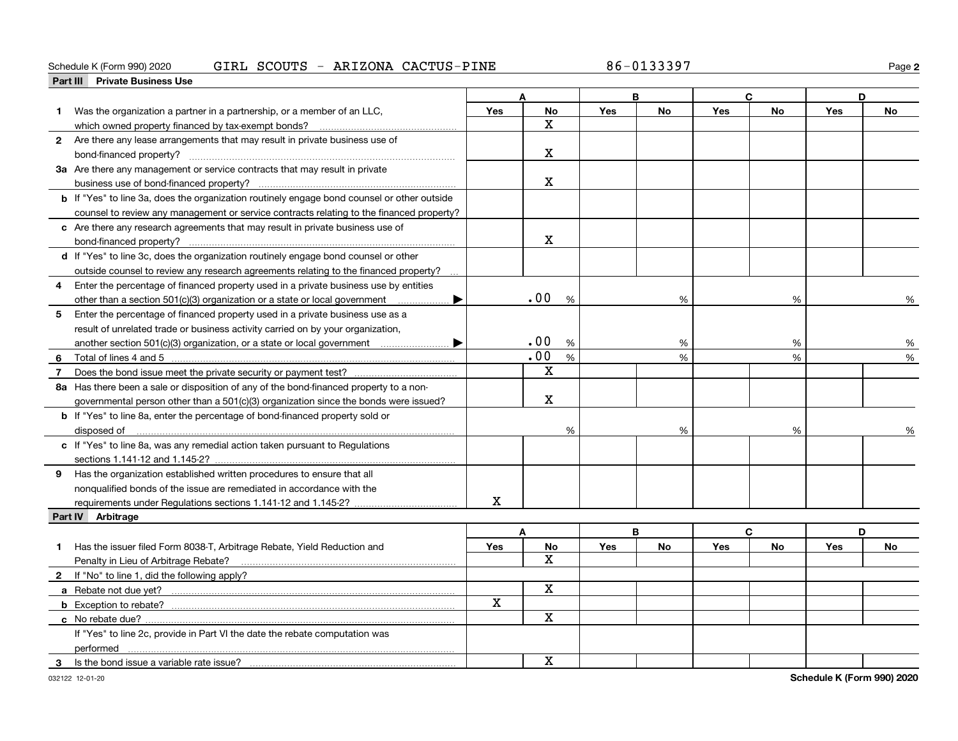#### Schedule K (Form 990) 2020 GIRL SCOUTS - ARIZONA CACTUS-PINE 86-0133397 Page

**2**

|                | Part III Private Business Use                                                                      |            |             |            |           |             |              |            |           |
|----------------|----------------------------------------------------------------------------------------------------|------------|-------------|------------|-----------|-------------|--------------|------------|-----------|
|                |                                                                                                    |            |             | B          |           | $\mathbf c$ |              |            | D         |
| 1              | Was the organization a partner in a partnership, or a member of an LLC,                            | Yes        | <b>No</b>   | Yes        | <b>No</b> | Yes         | <b>No</b>    | <b>Yes</b> | <b>No</b> |
|                | which owned property financed by tax-exempt bonds?                                                 |            | $\mathbf X$ |            |           |             |              |            |           |
|                | 2 Are there any lease arrangements that may result in private business use of                      |            |             |            |           |             |              |            |           |
|                |                                                                                                    |            | $\mathbf X$ |            |           |             |              |            |           |
|                | 3a Are there any management or service contracts that may result in private                        |            |             |            |           |             |              |            |           |
|                |                                                                                                    |            | $\mathbf X$ |            |           |             |              |            |           |
|                | <b>b</b> If "Yes" to line 3a, does the organization routinely engage bond counsel or other outside |            |             |            |           |             |              |            |           |
|                | counsel to review any management or service contracts relating to the financed property?           |            |             |            |           |             |              |            |           |
|                | c Are there any research agreements that may result in private business use of                     |            |             |            |           |             |              |            |           |
|                | bond-financed property?                                                                            |            | $\mathbf x$ |            |           |             |              |            |           |
|                | d If "Yes" to line 3c, does the organization routinely engage bond counsel or other                |            |             |            |           |             |              |            |           |
|                | outside counsel to review any research agreements relating to the financed property?               |            |             |            |           |             |              |            |           |
| 4              | Enter the percentage of financed property used in a private business use by entities               |            |             |            |           |             |              |            |           |
|                | other than a section 501(c)(3) organization or a state or local government<br>▶                    |            | .00<br>%    |            | $\%$      |             | %            |            | %         |
| 5              | Enter the percentage of financed property used in a private business use as a                      |            |             |            |           |             |              |            |           |
|                | result of unrelated trade or business activity carried on by your organization,                    |            |             |            |           |             |              |            |           |
|                |                                                                                                    |            | .00<br>%    |            | %         |             | %            |            | %         |
| 6              |                                                                                                    |            | .00<br>%    |            | %         |             | %            |            | %         |
| $\overline{7}$ |                                                                                                    |            | $\mathbf X$ |            |           |             |              |            |           |
|                | 8a Has there been a sale or disposition of any of the bond-financed property to a non-             |            |             |            |           |             |              |            |           |
|                |                                                                                                    |            | $\mathbf X$ |            |           |             |              |            |           |
|                | governmental person other than a 501(c)(3) organization since the bonds were issued?               |            |             |            |           |             |              |            |           |
|                | <b>b</b> If "Yes" to line 8a, enter the percentage of bond-financed property sold or               |            |             |            |           |             |              |            |           |
|                | disposed of                                                                                        |            | %           |            | %         |             | %            |            |           |
|                | c If "Yes" to line 8a, was any remedial action taken pursuant to Regulations                       |            |             |            |           |             |              |            |           |
|                |                                                                                                    |            |             |            |           |             |              |            |           |
|                | 9 Has the organization established written procedures to ensure that all                           |            |             |            |           |             |              |            |           |
|                | nonqualified bonds of the issue are remediated in accordance with the                              |            |             |            |           |             |              |            |           |
|                |                                                                                                    | X          |             |            |           |             |              |            |           |
|                | Part IV Arbitrage                                                                                  |            |             |            |           |             |              |            |           |
|                |                                                                                                    |            | A           |            | B         |             | $\mathbf{C}$ |            | D         |
| 1              | Has the issuer filed Form 8038-T, Arbitrage Rebate, Yield Reduction and                            | <b>Yes</b> | No          | <b>Yes</b> | No        | <b>Yes</b>  | No           | <b>Yes</b> | No        |
|                |                                                                                                    |            | X           |            |           |             |              |            |           |
|                | 2 If "No" to line 1, did the following apply?                                                      |            |             |            |           |             |              |            |           |
|                | a Rebate not due yet?                                                                              |            | $\mathbf x$ |            |           |             |              |            |           |
|                |                                                                                                    | X          |             |            |           |             |              |            |           |
|                |                                                                                                    |            | X           |            |           |             |              |            |           |
|                | If "Yes" to line 2c, provide in Part VI the date the rebate computation was                        |            |             |            |           |             |              |            |           |
|                | performed                                                                                          |            |             |            |           |             |              |            |           |
| 3              |                                                                                                    |            | $\mathbf X$ |            |           |             |              |            |           |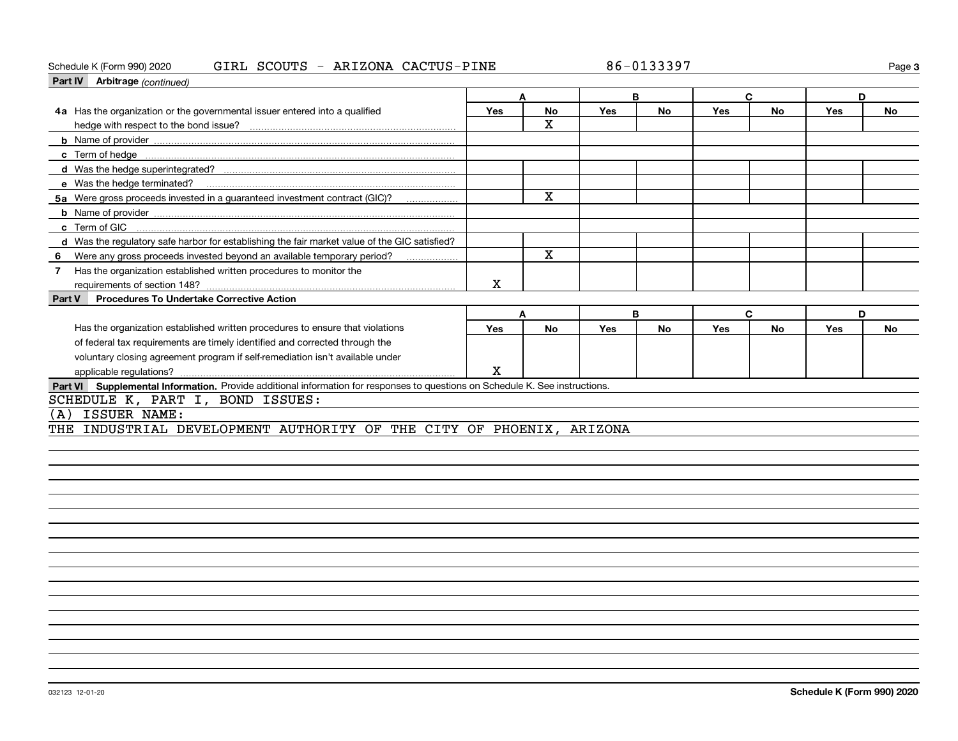#### Schedule K (Form 990) 2020 GIRL SCOUTS - ARIZONA CACTUS-PINE 86-0133397 Page

**3**

| <b>Part IV</b> Arbitrage (continued)                                                                                         |     |           |            |           |            |              |     |           |
|------------------------------------------------------------------------------------------------------------------------------|-----|-----------|------------|-----------|------------|--------------|-----|-----------|
|                                                                                                                              |     | Δ         |            | B         |            | C            | D   |           |
| 4a Has the organization or the governmental issuer entered into a qualified                                                  | Yes | <b>No</b> | <b>Yes</b> | <b>No</b> | <b>Yes</b> | <b>No</b>    | Yes | <b>No</b> |
|                                                                                                                              |     | X         |            |           |            |              |     |           |
|                                                                                                                              |     |           |            |           |            |              |     |           |
|                                                                                                                              |     |           |            |           |            |              |     |           |
|                                                                                                                              |     |           |            |           |            |              |     |           |
| e Was the hedge terminated?                                                                                                  |     |           |            |           |            |              |     |           |
| 5a Were gross proceeds invested in a guaranteed investment contract (GIC)?                                                   |     | X         |            |           |            |              |     |           |
|                                                                                                                              |     |           |            |           |            |              |     |           |
| c Term of GIC                                                                                                                |     |           |            |           |            |              |     |           |
| d Was the regulatory safe harbor for establishing the fair market value of the GIC satisfied?                                |     |           |            |           |            |              |     |           |
| Were any gross proceeds invested beyond an available temporary period?<br>6                                                  |     | X         |            |           |            |              |     |           |
| Has the organization established written procedures to monitor the<br>$\overline{7}$                                         |     |           |            |           |            |              |     |           |
| requirements of section 148?                                                                                                 | X   |           |            |           |            |              |     |           |
| <b>Procedures To Undertake Corrective Action</b><br>Part V                                                                   |     |           |            |           |            |              |     |           |
|                                                                                                                              |     | A         |            | B         |            | $\mathbf{C}$ | D   |           |
| Has the organization established written procedures to ensure that violations                                                | Yes | <b>No</b> | <b>Yes</b> | <b>No</b> | <b>Yes</b> | <b>No</b>    | Yes | <b>No</b> |
| of federal tax requirements are timely identified and corrected through the                                                  |     |           |            |           |            |              |     |           |
| voluntary closing agreement program if self-remediation isn't available under                                                |     |           |            |           |            |              |     |           |
|                                                                                                                              | X   |           |            |           |            |              |     |           |
| Part VI Supplemental Information. Provide additional information for responses to questions on Schedule K. See instructions. |     |           |            |           |            |              |     |           |
| SCHEDULE K, PART I, BOND ISSUES:                                                                                             |     |           |            |           |            |              |     |           |
| ISSUER NAME:<br>ίA                                                                                                           |     |           |            |           |            |              |     |           |
| INDUSTRIAL DEVELOPMENT AUTHORITY OF THE CITY OF PHOENIX, ARIZONA                                                             |     |           |            |           |            |              |     |           |
|                                                                                                                              |     |           |            |           |            |              |     |           |
|                                                                                                                              |     |           |            |           |            |              |     |           |
|                                                                                                                              |     |           |            |           |            |              |     |           |
|                                                                                                                              |     |           |            |           |            |              |     |           |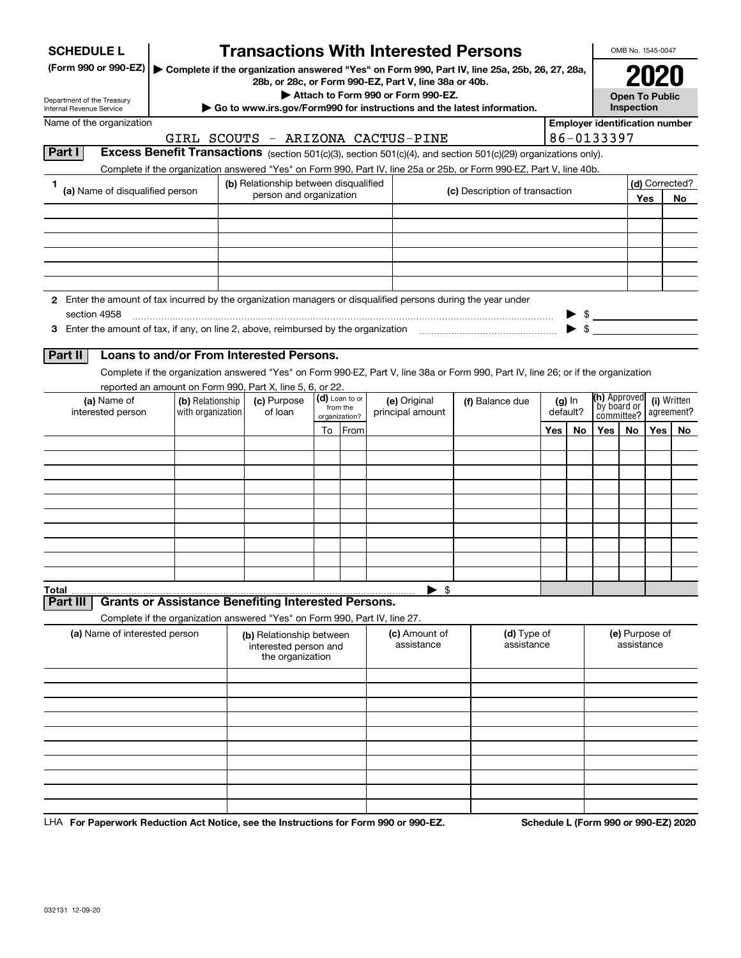| <b>SCHEDULE L</b>                                                                                             |                                                                            |                         |                                                                       |                            |               | <b>Transactions With Interested Persons</b>                                                                                                            |  |                           |     |          |                                                                                                         | OMB No. 1545-0047            |            |                |
|---------------------------------------------------------------------------------------------------------------|----------------------------------------------------------------------------|-------------------------|-----------------------------------------------------------------------|----------------------------|---------------|--------------------------------------------------------------------------------------------------------------------------------------------------------|--|---------------------------|-----|----------|---------------------------------------------------------------------------------------------------------|------------------------------|------------|----------------|
| (Form 990 or 990-EZ)                                                                                          |                                                                            |                         |                                                                       |                            |               | Complete if the organization answered "Yes" on Form 990, Part IV, line 25a, 25b, 26, 27, 28a,<br>28b, or 28c, or Form 990-EZ, Part V, line 38a or 40b. |  |                           |     |          |                                                                                                         |                              |            |                |
| Department of the Treasury                                                                                    |                                                                            |                         |                                                                       |                            |               | Attach to Form 990 or Form 990-EZ.                                                                                                                     |  |                           |     |          |                                                                                                         | <b>Open To Public</b>        |            |                |
| <b>Internal Revenue Service</b>                                                                               |                                                                            |                         |                                                                       |                            |               | $\triangleright$ Go to www.irs.gov/Form990 for instructions and the latest information.                                                                |  |                           |     |          |                                                                                                         | Inspection                   |            |                |
| Name of the organization                                                                                      |                                                                            |                         |                                                                       |                            |               | GIRL SCOUTS - ARIZONA CACTUS-PINE                                                                                                                      |  |                           |     |          | <b>Employer identification number</b><br>86-0133397                                                     |                              |            |                |
| Part I                                                                                                        |                                                                            |                         |                                                                       |                            |               | Excess Benefit Transactions (section 501(c)(3), section 501(c)(4), and section 501(c)(29) organizations only).                                         |  |                           |     |          |                                                                                                         |                              |            |                |
|                                                                                                               |                                                                            |                         |                                                                       |                            |               | Complete if the organization answered "Yes" on Form 990, Part IV, line 25a or 25b, or Form 990-EZ, Part V, line 40b.                                   |  |                           |     |          |                                                                                                         |                              |            |                |
| 1                                                                                                             |                                                                            |                         | (b) Relationship between disqualified                                 |                            |               |                                                                                                                                                        |  |                           |     |          |                                                                                                         |                              |            | (d) Corrected? |
| (a) Name of disqualified person                                                                               |                                                                            | person and organization |                                                                       |                            |               | (c) Description of transaction                                                                                                                         |  |                           |     |          |                                                                                                         | Yes                          | No         |                |
|                                                                                                               |                                                                            |                         |                                                                       |                            |               |                                                                                                                                                        |  |                           |     |          |                                                                                                         |                              |            |                |
|                                                                                                               |                                                                            |                         |                                                                       |                            |               |                                                                                                                                                        |  |                           |     |          |                                                                                                         |                              |            |                |
|                                                                                                               |                                                                            |                         |                                                                       |                            |               |                                                                                                                                                        |  |                           |     |          |                                                                                                         |                              |            |                |
|                                                                                                               |                                                                            |                         |                                                                       |                            |               |                                                                                                                                                        |  |                           |     |          |                                                                                                         |                              |            |                |
|                                                                                                               |                                                                            |                         |                                                                       |                            |               |                                                                                                                                                        |  |                           |     |          |                                                                                                         |                              |            |                |
| 2 Enter the amount of tax incurred by the organization managers or disqualified persons during the year under |                                                                            |                         |                                                                       |                            |               |                                                                                                                                                        |  |                           |     |          |                                                                                                         |                              |            |                |
| section 4958                                                                                                  |                                                                            |                         |                                                                       |                            |               |                                                                                                                                                        |  |                           |     |          |                                                                                                         |                              |            |                |
|                                                                                                               |                                                                            |                         |                                                                       |                            |               |                                                                                                                                                        |  |                           |     |          | $\begin{array}{c}\n\updownarrow \\ \updownarrow \\ \updownarrow \\ \updownarrow \\ \hline\n\end{array}$ |                              |            |                |
|                                                                                                               |                                                                            |                         |                                                                       |                            |               |                                                                                                                                                        |  |                           |     |          |                                                                                                         |                              |            |                |
| Part II                                                                                                       | Loans to and/or From Interested Persons.                                   |                         |                                                                       |                            |               |                                                                                                                                                        |  |                           |     |          |                                                                                                         |                              |            |                |
|                                                                                                               |                                                                            |                         |                                                                       |                            |               | Complete if the organization answered "Yes" on Form 990-EZ, Part V, line 38a or Form 990, Part IV, line 26; or if the organization                     |  |                           |     |          |                                                                                                         |                              |            |                |
|                                                                                                               | reported an amount on Form 990, Part X, line 5, 6, or 22.                  |                         |                                                                       |                            |               |                                                                                                                                                        |  |                           |     |          |                                                                                                         |                              |            |                |
| (a) Name of                                                                                                   | (b) Relationship                                                           | (c) Purpose             |                                                                       | (d) Loan to or<br>from the |               | (e) Original                                                                                                                                           |  | (f) Balance due           |     | $(g)$ In | (h) Approved<br>by board or                                                                             |                              |            | (i) Written    |
| interested person                                                                                             | with organization                                                          |                         | of loan                                                               |                            | organization? | principal amount                                                                                                                                       |  | default?                  |     |          | committee?                                                                                              |                              | agreement? |                |
|                                                                                                               |                                                                            |                         |                                                                       |                            | To From       |                                                                                                                                                        |  |                           | Yes | No       | Yes                                                                                                     | No                           | Yes $ $    | No             |
|                                                                                                               |                                                                            |                         |                                                                       |                            |               |                                                                                                                                                        |  |                           |     |          |                                                                                                         |                              |            |                |
|                                                                                                               |                                                                            |                         |                                                                       |                            |               |                                                                                                                                                        |  |                           |     |          |                                                                                                         |                              |            |                |
|                                                                                                               |                                                                            |                         |                                                                       |                            |               |                                                                                                                                                        |  |                           |     |          |                                                                                                         |                              |            |                |
|                                                                                                               |                                                                            |                         |                                                                       |                            |               |                                                                                                                                                        |  |                           |     |          |                                                                                                         |                              |            |                |
|                                                                                                               |                                                                            |                         |                                                                       |                            |               |                                                                                                                                                        |  |                           |     |          |                                                                                                         |                              |            |                |
|                                                                                                               |                                                                            |                         |                                                                       |                            |               |                                                                                                                                                        |  |                           |     |          |                                                                                                         |                              |            |                |
|                                                                                                               |                                                                            |                         |                                                                       |                            |               |                                                                                                                                                        |  |                           |     |          |                                                                                                         |                              |            |                |
|                                                                                                               |                                                                            |                         |                                                                       |                            |               |                                                                                                                                                        |  |                           |     |          |                                                                                                         |                              |            |                |
|                                                                                                               |                                                                            |                         |                                                                       |                            |               |                                                                                                                                                        |  |                           |     |          |                                                                                                         |                              |            |                |
| Total                                                                                                         |                                                                            |                         |                                                                       |                            |               | $\blacktriangleright$ \$                                                                                                                               |  |                           |     |          |                                                                                                         |                              |            |                |
| <b>Part III</b>                                                                                               | <b>Grants or Assistance Benefiting Interested Persons.</b>                 |                         |                                                                       |                            |               |                                                                                                                                                        |  |                           |     |          |                                                                                                         |                              |            |                |
|                                                                                                               | Complete if the organization answered "Yes" on Form 990, Part IV, line 27. |                         |                                                                       |                            |               |                                                                                                                                                        |  |                           |     |          |                                                                                                         |                              |            |                |
| (a) Name of interested person                                                                                 |                                                                            |                         | (b) Relationship between<br>interested person and<br>the organization |                            |               | (c) Amount of<br>assistance                                                                                                                            |  | (d) Type of<br>assistance |     |          |                                                                                                         | (e) Purpose of<br>assistance |            |                |
|                                                                                                               |                                                                            |                         |                                                                       |                            |               |                                                                                                                                                        |  |                           |     |          |                                                                                                         |                              |            |                |
|                                                                                                               |                                                                            |                         |                                                                       |                            |               |                                                                                                                                                        |  |                           |     |          |                                                                                                         |                              |            |                |
|                                                                                                               |                                                                            |                         |                                                                       |                            |               |                                                                                                                                                        |  |                           |     |          |                                                                                                         |                              |            |                |
|                                                                                                               |                                                                            |                         |                                                                       |                            |               |                                                                                                                                                        |  |                           |     |          |                                                                                                         |                              |            |                |
|                                                                                                               |                                                                            |                         |                                                                       |                            |               |                                                                                                                                                        |  |                           |     |          |                                                                                                         |                              |            |                |
|                                                                                                               |                                                                            |                         |                                                                       |                            |               |                                                                                                                                                        |  |                           |     |          |                                                                                                         |                              |            |                |
|                                                                                                               |                                                                            |                         |                                                                       |                            |               |                                                                                                                                                        |  |                           |     |          |                                                                                                         |                              |            |                |
|                                                                                                               |                                                                            |                         |                                                                       |                            |               |                                                                                                                                                        |  |                           |     |          |                                                                                                         |                              |            |                |
|                                                                                                               |                                                                            |                         |                                                                       |                            |               |                                                                                                                                                        |  |                           |     |          |                                                                                                         |                              |            |                |
|                                                                                                               |                                                                            |                         |                                                                       |                            |               |                                                                                                                                                        |  |                           |     |          |                                                                                                         |                              |            |                |

LHA For Paperwork Reduction Act Notice, see the Instructions for Form 990 or 990-EZ. Schedule L (Form 990 or 990-EZ) 2020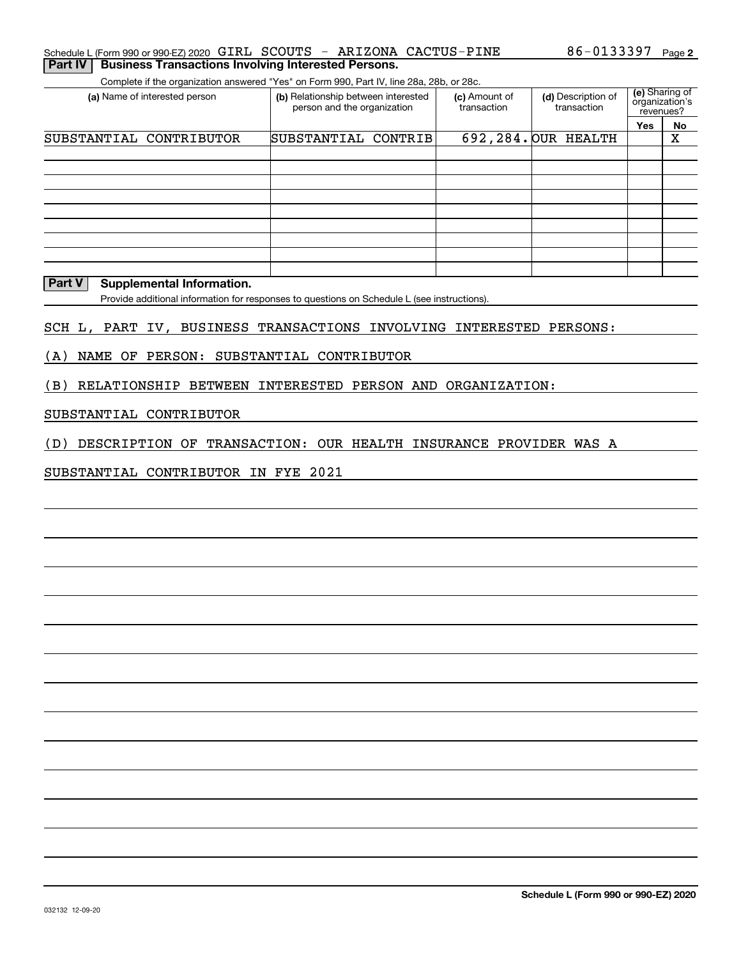#### **2**Schedule L (Form 990 or 990-EZ) 2020 Page 86-0133397 GIRL SCOUTS - ARIZONA CACTUS-PINE**Part IV Business Transactions Involving Interested Persons.**

Complete if the organization answered "Yes" on Form 990, Part IV, line 28a, 28b, or 28c.

| (a) Name of interested person | (b) Relationship between interested<br>person and the organization | (c) Amount of<br>transaction | (d) Description of<br>transaction | (e) Sharing of<br>organization's<br>revenues? |    |
|-------------------------------|--------------------------------------------------------------------|------------------------------|-----------------------------------|-----------------------------------------------|----|
|                               |                                                                    |                              |                                   | Yes                                           | No |
| SUBSTANTIAL CONTRIBUTOR       | SUBSTANTIAL CONTRIB                                                |                              | 692, 284. OUR HEALTH              |                                               | х  |
|                               |                                                                    |                              |                                   |                                               |    |
|                               |                                                                    |                              |                                   |                                               |    |
|                               |                                                                    |                              |                                   |                                               |    |
|                               |                                                                    |                              |                                   |                                               |    |
|                               |                                                                    |                              |                                   |                                               |    |
|                               |                                                                    |                              |                                   |                                               |    |
|                               |                                                                    |                              |                                   |                                               |    |
|                               |                                                                    |                              |                                   |                                               |    |
|                               |                                                                    |                              |                                   |                                               |    |

#### **Part V** Supplemental Information.

Provide additional information for responses to questions on Schedule L (see instructions).

#### SCH L, PART IV, BUSINESS TRANSACTIONS INVOLVING INTERESTED PERSONS:

(A) NAME OF PERSON: SUBSTANTIAL CONTRIBUTOR

(B) RELATIONSHIP BETWEEN INTERESTED PERSON AND ORGANIZATION:

#### SUBSTANTIAL CONTRIBUTOR

(D) DESCRIPTION OF TRANSACTION: OUR HEALTH INSURANCE PROVIDER WAS A

#### SUBSTANTIAL CONTRIBUTOR IN FYE 2021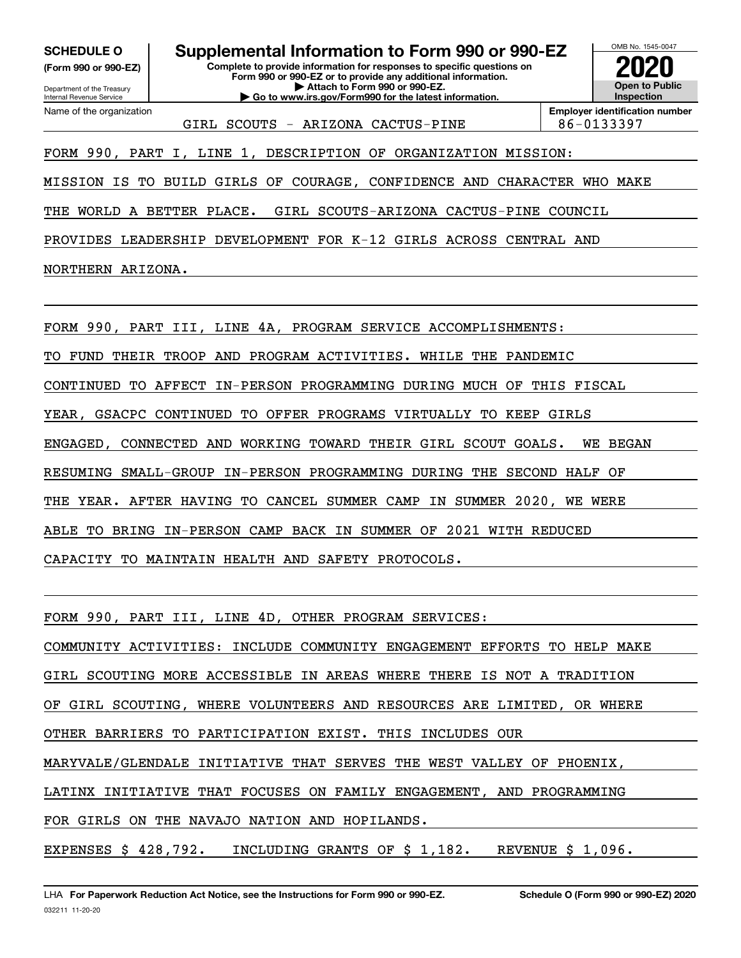**(Form 990 or 990-EZ)**

Department of the Treasury Internal Revenue Service Name of the organization

**Complete to provide information for responses to specific questions on SCHEDULE O Supplemental Information to Form 990 or 990-EZ**

**Form 990 or 990-EZ or to provide any additional information. | Attach to Form 990 or 990-EZ. | Go to www.irs.gov/Form990 for the latest information.**



GIRL SCOUTS - ARIZONA CACTUS-PINE | 86-0133397

**Employer identification number**

FORM 990, PART I, LINE 1, DESCRIPTION OF ORGANIZATION MISSION:

MISSION IS TO BUILD GIRLS OF COURAGE, CONFIDENCE AND CHARACTER WHO MAKE

THE WORLD A BETTER PLACE. GIRL SCOUTS-ARIZONA CACTUS-PINE COUNCIL

PROVIDES LEADERSHIP DEVELOPMENT FOR K-12 GIRLS ACROSS CENTRAL AND

NORTHERN ARIZONA.

FORM 990, PART III, LINE 4A, PROGRAM SERVICE ACCOMPLISHMENTS:

TO FUND THEIR TROOP AND PROGRAM ACTIVITIES. WHILE THE PANDEMIC

CONTINUED TO AFFECT IN-PERSON PROGRAMMING DURING MUCH OF THIS FISCAL

YEAR, GSACPC CONTINUED TO OFFER PROGRAMS VIRTUALLY TO KEEP GIRLS

ENGAGED, CONNECTED AND WORKING TOWARD THEIR GIRL SCOUT GOALS. WE BEGAN

RESUMING SMALL-GROUP IN-PERSON PROGRAMMING DURING THE SECOND HALF OF

THE YEAR. AFTER HAVING TO CANCEL SUMMER CAMP IN SUMMER 2020, WE WERE

ABLE TO BRING IN-PERSON CAMP BACK IN SUMMER OF 2021 WITH REDUCED

CAPACITY TO MAINTAIN HEALTH AND SAFETY PROTOCOLS.

FORM 990, PART III, LINE 4D, OTHER PROGRAM SERVICES:

COMMUNITY ACTIVITIES: INCLUDE COMMUNITY ENGAGEMENT EFFORTS TO HELP MAKE

GIRL SCOUTING MORE ACCESSIBLE IN AREAS WHERE THERE IS NOT A TRADITION

OF GIRL SCOUTING, WHERE VOLUNTEERS AND RESOURCES ARE LIMITED, OR WHERE

OTHER BARRIERS TO PARTICIPATION EXIST. THIS INCLUDES OUR

MARYVALE/GLENDALE INITIATIVE THAT SERVES THE WEST VALLEY OF PHOENIX,

LATINX INITIATIVE THAT FOCUSES ON FAMILY ENGAGEMENT, AND PROGRAMMING

FOR GIRLS ON THE NAVAJO NATION AND HOPILANDS.

EXPENSES \$ 428,792. INCLUDING GRANTS OF \$ 1,182. REVENUE \$ 1,096.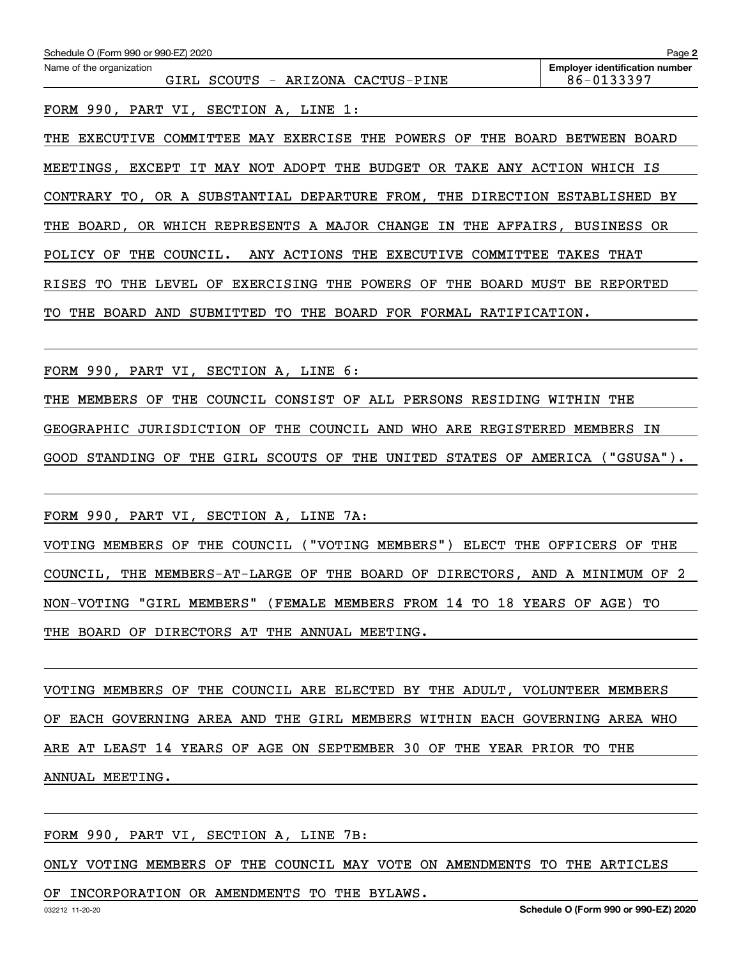| Schedule O (Form 990 or 990-EZ) 2020                                                                 | Page 2                                              |  |  |  |  |  |
|------------------------------------------------------------------------------------------------------|-----------------------------------------------------|--|--|--|--|--|
| Name of the organization<br>- ARIZONA CACTUS-PINE<br>GIRL<br>SCOUTS                                  | <b>Employer identification number</b><br>86-0133397 |  |  |  |  |  |
| FORM 990, PART VI, SECTION A, LINE 1:                                                                |                                                     |  |  |  |  |  |
| COMMITTEE MAY EXERCISE THE POWERS OF<br>THE<br>BOARD<br>THE<br>EXECUTIVE                             | BETWEEN<br>BOARD                                    |  |  |  |  |  |
| NOT ADOPT THE BUDGET OR TAKE ANY ACTION<br>EXCEPT IT<br><b>MAY</b><br>MEETINGS,                      | WHICH IS                                            |  |  |  |  |  |
| CONTRARY TO, OR A SUBSTANTIAL DEPARTURE FROM, THE DIRECTION ESTABLISHED BY                           |                                                     |  |  |  |  |  |
| BOARD, OR WHICH REPRESENTS A MAJOR CHANGE IN<br>THE                                                  | THE AFFAIRS, BUSINESS OR                            |  |  |  |  |  |
| POLICY<br>OF<br>THE<br>COUNCIL.<br>ANY ACTIONS<br>EXECUTIVE<br>COMMITTEE<br>THE<br>TAKES THAT        |                                                     |  |  |  |  |  |
| THE<br>OF<br><b>EXERCISING</b><br>THE<br>POWERS<br>OF<br>THE<br><b>BOARD</b><br>RISES<br>TО<br>LEVEL | MUST<br>BЕ<br>REPORTED                              |  |  |  |  |  |
| TО<br>BOARD<br>FOR<br>FORMAL<br>THE<br>BOARD<br>AND<br>THE<br>RATIFICATION.<br>SUBMITTED<br>TO.      |                                                     |  |  |  |  |  |

FORM 990, PART VI, SECTION A, LINE 6:

THE MEMBERS OF THE COUNCIL CONSIST OF ALL PERSONS RESIDING WITHIN THE GEOGRAPHIC JURISDICTION OF THE COUNCIL AND WHO ARE REGISTERED MEMBERS IN GOOD STANDING OF THE GIRL SCOUTS OF THE UNITED STATES OF AMERICA ("GSUSA").

FORM 990, PART VI, SECTION A, LINE 7A:

VOTING MEMBERS OF THE COUNCIL ("VOTING MEMBERS") ELECT THE OFFICERS OF THE COUNCIL, THE MEMBERS-AT-LARGE OF THE BOARD OF DIRECTORS, AND A MINIMUM OF 2 NON-VOTING "GIRL MEMBERS" (FEMALE MEMBERS FROM 14 TO 18 YEARS OF AGE) TO THE BOARD OF DIRECTORS AT THE ANNUAL MEETING.

VOTING MEMBERS OF THE COUNCIL ARE ELECTED BY THE ADULT, VOLUNTEER MEMBERS OF EACH GOVERNING AREA AND THE GIRL MEMBERS WITHIN EACH GOVERNING AREA WHO ARE AT LEAST 14 YEARS OF AGE ON SEPTEMBER 30 OF THE YEAR PRIOR TO THE ANNUAL MEETING.

FORM 990, PART VI, SECTION A, LINE 7B:

ONLY VOTING MEMBERS OF THE COUNCIL MAY VOTE ON AMENDMENTS TO THE ARTICLES

OF INCORPORATION OR AMENDMENTS TO THE BYLAWS.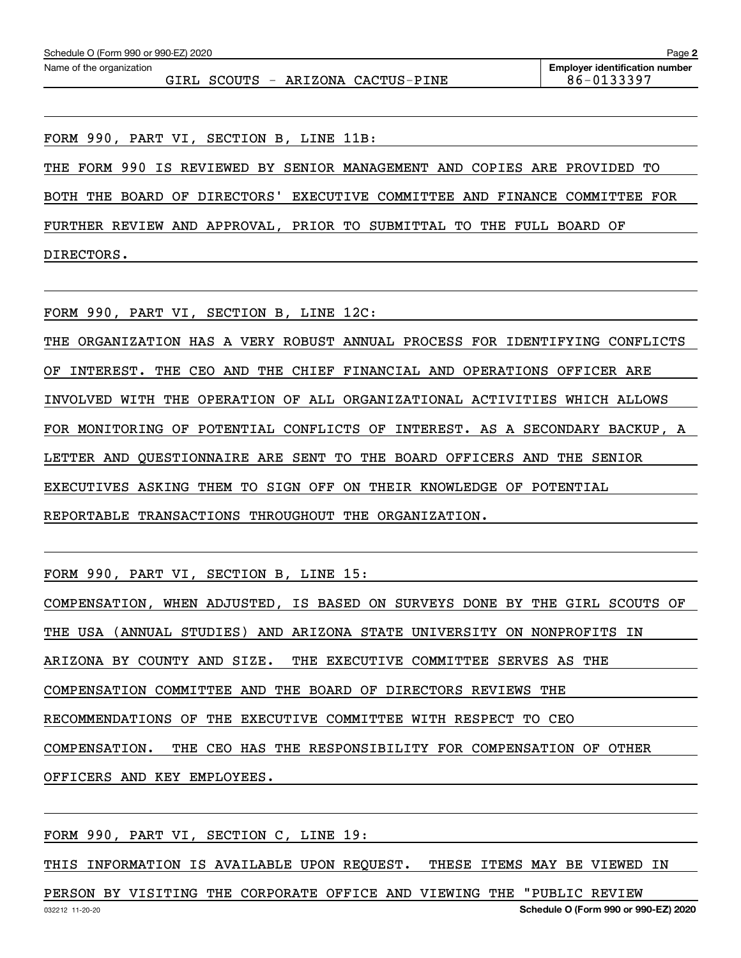FORM 990, PART VI, SECTION B, LINE 11B:

THE FORM 990 IS REVIEWED BY SENIOR MANAGEMENT AND COPIES ARE PROVIDED TO

BOTH THE BOARD OF DIRECTORS' EXECUTIVE COMMITTEE AND FINANCE COMMITTEE FOR

FURTHER REVIEW AND APPROVAL, PRIOR TO SUBMITTAL TO THE FULL BOARD OF

DIRECTORS.

FORM 990, PART VI, SECTION B, LINE 12C:

THE ORGANIZATION HAS A VERY ROBUST ANNUAL PROCESS FOR IDENTIFYING CONFLICTS OF INTEREST. THE CEO AND THE CHIEF FINANCIAL AND OPERATIONS OFFICER ARE INVOLVED WITH THE OPERATION OF ALL ORGANIZATIONAL ACTIVITIES WHICH ALLOWS FOR MONITORING OF POTENTIAL CONFLICTS OF INTEREST. AS A SECONDARY BACKUP, A LETTER AND QUESTIONNAIRE ARE SENT TO THE BOARD OFFICERS AND THE SENIOR EXECUTIVES ASKING THEM TO SIGN OFF ON THEIR KNOWLEDGE OF POTENTIAL REPORTABLE TRANSACTIONS THROUGHOUT THE ORGANIZATION.

FORM 990, PART VI, SECTION B, LINE 15:

COMPENSATION, WHEN ADJUSTED, IS BASED ON SURVEYS DONE BY THE GIRL SCOUTS OF THE USA (ANNUAL STUDIES) AND ARIZONA STATE UNIVERSITY ON NONPROFITS IN ARIZONA BY COUNTY AND SIZE. THE EXECUTIVE COMMITTEE SERVES AS THE COMPENSATION COMMITTEE AND THE BOARD OF DIRECTORS REVIEWS THE RECOMMENDATIONS OF THE EXECUTIVE COMMITTEE WITH RESPECT TO CEO COMPENSATION. THE CEO HAS THE RESPONSIBILITY FOR COMPENSATION OF OTHER OFFICERS AND KEY EMPLOYEES.

FORM 990, PART VI, SECTION C, LINE 19:

THIS INFORMATION IS AVAILABLE UPON REQUEST. THESE ITEMS MAY BE VIEWED IN

PERSON BY VISITING THE CORPORATE OFFICE AND VIEWING THE "PUBLIC REVIEW